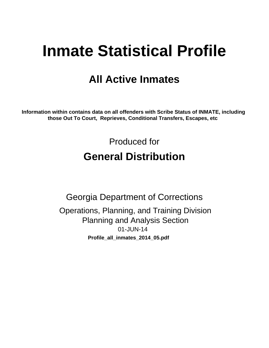# **Inmate Statistical Profile**

# **All Active Inmates**

Information within contains data on all offenders with Scribe Status of INMATE, including those Out To Court, Reprieves, Conditional Transfers, Escapes, etc

> Produced for **General Distribution**

**Georgia Department of Corrections** Operations, Planning, and Training Division **Planning and Analysis Section** 01-JUN-14 Profile\_all\_inmates\_2014\_05.pdf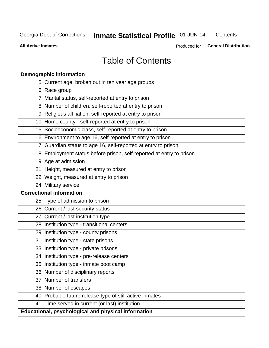# Inmate Statistical Profile 01-JUN-14

Contents

**All Active Inmates** 

Produced for General Distribution

# **Table of Contents**

|    | <b>Demographic information</b>                                       |
|----|----------------------------------------------------------------------|
|    | 5 Current age, broken out in ten year age groups                     |
|    | 6 Race group                                                         |
|    | 7 Marital status, self-reported at entry to prison                   |
|    | 8 Number of children, self-reported at entry to prison               |
|    | 9 Religious affiliation, self-reported at entry to prison            |
|    | 10 Home county - self-reported at entry to prison                    |
|    | 15 Socioeconomic class, self-reported at entry to prison             |
|    | 16 Environment to age 16, self-reported at entry to prison           |
|    | 17 Guardian status to age 16, self-reported at entry to prison       |
|    | 18 Employment status before prison, self-reported at entry to prison |
|    | 19 Age at admission                                                  |
|    | 21 Height, measured at entry to prison                               |
|    | 22 Weight, measured at entry to prison                               |
|    | 24 Military service                                                  |
|    | <b>Correctional information</b>                                      |
|    | 25 Type of admission to prison                                       |
|    | 26 Current / last security status                                    |
|    | 27 Current / last institution type                                   |
|    | 28 Institution type - transitional centers                           |
|    | 29 Institution type - county prisons                                 |
| 31 | Institution type - state prisons                                     |
|    | 33 Institution type - private prisons                                |
|    | 34 Institution type - pre-release centers                            |
|    | 35 Institution type - inmate boot camp                               |
|    | 36 Number of disciplinary reports                                    |
|    | 37 Number of transfers                                               |
|    | 38 Number of escapes                                                 |
|    | 40 Probable future release type of still active inmates              |
|    | 41 Time served in current (or last) institution                      |
|    | Educational, psychological and physical information                  |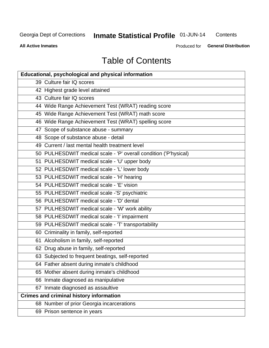# Inmate Statistical Profile 01-JUN-14

Contents

**All Active Inmates** 

Produced for General Distribution

# **Table of Contents**

| Educational, psychological and physical information              |
|------------------------------------------------------------------|
| 39 Culture fair IQ scores                                        |
| 42 Highest grade level attained                                  |
| 43 Culture fair IQ scores                                        |
| 44 Wide Range Achievement Test (WRAT) reading score              |
| 45 Wide Range Achievement Test (WRAT) math score                 |
| 46 Wide Range Achievement Test (WRAT) spelling score             |
| 47 Scope of substance abuse - summary                            |
| 48 Scope of substance abuse - detail                             |
| 49 Current / last mental health treatment level                  |
| 50 PULHESDWIT medical scale - 'P' overall condition ('P'hysical) |
| 51 PULHESDWIT medical scale - 'U' upper body                     |
| 52 PULHESDWIT medical scale - 'L' lower body                     |
| 53 PULHESDWIT medical scale - 'H' hearing                        |
| 54 PULHESDWIT medical scale - 'E' vision                         |
| 55 PULHESDWIT medical scale -'S' psychiatric                     |
| 56 PULHESDWIT medical scale - 'D' dental                         |
| 57 PULHESDWIT medical scale - 'W' work ability                   |
| 58 PULHESDWIT medical scale - 'I' impairment                     |
| 59 PULHESDWIT medical scale - 'T' transportability               |
| 60 Criminality in family, self-reported                          |
| 61 Alcoholism in family, self-reported                           |
| 62 Drug abuse in family, self-reported                           |
| 63 Subjected to frequent beatings, self-reported                 |
| 64 Father absent during inmate's childhood                       |
| 65 Mother absent during inmate's childhood                       |
| 66 Inmate diagnosed as manipulative                              |
| 67 Inmate diagnosed as assaultive                                |
| <b>Crimes and criminal history information</b>                   |
| 68 Number of prior Georgia incarcerations                        |
| 69 Prison sentence in years                                      |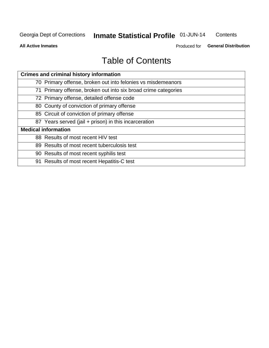# Inmate Statistical Profile 01-JUN-14

Contents

**All Active Inmates** 

Produced for General Distribution

# **Table of Contents**

| <b>Crimes and criminal history information</b>                 |
|----------------------------------------------------------------|
| 70 Primary offense, broken out into felonies vs misdemeanors   |
| 71 Primary offense, broken out into six broad crime categories |
| 72 Primary offense, detailed offense code                      |
| 80 County of conviction of primary offense                     |
| 85 Circuit of conviction of primary offense                    |
| 87 Years served (jail + prison) in this incarceration          |
| <b>Medical information</b>                                     |
| 88 Results of most recent HIV test                             |
| 89 Results of most recent tuberculosis test                    |
| 90 Results of most recent syphilis test                        |
| 91 Results of most recent Hepatitis-C test                     |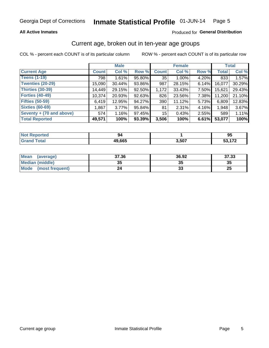#### **All Active Inmates**

#### Produced for General Distribution

### Current age, broken out in ten-year age groups

COL % - percent each COUNT is of its particular column

|                          |              | <b>Male</b> |        |              | <b>Female</b> |       |              | <b>Total</b> |
|--------------------------|--------------|-------------|--------|--------------|---------------|-------|--------------|--------------|
| <b>Current Age</b>       | <b>Count</b> | Col %       | Row %  | <b>Count</b> | Col %         | Row % | <b>Total</b> | Col %        |
| <b>Teens (1-19)</b>      | 798          | 1.61%       | 95.80% | 35           | 1.00%         | 4.20% | 833          | 1.57%        |
| <b>Twenties (20-29)</b>  | 15,090       | 30.44%      | 93.86% | 987          | 28.15%        | 6.14% | 16,077       | 30.29%       |
| <b>Thirties (30-39)</b>  | 14,449       | 29.15%      | 92.50% | 1,172        | 33.43%        | 7.50% | 15,621       | 29.43%       |
| <b>Forties (40-49)</b>   | 10,374       | 20.93%      | 92.63% | 826          | 23.56%        | 7.38% | 11,200       | 21.10%       |
| <b>Fifties (50-59)</b>   | 6,419        | 12.95%      | 94.27% | 390          | 11.12%        | 5.73% | 6,809        | 12.83%       |
| <b>Sixties (60-69)</b>   | 1,867        | $3.77\%$    | 95.84% | 81           | 2.31%         | 4.16% | 1,948        | 3.67%        |
| Seventy + (70 and above) | 574          | 1.16%       | 97.45% | 15           | 0.43%         | 2.55% | 589          | 1.11%        |
| <b>Total Reported</b>    | 49,571       | 100%        | 93.39% | 3,506        | 100%          | 6.61% | 53,077       | 100%         |

| <b>Anorted</b><br><b>NOT REPO</b> | 94           |       | ΩF<br>ື |
|-----------------------------------|--------------|-------|---------|
| Total                             | 49,665<br>дu | 3,507 | 170     |

| Mean<br>(average)              | 37.36 | 36.92 | 37.33    |
|--------------------------------|-------|-------|----------|
| <b>Median (middle)</b>         | 35    | J.    | 35       |
| <b>Mode</b><br>(most frequent) | 24    | vu    | つじ<br>ZJ |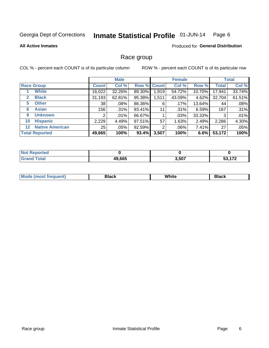#### Inmate Statistical Profile 01-JUN-14 Page 6

#### **All Active Inmates**

#### **Produced for General Distribution**

#### Race group

COL % - percent each COUNT is of its particular column

|                                   |              | <b>Male</b> |        |             | <b>Female</b> |          |              | <b>Total</b> |
|-----------------------------------|--------------|-------------|--------|-------------|---------------|----------|--------------|--------------|
| <b>Race Group</b>                 | <b>Count</b> | Col %       |        | Row % Count | Col %         | Row %    | <b>Total</b> | Col %        |
| <b>White</b>                      | 16,022       | 32.26%      | 89.30% | 1,919       | 54.72%        | 10.70%   | 17,941       | 33.74%       |
| <b>Black</b><br>2                 | 31,193       | 62.81%      | 95.38% | 1,511       | 43.09%        | 4.62%    | 32,704       | 61.51%       |
| <b>Other</b><br>5.                | 38           | $.08\%$     | 86.36% | 6           | .17%          | 13.64%   | 44           | .08%         |
| <b>Asian</b><br>6                 | 156          | $.31\%$     | 93.41% | 11          | .31%          | 6.59%    | 167          | .31%         |
| <b>Unknown</b><br>9               | 2            | $.01\%$     | 66.67% |             | .03%          | 33.33%   | 3            | .01%         |
| <b>Hispanic</b><br>10             | 2,229        | 4.49%       | 97.51% | 57          | 1.63%         | 2.49%    | 2,286        | 4.30%        |
| <b>Native American</b><br>$12 \,$ | 25           | $.05\%$     | 92.59% | 2           | $.06\%$       | $7.41\%$ | 27           | .05%         |
| <b>Total Reported</b>             | 49,665       | 100%        | 93.4%  | 3,507       | 100%          | 6.6%     | 53,172       | 100%         |

| <b>Reported</b><br><b>NOT</b> |        |       |               |
|-------------------------------|--------|-------|---------------|
| <b>Total</b><br>Gra           | 49,665 | 3,507 | $\rightarrow$ |

| M.<br>____ | . | ------- |
|------------|---|---------|
|            |   |         |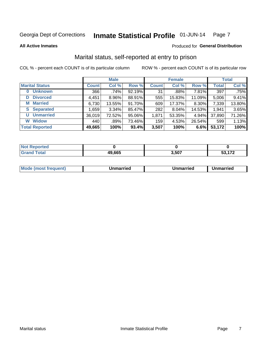#### Inmate Statistical Profile 01-JUN-14 Page 7

**All Active Inmates** 

#### Produced for General Distribution

# Marital status, self-reported at entry to prison

COL % - percent each COUNT is of its particular column

|                            |              | <b>Male</b> |        |              | <b>Female</b> |        |              | <b>Total</b> |
|----------------------------|--------------|-------------|--------|--------------|---------------|--------|--------------|--------------|
| <b>Marital Status</b>      | <b>Count</b> | Col %       | Row %  | <b>Count</b> | Col %         | Row %  | <b>Total</b> | Col %        |
| <b>Unknown</b><br>$\bf{0}$ | 366          | .74%        | 92.19% | 31           | .88%          | 7.81%  | 397          | .75%         |
| <b>Divorced</b><br>D       | 4,451        | $8.96\%$    | 88.91% | 555          | 15.83%        | 11.09% | 5,006        | 9.41%        |
| <b>Married</b><br>М        | 6,730        | 13.55%      | 91.70% | 609          | 17.37%        | 8.30%  | 7,339        | 13.80%       |
| <b>Separated</b><br>S.     | 1,659        | 3.34%       | 85.47% | 282          | 8.04%         | 14.53% | 1,941        | 3.65%        |
| <b>Unmarried</b><br>U      | 36,019       | 72.52%      | 95.06% | 1,871        | 53.35%        | 4.94%  | 37,890       | 71.26%       |
| <b>Widow</b><br>W          | 440          | .89%        | 73.46% | 159          | 4.53%         | 26.54% | 599          | 1.13%        |
| <b>Total Reported</b>      | 49,665       | 100%        | 93.4%  | 3,507        | 100%          | 6.6%   | 53,172       | 100%         |

| ాorted a<br>NOT |        |       |     |
|-----------------|--------|-------|-----|
| <b>Fotal</b>    | 49,665 | 507,ر | 170 |

|--|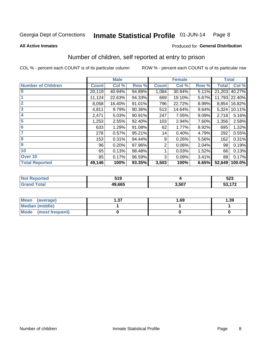#### Inmate Statistical Profile 01-JUN-14 Page 8

**All Active Inmates** 

#### Produced for General Distribution

# Number of children, self reported at entry to prison

COL % - percent each COUNT is of its particular column

|                           |              | <b>Male</b> |        |              | <b>Female</b> |       | <b>Total</b> |               |
|---------------------------|--------------|-------------|--------|--------------|---------------|-------|--------------|---------------|
| <b>Number of Children</b> | <b>Count</b> | Col %       | Row %  | <b>Count</b> | Col %         | Row % | <b>Total</b> | Col %         |
| $\bf{0}$                  | 20,119       | 40.94%      | 94.89% | 1,084        | 30.94%        | 5.11% | 21,203       | 40.27%        |
|                           | 11,124       | 22.63%      | 94.33% | 669          | 19.10%        | 5.67% |              | 11,793 22.40% |
| $\overline{2}$            | 8,058        | 16.40%      | 91.01% | 796          | 22.72%        | 8.99% | 8,854        | 16.82%        |
| 3                         | 4,811        | 9.79%       | 90.36% | 513          | 14.64%        | 9.64% | 5,324        | 10.11%        |
| 4                         | 2,471        | 5.03%       | 90.91% | 247          | 7.05%         | 9.09% | 2,718        | 5.16%         |
| 5                         | 1,253        | 2.55%       | 92.40% | 103          | 2.94%         | 7.60% | 1,356        | 2.58%         |
| 6                         | 633          | 1.29%       | 91.08% | 62           | 1.77%         | 8.92% | 695          | 1.32%         |
| 7                         | 278          | 0.57%       | 95.21% | 14           | 0.40%         | 4.79% | 292          | 0.55%         |
| 8                         | 153          | 0.31%       | 94.44% | 9            | 0.26%         | 5.56% | 162          | 0.31%         |
| 9                         | 96           | 0.20%       | 97.96% | 2            | 0.06%         | 2.04% | 98           | 0.19%         |
| 10                        | 65           | 0.13%       | 98.48% |              | 0.03%         | 1.52% | 66           | 0.13%         |
| Over 10                   | 85           | 0.17%       | 96.59% | 3            | 0.09%         | 3.41% | 88           | 0.17%         |
| <b>Total Reported</b>     | 49,146       | 100%        | 93.35% | 3,503        | 100%          | 6.65% | 52,649       | 100.0%        |

| 54 N<br>JIJ<br>$ -$ |      | <b>FOO</b><br>ວ∠ວ                              |
|---------------------|------|------------------------------------------------|
| 49.665              | .507 | $\overline{\phantom{a}}$<br>u.<br>. <i>. .</i> |

| <b>Mean</b><br>(average)       | - 27<br>I J J | 1.69 | 1.39 |
|--------------------------------|---------------|------|------|
| <b>Median (middle)</b>         |               |      |      |
| <b>Mode</b><br>(most frequent) |               |      |      |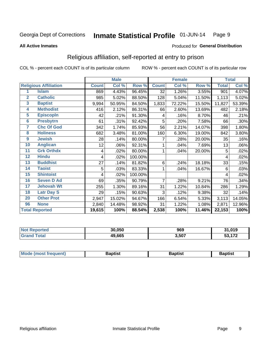#### Inmate Statistical Profile 01-JUN-14 Page 9

#### **All Active Inmates**

#### Produced for General Distribution

# Religious affiliation, self-reported at entry to prison

COL % - percent each COUNT is of its particular column

|                 |                              | <b>Male</b>  |        |         | <b>Female</b>  |        |        | <b>Total</b> |        |
|-----------------|------------------------------|--------------|--------|---------|----------------|--------|--------|--------------|--------|
|                 | <b>Religious Affiliation</b> | <b>Count</b> | Col %  | Row %   | <b>Count</b>   | Col %  | Row %  | <b>Total</b> | Col %  |
| 1               | <b>Islam</b>                 | 869          | 4.43%  | 96.45%  | 32             | 1.26%  | 3.55%  | 901          | 4.07%  |
| $\overline{2}$  | <b>Catholic</b>              | 985          | 5.02%  | 88.50%  | 128            | 5.04%  | 11.50% | 1,113        | 5.02%  |
| $\mathbf{3}$    | <b>Baptist</b>               | 9,994        | 50.95% | 84.50%  | 1,833          | 72.22% | 15.50% | 11,827       | 53.39% |
| 4               | <b>Methodist</b>             | 416          | 2.12%  | 86.31%  | 66             | 2.60%  | 13.69% | 482          | 2.18%  |
| $\overline{5}$  | <b>EpiscopIn</b>             | 42           | .21%   | 91.30%  | 4              | .16%   | 8.70%  | 46           | .21%   |
| $6\overline{6}$ | <b>Presbytrn</b>             | 61           | .31%   | 92.42%  | 5              | .20%   | 7.58%  | 66           | .30%   |
| 7               | <b>Chc Of God</b>            | 342          | 1.74%  | 85.93%  | 56             | 2.21%  | 14.07% | 398          | 1.80%  |
| 8               | <b>Holiness</b>              | 682          | 3.48%  | 81.00%  | 160            | 6.30%  | 19.00% | 842          | 3.80%  |
| 9               | <b>Jewish</b>                | 28           | .14%   | 80.00%  | 7              | .28%   | 20.00% | 35           | .16%   |
| 10              | <b>Anglican</b>              | 12           | .06%   | 92.31%  |                | .04%   | 7.69%  | 13           | .06%   |
| 11              | <b>Grk Orthdx</b>            | 4            | .02%   | 80.00%  | 1              | .04%   | 20.00% | 5            | .02%   |
| 12              | <b>Hindu</b>                 | 4            | .02%   | 100.00% |                |        |        | 4            | .02%   |
| 13              | <b>Buddhist</b>              | 27           | .14%   | 81.82%  | 6              | .24%   | 18.18% | 33           | .15%   |
| 14              | <b>Taoist</b>                | 5            | .03%   | 83.33%  | 1              | .04%   | 16.67% | 6            | .03%   |
| 15              | <b>Shintoist</b>             | 4            | .02%   | 100.00% |                |        |        | 4            | .02%   |
| 16              | <b>Seven D Ad</b>            | 69           | .35%   | 90.79%  | $\overline{7}$ | .28%   | 9.21%  | 76           | .34%   |
| $\overline{17}$ | <b>Jehovah Wt</b>            | 255          | 1.30%  | 89.16%  | 31             | 1.22%  | 10.84% | 286          | 1.29%  |
| 18              | <b>Latr Day S</b>            | 29           | .15%   | 90.63%  | 3              | .12%   | 9.38%  | 32           | .14%   |
| 20              | <b>Other Prot</b>            | 2,947        | 15.02% | 94.67%  | 166            | 6.54%  | 5.33%  | 3,113        | 14.05% |
| 96              | <b>None</b>                  | 2,840        | 14.48% | 98.92%  | 31             | 1.22%  | 1.08%  | 2,871        | 12.96% |
|                 | <b>Total Reported</b>        | 19,615       | 100%   | 88.54%  | 2,538          | 100%   | 11.46% | 22,153       | 100%   |

|             | 30.050       | 969   | 31,019 |
|-------------|--------------|-------|--------|
| $f = 4 - 7$ | 19,665<br>49 | 3,507 | 170    |

|  | Mode (most frequent) | 3aptist | 3aptist | Baptist |
|--|----------------------|---------|---------|---------|
|--|----------------------|---------|---------|---------|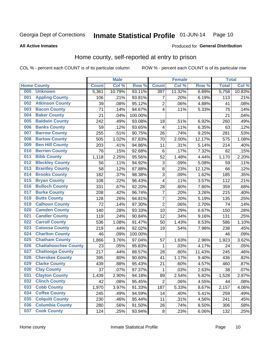#### Inmate Statistical Profile 01-JUN-14 Page 10

**All Active Inmates** 

#### Produced for General Distribution

### Home county, self-reported at entry to prison

COL % - percent each COUNT is of its particular column

|     |                             |              | <b>Male</b> |                  |                | <b>Female</b> |        | <b>Total</b> |        |
|-----|-----------------------------|--------------|-------------|------------------|----------------|---------------|--------|--------------|--------|
|     | <b>Home County</b>          | <b>Count</b> | Col %       | Row <sup>%</sup> | <b>Count</b>   | Col %         | Row %  | <b>Total</b> | Col %  |
| 000 | <b>Unknown</b>              | 5,361        | 10.79%      | 93.11%           | 397            | 11.32%        | 6.89%  | 5,758        | 10.83% |
| 001 | <b>Appling County</b>       | 106          | .21%        | 93.81%           | 7              | .20%          | 6.19%  | 113          | .21%   |
| 002 | <b>Atkinson County</b>      | 39           | .08%        | 95.12%           | $\overline{2}$ | .06%          | 4.88%  | 41           | .08%   |
| 003 | <b>Bacon County</b>         | 71           | .14%        | 94.67%           | 4              | .11%          | 5.33%  | 75           | .14%   |
| 004 | <b>Baker County</b>         | 21           | .04%        | 100.00%          |                |               |        | 21           | .04%   |
| 005 | <b>Baldwin County</b>       | 242          | .49%        | 93.08%           | 18             | .51%          | 6.92%  | 260          | .49%   |
| 006 | <b>Banks County</b>         | 59           | .12%        | 93.65%           | 4              | .11%          | 6.35%  | 63           | .12%   |
| 007 | <b>Barrow County</b>        | 255          | .51%        | 90.75%           | 26             | .74%          | 9.25%  | 281          | .53%   |
| 008 | <b>Bartow County</b>        | 505          | 1.02%       | 87.83%           | 70             | 2.00%         | 12.17% | 575          | 1.08%  |
| 009 | <b>Ben Hill County</b>      | 203          | .41%        | 94.86%           | 11             | .31%          | 5.14%  | 214          | .40%   |
| 010 | <b>Berrien County</b>       | 76           | .15%        | 92.68%           | $\,6$          | .17%          | 7.32%  | 82           | .15%   |
| 011 | <b>Bibb County</b>          | 1,118        | 2.25%       | 95.56%           | 52             | 1.48%         | 4.44%  | 1,170        | 2.20%  |
| 012 | <b>Bleckley County</b>      | 56           | .11%        | 94.92%           | 3              | .09%          | 5.08%  | 59           | .11%   |
| 013 | <b>Brantley County</b>      | 58           | .12%        | 87.88%           | $\bf 8$        | .23%          | 12.12% | 66           | .12%   |
| 014 | <b>Brooks County</b>        | 182          | .37%        | 98.38%           | $\overline{3}$ | .09%          | 1.62%  | 185          | .35%   |
| 015 | <b>Bryan County</b>         | 108          | .22%        | 96.43%           | 4              | .11%          | 3.57%  | 112          | .21%   |
| 016 | <b>Bulloch County</b>       | 331          | .67%        | 92.20%           | 28             | .80%          | 7.80%  | 359          | .68%   |
| 017 | <b>Burke County</b>         | 208          | .42%        | 96.74%           | 7              | .20%          | 3.26%  | 215          | .40%   |
| 018 | <b>Butts County</b>         | 128          | .26%        | 94.81%           | $\overline{7}$ | .20%          | 5.19%  | 135          | .25%   |
| 019 | <b>Calhoun County</b>       | 72           | .14%        | 97.30%           | $\overline{2}$ | .06%          | 2.70%  | 74           | .14%   |
| 020 | <b>Camden County</b>        | 140          | .28%        | 93.33%           | 10             | .29%          | 6.67%  | 150          | .28%   |
| 021 | <b>Candler County</b>       | 119          | .24%        | 90.84%           | 12             | .34%          | 9.16%  | 131          | .25%   |
| 022 | <b>Carroll County</b>       | 536          | 1.08%       | 91.47%           | 50             | 1.43%         | 8.53%  | 586          | 1.10%  |
| 023 | <b>Catoosa County</b>       | 219          | .44%        | 92.02%           | 19             | .54%          | 7.98%  | 238          | .45%   |
| 024 | <b>Charlton County</b>      | 46           | .09%        | 100.00%          |                |               |        | 46           | .09%   |
| 025 | <b>Chatham County</b>       | 1,866        | 3.76%       | 97.04%           | 57             | 1.63%         | 2.96%  | 1,923        | 3.62%  |
| 026 | <b>Chattahoochee County</b> | 23           | .05%        | 95.83%           | 1              | .03%          | 4.17%  | 24           | .05%   |
| 027 | <b>Chattooga County</b>     | 217          | .44%        | 88.57%           | 28             | .80%          | 11.43% | 245          | .46%   |
| 028 | <b>Cherokee County</b>      | 395          | .80%        | 90.60%           | 41             | 1.17%         | 9.40%  | 436          | .82%   |
| 029 | <b>Clarke County</b>        | 439          | .88%        | 95.43%           | 21             | .60%          | 4.57%  | 460          | .87%   |
| 030 | <b>Clay County</b>          | 37           | .07%        | 97.37%           | $\mathbf{1}$   | .03%          | 2.63%  | 38           | .07%   |
| 031 | <b>Clayton County</b>       | 1,439        | 2.90%       | 94.18%           | 89             | 2.54%         | 5.82%  | 1,528        | 2.87%  |
| 032 | <b>Clinch County</b>        | 42           | .08%        | 95.45%           | $\overline{2}$ | .06%          | 4.55%  | 44           | .08%   |
| 033 | <b>Cobb County</b>          | 1,970        | 3.97%       | 91.33%           | 187            | 5.33%         | 8.67%  | 2,157        | 4.06%  |
| 034 | <b>Coffee County</b>        | 245          | .49%        | 94.59%           | 14             | .40%          | 5.41%  | 259          | .49%   |
| 035 | <b>Colquitt County</b>      | 230          | .46%        | 95.44%           | 11             | .31%          | 4.56%  | 241          | .45%   |
| 036 | <b>Columbia County</b>      | 280          | .56%        | 91.50%           | 26             | .74%          | 8.50%  | 306          | .58%   |
| 037 | <b>Cook County</b>          | 124          | .25%        | 93.94%           | $\bf 8$        | .23%          | 6.06%  | 132          | .25%   |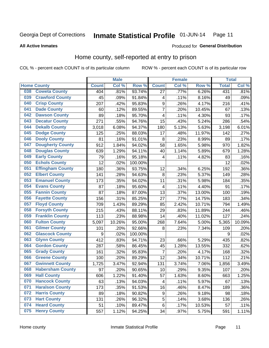#### Inmate Statistical Profile 01-JUN-14 Page 11

#### **All Active Inmates**

### Produced for General Distribution

# Home county, self-reported at entry to prison

COL % - percent each COUNT is of its particular column

|     |                         |              | <b>Male</b> |                  |                         | <b>Female</b> |        | <b>Total</b> |         |
|-----|-------------------------|--------------|-------------|------------------|-------------------------|---------------|--------|--------------|---------|
|     | <b>Home County</b>      | <b>Count</b> | Col %       | Row <sup>%</sup> | <b>Count</b>            | Col %         | Row %  | <b>Total</b> | Col %   |
| 038 | <b>Coweta County</b>    | 404          | .81%        | 93.74%           | 27                      | .77%          | 6.26%  | 431          | .81%    |
| 039 | <b>Crawford County</b>  | 45           | .09%        | 91.84%           | 4                       | .11%          | 8.16%  | 49           | .09%    |
| 040 | <b>Crisp County</b>     | 207          | .42%        | 95.83%           | $\boldsymbol{9}$        | .26%          | 4.17%  | 216          | .41%    |
| 041 | <b>Dade County</b>      | 60           | .12%        | 89.55%           | $\overline{7}$          | .20%          | 10.45% | 67           | .13%    |
| 042 | <b>Dawson County</b>    | 89           | .18%        | 95.70%           | $\overline{\mathbf{4}}$ | .11%          | 4.30%  | 93           | .17%    |
| 043 | <b>Decatur County</b>   | 271          | .55%        | 94.76%           | $\overline{15}$         | .43%          | 5.24%  | 286          | .54%    |
| 044 | <b>Dekalb County</b>    | 3,018        | 6.08%       | 94.37%           | 180                     | 5.13%         | 5.63%  | 3,198        | 6.01%   |
| 045 | <b>Dodge County</b>     | 125          | .25%        | 88.03%           | 17                      | .48%          | 11.97% | 142          | .27%    |
| 046 | <b>Dooly County</b>     | 81           | .16%        | 91.01%           | 8                       | .23%          | 8.99%  | 89           | .17%    |
| 047 | <b>Dougherty County</b> | 912          | 1.84%       | 94.02%           | 58                      | 1.65%         | 5.98%  | 970          | 1.82%   |
| 048 | <b>Douglas County</b>   | 639          | 1.29%       | 94.11%           | 40                      | 1.14%         | 5.89%  | 679          | 1.28%   |
| 049 | <b>Early County</b>     | 79           | .16%        | 95.18%           | $\overline{\mathbf{4}}$ | .11%          | 4.82%  | 83           | .16%    |
| 050 | <b>Echols County</b>    | 12           | .02%        | 100.00%          |                         |               |        | 12           | .02%    |
| 051 | <b>Effingham County</b> | 180          | .36%        | 93.75%           | 12                      | .34%          | 6.25%  | 192          | .36%    |
| 052 | <b>Elbert County</b>    | 141          | .28%        | 94.63%           | 8                       | .23%          | 5.37%  | 149          | .28%    |
| 053 | <b>Emanuel County</b>   | 173          | .35%        | 94.02%           | 11                      | .31%          | 5.98%  | 184          | .35%    |
| 054 | <b>Evans County</b>     | 87           | .18%        | 95.60%           | $\overline{\mathbf{4}}$ | .11%          | 4.40%  | 91           | .17%    |
| 055 | <b>Fannin County</b>    | 87           | .18%        | 87.00%           | 13                      | .37%          | 13.00% | 100          | .19%    |
| 056 | <b>Fayette County</b>   | 156          | .31%        | 85.25%           | 27                      | .77%          | 14.75% | 183          | .34%    |
| 057 | <b>Floyd County</b>     | 709          | 1.43%       | 89.29%           | 85                      | 2.42%         | 10.71% | 794          | 1.49%   |
| 058 | <b>Forsyth County</b>   | 215          | .43%        | 88.11%           | 29                      | .83%          | 11.89% | 244          | .46%    |
| 059 | <b>Franklin County</b>  | 113          | .23%        | 88.98%           | 14                      | .40%          | 11.02% | 127          | .24%    |
| 060 | <b>Fulton County</b>    | 5,097        | 10.26%      | 95.00%           | 268                     | 7.64%         | 5.00%  | 5,365        | 10.09%  |
| 061 | <b>Gilmer County</b>    | 101          | .20%        | 92.66%           | 8                       | .23%          | 7.34%  | 109          | .20%    |
| 062 | <b>Glascock County</b>  | 9            | .02%        | 100.00%          |                         |               |        | 9            | .02%    |
| 063 | <b>Glynn County</b>     | 412          | .83%        | 94.71%           | 23                      | .66%          | 5.29%  | 435          | .82%    |
| 064 | <b>Gordon County</b>    | 287          | .58%        | 86.45%           | 45                      | 1.28%         | 13.55% | 332          | .62%    |
| 065 | <b>Grady County</b>     | 161          | .32%        | 95.83%           | 7                       | .20%          | 4.17%  | 168          | .32%    |
| 066 | <b>Greene County</b>    | 100          | .20%        | 89.29%           | 12                      | .34%          | 10.71% | 112          | .21%    |
| 067 | <b>Gwinnett County</b>  | 1,725        | 3.47%       | 92.94%           | 131                     | 3.74%         | 7.06%  | 1,856        | 3.49%   |
| 068 | <b>Habersham County</b> | 97           | .20%        | 90.65%           | 10                      | .29%          | 9.35%  | 107          | .20%    |
| 069 | <b>Hall County</b>      | 606          | 1.22%       | 91.40%           | 57                      | 1.63%         | 8.60%  | 663          | 1.25%   |
| 070 | <b>Hancock County</b>   | 63           | .13%        | 94.03%           | 4                       | .11%          | 5.97%  | 67           | .13%    |
| 071 | <b>Haralson County</b>  | 173          | .35%        | 91.53%           | 16                      | .46%          | 8.47%  | 189          | $.36\%$ |
| 072 | <b>Harris County</b>    | 89           | .18%        | 90.82%           | $\boldsymbol{9}$        | .26%          | 9.18%  | 98           | .18%    |
| 073 | <b>Hart County</b>      | 131          | .26%        | 96.32%           | 5                       | .14%          | 3.68%  | 136          | .26%    |
| 074 | <b>Heard County</b>     | 51           | .10%        | 89.47%           | 6                       | .17%          | 10.53% | 57           | .11%    |
| 075 | <b>Henry County</b>     | 557          | 1.12%       | 94.25%           | 34                      | .97%          | 5.75%  | 591          | 1.11%   |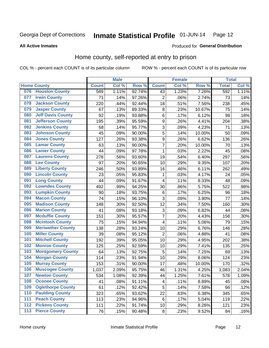#### Inmate Statistical Profile 01-JUN-14 Page 12

#### **All Active Inmates**

#### Produced for General Distribution

### Home county, self-reported at entry to prison

COL % - percent each COUNT is of its particular column

|     |                          |              | <b>Male</b> |                  |                  | <b>Female</b> |        | <b>Total</b> |       |
|-----|--------------------------|--------------|-------------|------------------|------------------|---------------|--------|--------------|-------|
|     | <b>Home County</b>       | <b>Count</b> | Col %       | Row <sup>%</sup> | <b>Count</b>     | Col %         | Row %  | <b>Total</b> | Col % |
|     | 076 Houston County       | 549          | 1.11%       | 92.74%           | 43               | 1.23%         | 7.26%  | 592          | 1.11% |
| 077 | <b>Irwin County</b>      | 71           | .14%        | 97.26%           | $\overline{2}$   | .06%          | 2.74%  | 73           | .14%  |
| 078 | <b>Jackson County</b>    | 220          | .44%        | 92.44%           | 18               | .51%          | 7.56%  | 238          | .45%  |
| 079 | <b>Jasper County</b>     | 67           | .13%        | 89.33%           | 8                | .23%          | 10.67% | 75           | .14%  |
| 080 | <b>Jeff Davis County</b> | 92           | .19%        | 93.88%           | 6                | .17%          | 6.12%  | 98           | .18%  |
| 081 | <b>Jefferson County</b>  | 195          | .39%        | 95.59%           | $\overline{9}$   | .26%          | 4.41%  | 204          | .38%  |
| 082 | <b>Jenkins County</b>    | 68           | .14%        | 95.77%           | 3                | .09%          | 4.23%  | 71           | .13%  |
| 083 | <b>Johnson County</b>    | 45           | .09%        | 90.00%           | 5                | .14%          | 10.00% | 50           | .09%  |
| 084 | <b>Jones County</b>      | 127          | .26%        | 93.38%           | $\boldsymbol{9}$ | .26%          | 6.62%  | 136          | .26%  |
| 085 | <b>Lamar County</b>      | 63           | .13%        | 90.00%           | $\overline{7}$   | .20%          | 10.00% | 70           | .13%  |
| 086 | <b>Lanier County</b>     | 44           | .09%        | 97.78%           | 1                | .03%          | 2.22%  | 45           | .08%  |
| 087 | <b>Laurens County</b>    | 278          | .56%        | 93.60%           | 19               | .54%          | 6.40%  | 297          | .56%  |
| 088 | <b>Lee County</b>        | 97           | .20%        | 90.65%           | 10               | .29%          | 9.35%  | 107          | .20%  |
| 089 | <b>Liberty County</b>    | 246          | .50%        | 93.89%           | 16               | .46%          | 6.11%  | 262          | .49%  |
| 090 | <b>Lincoln County</b>    | 23           | .05%        | 95.83%           | 1                | .03%          | 4.17%  | 24           | .05%  |
| 091 | <b>Long County</b>       | 44           | .09%        | 91.67%           | 4                | .11%          | 8.33%  | 48           | .09%  |
| 092 | <b>Lowndes County</b>    | 492          | .99%        | 94.25%           | 30               | .86%          | 5.75%  | 522          | .98%  |
| 093 | <b>Lumpkin County</b>    | 90           | .18%        | 93.75%           | $\,6$            | .17%          | 6.25%  | 96           | .18%  |
| 094 | <b>Macon County</b>      | 74           | .15%        | 96.10%           | 3                | .09%          | 3.90%  | 77           | .14%  |
| 095 | <b>Madison County</b>    | 148          | .30%        | 92.50%           | 12               | .34%          | 7.50%  | 160          | .30%  |
| 096 | <b>Marion County</b>     | 41           | .08%        | 93.18%           | 3                | .09%          | 6.82%  | 44           | .08%  |
| 097 | <b>Mcduffie County</b>   | 151          | .30%        | 95.57%           | $\overline{7}$   | .20%          | 4.43%  | 158          | .30%  |
| 098 | <b>Mcintosh County</b>   | 75           | .15%        | 94.94%           | 4                | .11%          | 5.06%  | 79           | .15%  |
| 099 | <b>Meriwether County</b> | 138          | .28%        | 93.24%           | 10               | .29%          | 6.76%  | 148          | .28%  |
| 100 | <b>Miller County</b>     | 39           | .08%        | 95.12%           | $\overline{2}$   | .06%          | 4.88%  | 41           | .08%  |
| 101 | <b>Mitchell County</b>   | 192          | .39%        | 95.05%           | 10               | .29%          | 4.95%  | 202          | .38%  |
| 102 | <b>Monroe County</b>     | 125          | .25%        | 92.59%           | 10               | .29%          | 7.41%  | 135          | .25%  |
| 103 | <b>Montgomery County</b> | 64           | .13%        | 92.75%           | 5                | .14%          | 7.25%  | 69           | .13%  |
| 104 | <b>Morgan County</b>     | 114          | .23%        | 91.94%           | 10               | .29%          | 8.06%  | 124          | .23%  |
| 105 | <b>Murray County</b>     | 153          | .31%        | 90.00%           | 17               | .48%          | 10.00% | 170          | .32%  |
| 106 | <b>Muscogee County</b>   | 1,037        | 2.09%       | 95.75%           | 46               | 1.31%         | 4.25%  | 1,083        | 2.04% |
| 107 | <b>Newton County</b>     | 534          | 1.08%       | 92.39%           | 44               | 1.25%         | 7.61%  | 578          | 1.09% |
| 108 | <b>Oconee County</b>     | 41           | .08%        | 91.11%           | 4                | .11%          | 8.89%  | 45           | .08%  |
| 109 | <b>Oglethorpe County</b> | 61           | .12%        | 92.42%           | 5                | .14%          | 7.58%  | 66           | .12%  |
| 110 | <b>Paulding County</b>   | 323          | .65%        | 93.62%           | 22               | .63%          | 6.38%  | 345          | .65%  |
| 111 | <b>Peach County</b>      | 113          | .23%        | 94.96%           | $\,6$            | .17%          | 5.04%  | 119          | .22%  |
| 112 | <b>Pickens County</b>    | 111          | .22%        | 91.74%           | 10               | .29%          | 8.26%  | 121          | .23%  |
| 113 | <b>Pierce County</b>     | 76           | .15%        | 90.48%           | $\bf 8$          | .23%          | 9.52%  | 84           | .16%  |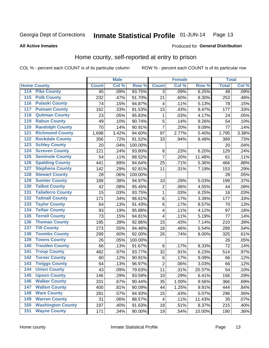#### Inmate Statistical Profile 01-JUN-14 Page 13

#### **All Active Inmates**

#### Produced for General Distribution

# Home county, self-reported at entry to prison

COL % - percent each COUNT is of its particular column

|                                          |              | <b>Male</b> |         |                | <b>Female</b> |        | <b>Total</b> |         |
|------------------------------------------|--------------|-------------|---------|----------------|---------------|--------|--------------|---------|
| <b>Home County</b>                       | <b>Count</b> | Col %       | Row %   | <b>Count</b>   | Col %         | Row %  | <b>Total</b> | Col %   |
| <b>Pike County</b><br>114                | 45           | .09%        | 93.75%  | 3              | .09%          | 6.25%  | 48           | .09%    |
| <b>Polk County</b><br>115                | 232          | .47%        | 91.70%  | 21             | .60%          | 8.30%  | 253          | .48%    |
| <b>Pulaski County</b><br>116             | 74           | .15%        | 94.87%  | 4              | .11%          | 5.13%  | 78           | .15%    |
| <b>Putnam County</b><br>117              | 162          | .33%        | 91.53%  | 15             | .43%          | 8.47%  | 177          | .33%    |
| <b>Quitman County</b><br>118             | 23           | .05%        | 95.83%  | 1              | .03%          | 4.17%  | 24           | .05%    |
| <b>Rabun County</b><br>119               | 49           | .10%        | 90.74%  | 5              | .14%          | 9.26%  | 54           | .10%    |
| <b>Randolph County</b><br>120            | 70           | .14%        | 90.91%  | $\overline{7}$ | .20%          | 9.09%  | 77           | .14%    |
| <b>Richmond County</b><br>121            | 1,698        | 3.42%       | 94.60%  | 97             | 2.77%         | 5.40%  | 1,795        | 3.38%   |
| <b>Rockdale County</b><br>122            | 356          | .72%        | 91.52%  | 33             | .94%          | 8.48%  | 389          | .73%    |
| <b>Schley County</b><br>123              | 20           | .04%        | 100.00% |                |               |        | 20           | .04%    |
| <b>Screven County</b><br>124             | 121          | .24%        | 93.80%  | 8              | .23%          | 6.20%  | 129          | .24%    |
| <b>Seminole County</b><br>125            | 54           | .11%        | 88.52%  | $\overline{7}$ | .20%          | 11.48% | 61           | .11%    |
| <b>Spalding County</b><br>126            | 441          | .89%        | 94.64%  | 25             | .71%          | 5.36%  | 466          | .88%    |
| <b>Stephens County</b><br>127            | 142          | .29%        | 92.81%  | 11             | .31%          | 7.19%  | 153          | .29%    |
| <b>Stewart County</b><br>128             | 28           | .06%        | 100.00% |                |               |        | 28           | .05%    |
| <b>Sumter County</b><br>129              | 189          | .38%        | 94.97%  | 10             | .29%          | 5.03%  | 199          | .37%    |
| <b>Talbot County</b><br>130              | 42           | .08%        | 95.45%  | $\overline{2}$ | .06%          | 4.55%  | 44           | .08%    |
| <b>Taliaferro County</b><br>131          | 15           | .03%        | 93.75%  | $\mathbf{1}$   | .03%          | 6.25%  | 16           | .03%    |
| <b>Tattnall County</b><br>132            | 171          | .34%        | 96.61%  | $\,6$          | .17%          | 3.39%  | 177          | .33%    |
| <b>Taylor County</b><br>133              | 64           | .13%        | 91.43%  | 6              | .17%          | 8.57%  | 70           | .13%    |
| <b>Telfair County</b><br>134             | 93           | .19%        | 95.88%  | 4              | .11%          | 4.12%  | 97           | .18%    |
| <b>Terrell County</b><br>135             | 73           | .15%        | 94.81%  | 4              | .11%          | 5.19%  | 77           | .14%    |
| <b>Thomas County</b><br>136              | 195          | .39%        | 92.86%  | 15             | .43%          | 7.14%  | 210          | .39%    |
| 137<br><b>Tift County</b>                | 273          | .55%        | 94.46%  | 16             | .46%          | 5.54%  | 289          | .54%    |
| <b>Toombs County</b><br>138              | 299          | .60%        | 92.00%  | 26             | .74%          | 8.00%  | 325          | .61%    |
| <b>Towns County</b><br>139               | 26           | .05%        | 100.00% |                |               |        | 26           | .05%    |
| <b>Treutlen County</b><br>140            | 66           | .13%        | 91.67%  | $\,6$          | .17%          | 8.33%  | 72           | .14%    |
| <b>Troup County</b><br>141               | 482          | .97%        | 93.77%  | 32             | .91%          | 6.23%  | 514          | .97%    |
| <b>Turner County</b><br>$\overline{142}$ | 60           | .12%        | 90.91%  | $\,6$          | .17%          | 9.09%  | 66           | .12%    |
| <b>Twiggs County</b><br>143              | 64           | .13%        | 96.97%  | $\overline{c}$ | .06%          | 3.03%  | 66           | .12%    |
| <b>Union County</b><br>144               | 43           | .09%        | 79.63%  | 11             | .31%          | 20.37% | 54           | .10%    |
| 145<br><b>Upson County</b>               | 146          | .29%        | 93.59%  | 10             | .29%          | 6.41%  | 156          | .29%    |
| <b>Walker County</b><br>146              | 331          | .67%        | 90.44%  | 35             | 1.00%         | 9.56%  | 366          | .69%    |
| <b>Walton County</b><br>147              | 400          | .81%        | 90.09%  | 44             | 1.25%         | 9.91%  | 444          | .84%    |
| <b>Ware County</b><br>148                | 281          | .57%        | 94.93%  | 15             | .43%          | 5.07%  | 296          | .56%    |
| <b>Warren County</b><br>149              | 31           | .06%        | 88.57%  | 4              | .11%          | 11.43% | 35           | .07%    |
| <b>Washington County</b><br>150          | 197          | .40%        | 91.63%  | 18             | .51%          | 8.37%  | 215          | .40%    |
| <b>Wayne County</b><br>151               | 171          | .34%        | 90.00%  | 19             | .54%          | 10.00% | 190          | $.36\%$ |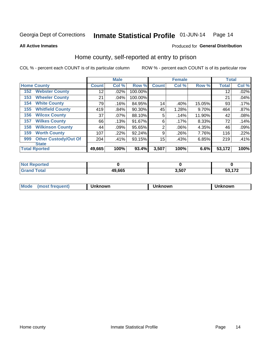#### Inmate Statistical Profile 01-JUN-14 Page 14

**All Active Inmates** 

#### Produced for General Distribution

### Home county, self-reported at entry to prison

COL % - percent each COUNT is of its particular column

|     |                             |              | <b>Male</b> |         |              | <b>Female</b> |        | <b>Total</b> |       |
|-----|-----------------------------|--------------|-------------|---------|--------------|---------------|--------|--------------|-------|
|     | <b>Home County</b>          | <b>Count</b> | Col %       | Row %   | <b>Count</b> | Col %         | Row %  | <b>Total</b> | Col % |
| 152 | <b>Webster County</b>       | 12           | .02%        | 100.00% |              |               |        | 12           | .02%  |
| 153 | <b>Wheeler County</b>       | 21           | .04%        | 100.00% |              |               |        | 21           | .04%  |
| 154 | <b>White County</b>         | 79           | .16%        | 84.95%  | 14           | .40%          | 15.05% | 93           | .17%  |
| 155 | <b>Whitfield County</b>     | 419          | .84%        | 90.30%  | 45           | 1.28%         | 9.70%  | 464          | .87%  |
| 156 | <b>Wilcox County</b>        | 37           | .07%        | 88.10%  | 5            | .14%          | 11.90% | 42           | .08%  |
| 157 | <b>Wilkes County</b>        | 66           | .13%        | 91.67%  | 6            | .17%          | 8.33%  | 72           | .14%  |
| 158 | <b>Wilkinson County</b>     | 44           | .09%        | 95.65%  | 2            | .06%          | 4.35%  | 46           | .09%  |
| 159 | <b>Worth County</b>         | 107          | .22%        | 92.24%  | 9            | .26%          | 7.76%  | 116          | .22%  |
| 999 | <b>Other Custody/Out Of</b> | 204          | .41%        | 93.15%  | 15           | .43%          | 6.85%  | 219          | .41%  |
|     | <b>State</b>                |              |             |         |              |               |        |              |       |
|     | <b>Total Rported</b>        | 49,665       | 100%        | 93.4%   | 3,507        | 100%          | 6.6%   | 53,172       | 100%  |

| Reported<br>NOT |        |       |         |
|-----------------|--------|-------|---------|
| <b>Total</b>    | 49,665 | 3,507 | EO 470. |

| Mode<br><b>Tequent)</b><br>ns | nown | mown | เทown |
|-------------------------------|------|------|-------|
|                               |      |      |       |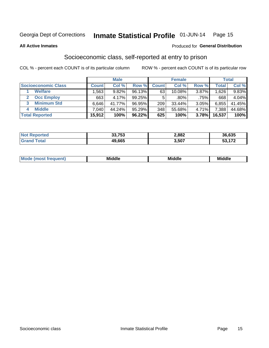# Inmate Statistical Profile 01-JUN-14 Page 15

#### **All Active Inmates**

#### **Produced for General Distribution**

# Socioeconomic class, self-reported at entry to prison

COL % - percent each COUNT is of its particular column

|                       |                | <b>Male</b> |           |              | <b>Female</b> |       |        | <b>Total</b> |
|-----------------------|----------------|-------------|-----------|--------------|---------------|-------|--------|--------------|
| Socioeconomic Class   | <b>Count</b> l | Col %       | Row %     | <b>Count</b> | Col %         | Row % | Total  | Col %        |
| <b>Welfare</b>        | .563           | 9.82%       | 96.13%    | 63           | $10.08\%$     | 3.87% | .626 ا | 9.83%        |
| <b>Occ Employ</b>     | 663            | 4.17%       | $99.25\%$ | 5.           | $.80\%$       | .75%  | 668    | 4.04%        |
| <b>Minimum Std</b>    | 6,646          | 41.77%      | 96.95%    | 209          | 33.44%        | 3.05% | 6,855  | 41.45%       |
| <b>Middle</b>         | 7.040          | 44.24%      | 95.29%    | 348          | 55.68%        | 4.71% | 7,388  | 44.68%       |
| <b>Total Reported</b> | 15,912         | 100%        | 96.22%    | 625          | 100%          | 3.78% | 16,537 | 100%         |

| τeα | 33.753 | 2,882 | 36,635        |
|-----|--------|-------|---------------|
|     | 49.665 | 3,507 | $\rightarrow$ |

| Mo<br>'dle<br>Middle<br>Mid<br><b>Middle</b><br>____<br>____<br>____ |
|----------------------------------------------------------------------|
|----------------------------------------------------------------------|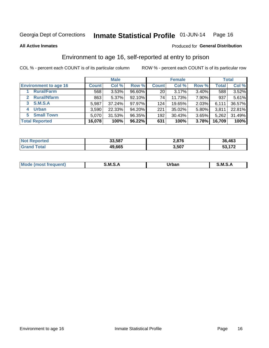# Inmate Statistical Profile 01-JUN-14 Page 16

#### **All Active Inmates**

#### Produced for General Distribution

# Environment to age 16, self-reported at entry to prison

COL % - percent each COUNT is of its particular column

|                                   |              | <b>Male</b> |        |              | <b>Female</b> |          |        | <b>Total</b> |
|-----------------------------------|--------------|-------------|--------|--------------|---------------|----------|--------|--------------|
| <b>Environment to age 16</b>      | <b>Count</b> | Col %       | Row %  | <b>Count</b> | Col %         | Row %    | Total  | Col %        |
| <b>Rural/Farm</b>                 | 568          | 3.53%       | 96.60% | 20           | 3.17%         | 3.40%    | 588    | 3.52%        |
| <b>Rural/Nfarm</b><br>$2^{\circ}$ | 863          | $5.37\%$    | 92.10% | 74           | 11.73%        | 7.90%    | 937    | 5.61%        |
| <b>S.M.S.A</b><br>3 <sup>1</sup>  | 5,987        | 37.24%      | 97.97% | 124          | 19.65%        | $2.03\%$ | 6,111  | 36.57%       |
| <b>Urban</b><br>4                 | 3,590        | 22.33%      | 94.20% | 221          | 35.02%        | 5.80%    | 3,811  | 22.81%       |
| <b>Small Town</b><br>5.           | 5,070        | 31.53%      | 96.35% | 192          | 30.43%        | 3.65%    | 5,262  | 31.49%       |
| <b>Total Reported</b>             | 16,078       | 100%        | 96.22% | 631          | 100%          | 3.78%    | 16,709 | 100%         |

| <b>Not Reported</b> | 33,587 | 2,876 | 36,463 |
|---------------------|--------|-------|--------|
| $\tau$ otal         | 49,665 | 3,507 | 53,172 |

| M | .<br>M | Irhan<br>_____ | M<br>-<br>______ |
|---|--------|----------------|------------------|
|   |        |                |                  |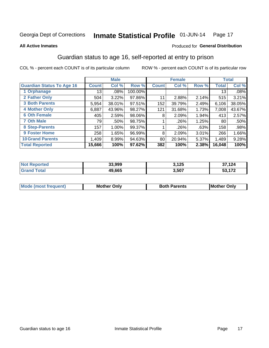#### Inmate Statistical Profile 01-JUN-14 Page 17

#### **All Active Inmates**

#### Produced for General Distribution

# Guardian status to age 16, self-reported at entry to prison

COL % - percent each COUNT is of its particular column

|                                  |              | <b>Male</b> |           |              | <b>Female</b> |       |              | <b>Total</b> |
|----------------------------------|--------------|-------------|-----------|--------------|---------------|-------|--------------|--------------|
| <b>Guardian Status To Age 16</b> | <b>Count</b> | Col %       | Row %     | <b>Count</b> | Col %         | Row % | <b>Total</b> | Col %        |
| 1 Orphanage                      | 13           | .08%        | 100.00%   |              |               |       | 13           | .08%         |
| 2 Father Only                    | 504          | 3.22%       | 97.86%    | 11           | 2.88%         | 2.14% | 515          | 3.21%        |
| <b>3 Both Parents</b>            | 5,954        | 38.01%      | $97.51\%$ | 152          | 39.79%        | 2.49% | 6,106        | 38.05%       |
| <b>4 Mother Only</b>             | 6,887        | 43.96%      | 98.27%    | 121          | 31.68%        | 1.73% | 7,008        | 43.67%       |
| <b>6 Oth Female</b>              | 405          | 2.59%       | 98.06%    | 8            | 2.09%         | 1.94% | 413          | 2.57%        |
| <b>7 Oth Male</b>                | 79           | .50%        | 98.75%    |              | .26%          | 1.25% | 80           | .50%         |
| 8 Step-Parents                   | 157          | 1.00%       | 99.37%    |              | .26%          | .63%  | 158          | .98%         |
| 9 Foster Home                    | 258          | 1.65%       | 96.99%    | 8            | 2.09%         | 3.01% | 266          | 1.66%        |
| <b>10 Grand Parents</b>          | 1,409        | 8.99%       | 94.63%    | 80           | 20.94%        | 5.37% | 1,489        | 9.28%        |
| <b>Total Reported</b>            | 15,666       | 100%        | 97.62%    | 382          | 100%          | 2.38% | 16,048       | 100%         |

| Reported<br><b>Not</b> | 33,999 | 3,125 | .124        |
|------------------------|--------|-------|-------------|
| ⊺otai                  | 49.665 | 3,507 | $E_2 = 4.7$ |

| Mode<br>(most frequent) | <b>Mother Only</b> | <b>Both Parents</b> | <b>Mother Only</b> |
|-------------------------|--------------------|---------------------|--------------------|
|                         |                    |                     |                    |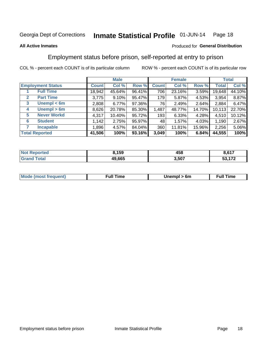#### Inmate Statistical Profile 01-JUN-14 Page 18

#### **All Active Inmates**

#### Produced for General Distribution

# Employment status before prison, self-reported at entry to prison

COL % - percent each COUNT is of its particular column

|                                  |              | <b>Male</b> |        |              | <b>Female</b> |          |              | <b>Total</b> |
|----------------------------------|--------------|-------------|--------|--------------|---------------|----------|--------------|--------------|
| <b>Employment Status</b>         | <b>Count</b> | Col %       | Row %  | <b>Count</b> | Col %         | Row %    | <b>Total</b> | Col %        |
| <b>Full Time</b>                 | 18,942       | 45.64%      | 96.41% | 706          | 23.16%        | 3.59%    | 19,648       | 44.10%       |
| <b>Part Time</b><br>$\mathbf{2}$ | 3,775        | 9.10%       | 95.47% | 179          | 5.87%         | $4.53\%$ | 3,954        | 8.87%        |
| Unempl $<$ 6m<br>3               | 2,808        | 6.77%       | 97.36% | 76           | 2.49%         | 2.64%    | 2,884        | 6.47%        |
| Unempl > 6m<br>4                 | 8,626        | 20.78%      | 85.30% | 1,487        | 48.77%        | 14.70%   | 10,113       | 22.70%       |
| <b>Never Workd</b><br>5          | 4,317        | 10.40%      | 95.72% | 193          | 6.33%         | 4.28%    | 4,510        | 10.12%       |
| <b>Student</b><br>6              | 1,142        | 2.75%       | 95.97% | 48           | 1.57%         | 4.03%    | 1,190        | 2.67%        |
| <b>Incapable</b>                 | 1,896        | 4.57%       | 84.04% | 360          | 11.81%        | 15.96%   | 2,256        | 5.06%        |
| <b>Total Reported</b>            | 41,506       | 100%        | 93.16% | 3,049        | 100%          | 6.84%    | 44,555       | 100%         |

| N | 8,159  | 458   | 0.47       |
|---|--------|-------|------------|
|   | 49.665 | 3,507 | 170<br>- - |

| <b>Mode (most frequent)</b> | <b>Full</b><br>™e | > 6m<br>,,,,,,,, | īme<br>∙uı. |
|-----------------------------|-------------------|------------------|-------------|
|                             |                   |                  |             |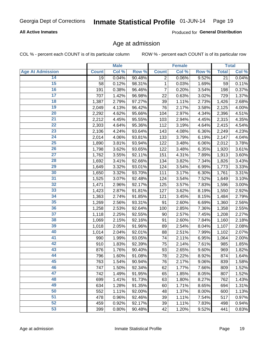#### **All Active Inmates**

Produced for General Distribution

### Age at admission

COL % - percent each COUNT is of its particular column

|                         |              | <b>Male</b> |        |              | <b>Female</b> |       |              | <b>Total</b> |
|-------------------------|--------------|-------------|--------|--------------|---------------|-------|--------------|--------------|
| <b>Age At Admission</b> | <b>Count</b> | Col %       | Row %  | <b>Count</b> | Col %         | Row % | <b>Total</b> | Col %        |
| 14                      | 19           | 0.04%       | 90.48% | 2            | 0.06%         | 9.52% | 21           | 0.04%        |
| 15                      | 58           | 0.12%       | 98.31% | 1            | 0.03%         | 1.69% | 59           | 0.11%        |
| 16                      | 191          | 0.38%       | 96.46% | 7            | 0.20%         | 3.54% | 198          | 0.37%        |
| $\overline{17}$         | 707          | 1.42%       | 96.98% | 22           | 0.63%         | 3.02% | 729          | 1.37%        |
| $\overline{18}$         | 1,387        | 2.79%       | 97.27% | 39           | 1.11%         | 2.73% | 1,426        | 2.68%        |
| 19                      | 2,049        | 4.13%       | 96.42% | 76           | 2.17%         | 3.58% | 2,125        | 4.00%        |
| 20                      | 2,292        | 4.62%       | 95.66% | 104          | 2.97%         | 4.34% | 2,396        | 4.51%        |
| $\overline{21}$         | 2,212        | 4.45%       | 95.55% | 103          | 2.94%         | 4.45% | 2,315        | 4.35%        |
| $\overline{22}$         | 2,303        | 4.64%       | 95.36% | 112          | 3.19%         | 4.64% | 2,415        | 4.54%        |
| 23                      | 2,106        | 4.24%       | 93.64% | 143          | 4.08%         | 6.36% | 2,249        | 4.23%        |
| 24                      | 2,014        | 4.06%       | 93.81% | 133          | 3.79%         | 6.19% | 2,147        | 4.04%        |
| $\overline{25}$         | 1,890        | 3.81%       | 93.94% | 122          | 3.48%         | 6.06% | 2,012        | 3.78%        |
| $\overline{26}$         | 1,798        | 3.62%       | 93.65% | 122          | 3.48%         | 6.35% | 1,920        | 3.61%        |
| $\overline{27}$         | 1,762        | 3.55%       | 92.11% | 151          | 4.31%         | 7.89% | 1,913        | 3.60%        |
| 28                      | 1,692        | 3.41%       | 92.66% | 134          | 3.82%         | 7.34% | 1,826        | 3.43%        |
| 29                      | 1,649        | 3.32%       | 93.01% | 124          | 3.54%         | 6.99% | 1,773        | 3.33%        |
| 30                      | 1,650        | 3.32%       | 93.70% | 111          | 3.17%         | 6.30% | 1,761        | 3.31%        |
| 31                      | 1,525        | 3.07%       | 92.48% | 124          | 3.54%         | 7.52% | 1,649        | 3.10%        |
| 32                      | 1,471        | 2.96%       | 92.17% | 125          | 3.57%         | 7.83% | 1,596        | 3.00%        |
| 33                      | 1,423        | 2.87%       | 91.81% | 127          | 3.62%         | 8.19% | 1,550        | 2.92%        |
| 34                      | 1,363        | 2.74%       | 91.85% | 121          | 3.45%         | 8.15% | 1,484        | 2.79%        |
| 35                      | 1,269        | 2.56%       | 93.31% | 91           | 2.60%         | 6.69% | 1,360        | 2.56%        |
| 36                      | 1,258        | 2.53%       | 92.64% | 100          | 2.85%         | 7.36% | 1,358        | 2.55%        |
| 37                      | 1,118        | 2.25%       | 92.55% | 90           | 2.57%         | 7.45% | 1,208        | 2.27%        |
| 38                      | 1,069        | 2.15%       | 92.16% | 91           | 2.60%         | 7.84% | 1,160        | 2.18%        |
| 39                      | 1,018        | 2.05%       | 91.96% | 89           | 2.54%         | 8.04% | 1,107        | 2.08%        |
| 40                      | 1,014        | 2.04%       | 92.01% | 88           | 2.51%         | 7.99% | 1,102        | 2.07%        |
| 41                      | 990          | 1.99%       | 93.05% | 74           | 2.11%         | 6.95% | 1,064        | 2.00%        |
| 42                      | 910          | 1.83%       | 92.39% | 75           | 2.14%         | 7.61% | 985          | 1.85%        |
| 43                      | 876          | 1.76%       | 90.40% | 93           | 2.65%         | 9.60% | 969          | 1.82%        |
| 44                      | 796          | 1.60%       | 91.08% | 78           | 2.22%         | 8.92% | 874          | 1.64%        |
| 45                      | 763          | 1.54%       | 90.94% | 76           | 2.17%         | 9.06% | 839          | 1.58%        |
| 46                      | 747          | 1.50%       | 92.34% | 62           | 1.77%         | 7.66% | 809          | 1.52%        |
| 47                      | 742          | 1.49%       | 91.95% | 65           | 1.85%         | 8.05% | 807          | 1.52%        |
| 48                      | 699          | 1.41%       | 91.73% | 63           | 1.80%         | 8.27% | 762          | 1.43%        |
| 49                      | 634          | 1.28%       | 91.35% | 60           | 1.71%         | 8.65% | 694          | 1.31%        |
| 50                      | 552          | 1.11%       | 92.00% | 48           | 1.37%         | 8.00% | 600          | 1.13%        |
| 51                      | 478          | 0.96%       | 92.46% | 39           | 1.11%         | 7.54% | 517          | 0.97%        |
| 52                      | 459          | 0.92%       | 92.17% | 39           | 1.11%         | 7.83% | 498          | 0.94%        |
| 53                      | 399          | 0.80%       | 90.48% | 42           | 1.20%         | 9.52% | 441          | 0.83%        |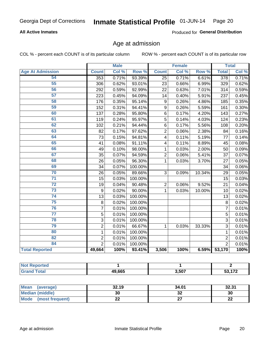#### **All Active Inmates**

Produced for General Distribution

# Age at admission

COL % - percent each COUNT is of its particular column

|                         | <b>Male</b>    |       | <b>Female</b> |                         |       | <b>Total</b> |                 |       |
|-------------------------|----------------|-------|---------------|-------------------------|-------|--------------|-----------------|-------|
| <b>Age At Admission</b> | <b>Count</b>   | Col % | Row %         | <b>Count</b>            | Col % | Row %        | <b>Total</b>    | Col % |
| 54                      | 353            | 0.71% | 93.39%        | 25                      | 0.71% | 6.61%        | 378             | 0.71% |
| 55                      | 306            | 0.62% | 93.01%        | 23                      | 0.66% | 6.99%        | 329             | 0.62% |
| 56                      | 292            | 0.59% | 92.99%        | 22                      | 0.63% | 7.01%        | 314             | 0.59% |
| $\overline{57}$         | 223            | 0.45% | 94.09%        | 14                      | 0.40% | 5.91%        | 237             | 0.45% |
| 58                      | 176            | 0.35% | 95.14%        | 9                       | 0.26% | 4.86%        | 185             | 0.35% |
| 59                      | 152            | 0.31% | 94.41%        | 9                       | 0.26% | 5.59%        | 161             | 0.30% |
| 60                      | 137            | 0.28% | 95.80%        | 6                       | 0.17% | 4.20%        | 143             | 0.27% |
| 61                      | 119            | 0.24% | 95.97%        | 5                       | 0.14% | 4.03%        | 124             | 0.23% |
| 62                      | 102            | 0.21% | 94.44%        | 6                       | 0.17% | 5.56%        | 108             | 0.20% |
| 63                      | 82             | 0.17% | 97.62%        | $\overline{2}$          | 0.06% | 2.38%        | 84              | 0.16% |
| 64                      | 73             | 0.15% | 94.81%        | $\overline{\mathbf{4}}$ | 0.11% | 5.19%        | 77              | 0.14% |
| 65                      | 41             | 0.08% | 91.11%        | 4                       | 0.11% | 8.89%        | 45              | 0.08% |
| 66                      | 49             | 0.10% | 98.00%        | 1                       | 0.03% | 2.00%        | 50              | 0.09% |
| 67                      | 35             | 0.07% | 94.59%        | $\overline{2}$          | 0.06% | 5.41%        | 37              | 0.07% |
| 68                      | 26             | 0.05% | 96.30%        | 1                       | 0.03% | 3.70%        | 27              | 0.05% |
| 69                      | 34             | 0.07% | 100.00%       |                         |       |              | 34              | 0.06% |
| 70                      | 26             | 0.05% | 89.66%        | 3                       | 0.09% | 10.34%       | $\overline{29}$ | 0.05% |
| $\overline{71}$         | 15             | 0.03% | 100.00%       |                         |       |              | 15              | 0.03% |
| $\overline{72}$         | 19             | 0.04% | 90.48%        | $\overline{2}$          | 0.06% | 9.52%        | 21              | 0.04% |
| $\overline{73}$         | 9              | 0.02% | 90.00%        | 1                       | 0.03% | 10.00%       | 10              | 0.02% |
| $\overline{74}$         | 13             | 0.03% | 100.00%       |                         |       |              | 13              | 0.02% |
| 75                      | 8              | 0.02% | 100.00%       |                         |       |              | 8               | 0.02% |
| 76                      | $\overline{7}$ | 0.01% | 100.00%       |                         |       |              | 7               | 0.01% |
| $\overline{77}$         | 5              | 0.01% | 100.00%       |                         |       |              | 5               | 0.01% |
| 78                      | $\overline{3}$ | 0.01% | 100.00%       |                         |       |              | $\overline{3}$  | 0.01% |
| 79                      | $\overline{2}$ | 0.01% | 66.67%        | 1                       | 0.03% | 33.33%       | $\overline{3}$  | 0.01% |
| 80                      | $\mathbf{1}$   | 0.01% | 100.00%       |                         |       |              | $\mathbf{1}$    | 0.01% |
| 82                      | $\overline{2}$ | 0.01% | 100.00%       |                         |       |              | $\overline{2}$  | 0.01% |
| 84                      | $\overline{2}$ | 0.01% | 100.00%       |                         |       |              | $\overline{2}$  | 0.01% |
| <b>Total Reported</b>   | 49,664         | 100%  | 93.41%        | 3,506                   | 100%  | 6.59%        | 53,170          | 100%  |

| N<br>тет |        |       |     |
|----------|--------|-------|-----|
| ______   | 49.665 | 3,507 | 470 |

| Mean (average)                 | 32.19     | 34.01   | 32.31   |
|--------------------------------|-----------|---------|---------|
| <b>Median (middle)</b>         | 30        | ົ<br>⊾ت | 30      |
| <b>Mode</b><br>(most frequent) | n n<br>▵▵ |         | ົ<br>LL |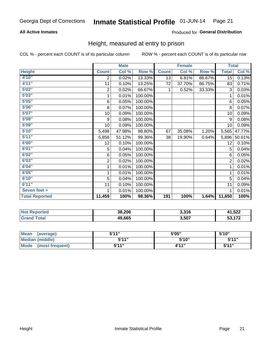#### **All Active Inmates**

#### Produced for General Distribution

### Height, measured at entry to prison

COL % - percent each COUNT is of its particular column

|                       | <b>Male</b>  |        |         | <b>Female</b> |        |        | <b>Total</b>   |        |
|-----------------------|--------------|--------|---------|---------------|--------|--------|----------------|--------|
| <b>Height</b>         | <b>Count</b> | Col %  | Row %   | <b>Count</b>  | Col %  | Row %  | <b>Total</b>   | Col %  |
| 4'10"                 | 2            | 0.02%  | 13.33%  | 13            | 6.81%  | 86.67% | 15             | 0.13%  |
| 4'11''                | 11           | 0.10%  | 13.25%  | 72            | 37.70% | 86.75% | 83             | 0.71%  |
| 5'02"                 | $\mathbf 2$  | 0.02%  | 66.67%  | 1             | 0.52%  | 33.33% | 3              | 0.03%  |
| 5'03''                | 1            | 0.01%  | 100.00% |               |        |        | 1              | 0.01%  |
| 5'05''                | 6            | 0.05%  | 100.00% |               |        |        | 6              | 0.05%  |
| 5'06''                | 8            | 0.07%  | 100.00% |               |        |        | 8              | 0.07%  |
| 5'07''                | 10           | 0.09%  | 100.00% |               |        |        | 10             | 0.09%  |
| 5'08''                | 9            | 0.08%  | 100.00% |               |        |        | 9              | 0.08%  |
| 5'09''                | 10           | 0.09%  | 100.00% |               |        |        | 10             | 0.09%  |
| 5'10''                | 5,498        | 47.98% | 98.80%  | 67            | 35.08% | 1.20%  | 5,565          | 47.77% |
| 5'11''                | 5,858        | 51.12% | 99.36%  | 38            | 19.90% | 0.64%  | 5,896          | 50.61% |
| 6'00''                | 12           | 0.10%  | 100.00% |               |        |        | 12             | 0.10%  |
| 6'01''                | 5            | 0.04%  | 100.00% |               |        |        | 5              | 0.04%  |
| 6'02''                | 6            | 0.05%  | 100.00% |               |        |        | 6              | 0.05%  |
| 6'03''                | $\sqrt{2}$   | 0.02%  | 100.00% |               |        |        | $\overline{2}$ | 0.02%  |
| 6'04''                | 1            | 0.01%  | 100.00% |               |        |        | 1              | 0.01%  |
| 6'05''                | 1            | 0.01%  | 100.00% |               |        |        | 1              | 0.01%  |
| 6'10''                | 5            | 0.04%  | 100.00% |               |        |        | 5              | 0.04%  |
| 6'11''                | 11           | 0.10%  | 100.00% |               |        |        | 11             | 0.09%  |
| Seven feet +          | 1            | 0.01%  | 100.00% |               |        |        | 1              | 0.01%  |
| <b>Total Reported</b> | 11,459       | 100%   | 98.36%  | 191           | 100%   | 1.64%  | 11,650         | 100%   |

| <b>Not Reported</b> | 38,206 | 3,316 | 41,522 |
|---------------------|--------|-------|--------|
| <b>Fotal</b>        | 49,665 | 3,507 | 53,172 |

| Mean<br>(average)       | 544"  | 5'05" | 5'10"        |
|-------------------------|-------|-------|--------------|
| Median (middle)         | 544"  | 5'10" | 5'11"        |
| Mode<br>(most frequent) | 5'11" | 4'11" | <b>5'44"</b> |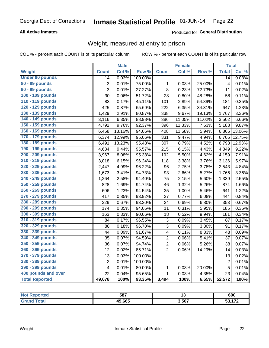#### **All Active Inmates**

#### Produced for General Distribution

# Weight, measured at entry to prison

COL % - percent each COUNT is of its particular column

|                        |                         | <b>Male</b> |                  |                         | <b>Female</b> |        | <b>Total</b>    |        |
|------------------------|-------------------------|-------------|------------------|-------------------------|---------------|--------|-----------------|--------|
| Weight                 | <b>Count</b>            | Col %       | Row <sup>%</sup> | <b>Count</b>            | Col %         | Row %  | <b>Total</b>    | Col %  |
| <b>Under 80 pounds</b> | $\overline{14}$         | 0.03%       | 100.00%          |                         |               |        | $\overline{14}$ | 0.03%  |
| 80 - 89 pounds         | 3                       | 0.01%       | 75.00%           | $\mathbf{1}$            | 0.03%         | 25.00% | $\overline{4}$  | 0.01%  |
| 90 - 99 pounds         | $\overline{3}$          | 0.01%       | 27.27%           | 8                       | 0.23%         | 72.73% | 11              | 0.02%  |
| 100 - 109 pounds       | 30                      | 0.06%       | 51.72%           | 28                      | 0.80%         | 48.28% | 58              | 0.11%  |
| 110 - 119 pounds       | 83                      | 0.17%       | 45.11%           | 101                     | 2.89%         | 54.89% | 184             | 0.35%  |
| 120 - 129 pounds       | 425                     | 0.87%       | 65.69%           | 222                     | 6.35%         | 34.31% | 647             | 1.23%  |
| 130 - 139 pounds       | 1,429                   | 2.91%       | 80.87%           | 338                     | 9.67%         | 19.13% | 1,767           | 3.36%  |
| 140 - 149 pounds       | 3,116                   | 6.35%       | 88.98%           | 386                     | 11.05%        | 11.02% | 3,502           | 6.66%  |
| 150 - 159 pounds       | 4,792                   | 9.76%       | 92.37%           | 396                     | 11.33%        | 7.63%  | 5,188           | 9.87%  |
| 160 - 169 pounds       | 6,458                   | 13.16%      | 94.06%           | 408                     | 11.68%        | 5.94%  | 6,866           | 13.06% |
| 170 - 179 pounds       | 6,374                   | 12.99%      | 95.06%           | 331                     | 9.47%         | 4.94%  | 6,705           | 12.75% |
| 180 - 189 pounds       | 6,491                   | 13.23%      | 95.48%           | 307                     | 8.79%         | 4.52%  | 6,798           | 12.93% |
| 190 - 199 pounds       | 4,634                   | 9.44%       | 95.57%           | 215                     | 6.15%         | 4.43%  | 4,849           | 9.22%  |
| 200 - 209 pounds       | 3,967                   | 8.08%       | 95.38%           | 192                     | 5.50%         | 4.62%  | 4,159           | 7.91%  |
| 210 - 219 pounds       | 3,018                   | 6.15%       | 96.24%           | 118                     | 3.38%         | 3.76%  | 3,136           | 5.97%  |
| 220 - 229 pounds       | 2,447                   | 4.99%       | 96.22%           | 96                      | 2.75%         | 3.78%  | 2,543           | 4.84%  |
| 230 - 239 pounds       | 1,673                   | 3.41%       | 94.73%           | 93                      | 2.66%         | 5.27%  | 1,766           | 3.36%  |
| 240 - 249 pounds       | 1,264                   | 2.58%       | 94.40%           | 75                      | 2.15%         | 5.60%  | 1,339           | 2.55%  |
| 250 - 259 pounds       | 828                     | 1.69%       | 94.74%           | 46                      | 1.32%         | 5.26%  | 874             | 1.66%  |
| 260 - 269 pounds       | 606                     | 1.23%       | 94.54%           | 35                      | 1.00%         | 5.46%  | 641             | 1.22%  |
| 270 - 279 pounds       | 417                     | 0.85%       | 93.92%           | 27                      | 0.77%         | 6.08%  | 444             | 0.84%  |
| 280 - 289 pounds       | 329                     | 0.67%       | 93.20%           | 24                      | 0.69%         | 6.80%  | 353             | 0.67%  |
| 290 - 299 pounds       | 174                     | 0.35%       | 94.05%           | 11                      | 0.31%         | 5.95%  | 185             | 0.35%  |
| 300 - 309 pounds       | 163                     | 0.33%       | 90.06%           | 18                      | 0.52%         | 9.94%  | 181             | 0.34%  |
| 310 - 319 pounds       | 84                      | 0.17%       | 96.55%           | 3                       | 0.09%         | 3.45%  | 87              | 0.17%  |
| 320 - 329 pounds       | 88                      | 0.18%       | 96.70%           | 3                       | 0.09%         | 3.30%  | 91              | 0.17%  |
| 330 - 339 pounds       | 44                      | 0.09%       | 91.67%           | $\overline{\mathbf{4}}$ | 0.11%         | 8.33%  | 48              | 0.09%  |
| 340 - 349 pounds       | 35                      | 0.07%       | 94.59%           | $\overline{2}$          | 0.06%         | 5.41%  | 37              | 0.07%  |
| 350 - 359 pounds       | 36                      | 0.07%       | 94.74%           | $\overline{2}$          | 0.06%         | 5.26%  | 38              | 0.07%  |
| 360 - 369 pounds       | 12                      | 0.02%       | 85.71%           | $\overline{2}$          | 0.06%         | 14.29% | 14              | 0.03%  |
| 370 - 379 pounds       | 13                      | 0.03%       | 100.00%          |                         |               |        | 13              | 0.02%  |
| 380 - 389 pounds       | $\overline{c}$          | 0.01%       | 100.00%          |                         |               |        | $\overline{2}$  | 0.01%  |
| 390 - 399 pounds       | $\overline{\mathbf{4}}$ | 0.01%       | 80.00%           | $\mathbf 1$             | 0.03%         | 20.00% | 5               | 0.01%  |
| 400 pounds and over    | 22                      | 0.04%       | 95.65%           | $\mathbf{1}$            | 0.03%         | 4.35%  | 23              | 0.04%  |
| <b>Total Reported</b>  | 49,078                  | 100%        | 93.35%           | 3,494                   | 100%          | 6.65%  | 52,572          | 100%   |

| N<br>тео | 587    |       | 600                        |
|----------|--------|-------|----------------------------|
|          | 49,665 | 3,507 | 470<br>JJ.<br>. . <i>.</i> |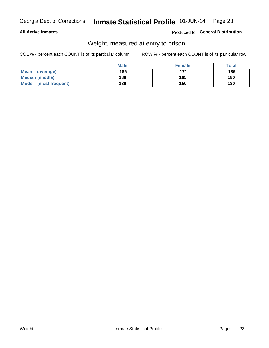#### **All Active Inmates**

#### Produced for General Distribution

# Weight, measured at entry to prison

COL % - percent each COUNT is of its particular column

|                          | <b>Male</b> | <b>Female</b> | Total |
|--------------------------|-------------|---------------|-------|
| <b>Mean</b><br>(average) | 186         | 171           | 185   |
| <b>Median (middle)</b>   | 180         | 165           | 180   |
| Mode<br>(most frequent)  | 180         | 150           | 180   |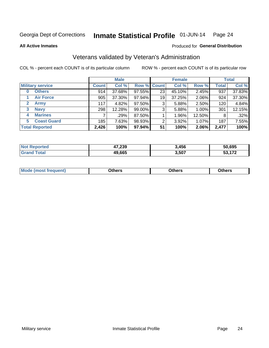#### Inmate Statistical Profile 01-JUN-14 Page 24

**All Active Inmates** 

#### Produced for General Distribution

# Veterans validated by Veteran's Administration

COL % - percent each COUNT is of its particular column

|                             | <b>Male</b>  |        |                    | <b>Female</b> |        |        | <b>Total</b> |        |
|-----------------------------|--------------|--------|--------------------|---------------|--------|--------|--------------|--------|
| <b>Military service</b>     | <b>Count</b> | Col %  | <b>Row % Count</b> |               | Col %  | Row %  | <b>Total</b> | Col %  |
| <b>Others</b><br>0          | 914          | 37.68% | 97.55%             | 23            | 45.10% | 2.45%  | 937          | 37.83% |
| <b>Air Force</b>            | 905          | 37.30% | 97.94%             | 19            | 37.25% | 2.06%  | 924          | 37.30% |
| <b>Army</b><br>$\mathbf{2}$ | 117          | 4.82%  | 97.50%             | 3             | 5.88%  | 2.50%  | 120          | 4.84%  |
| <b>Navy</b><br>3            | 298          | 12.28% | 99.00%             | 3             | 5.88%  | 1.00%  | 301          | 12.15% |
| <b>Marines</b><br>4         |              | .29%   | 87.50%             |               | 1.96%  | 12.50% | 8            | .32%   |
| <b>Coast Guard</b><br>5     | 185          | 7.63%  | 98.93%             | 2             | 3.92%  | 1.07%  | 187          | 7.55%  |
| <b>Total Reported</b>       | 2,426        | 100%   | 97.94%             | 51            | 100%   | 2.06%  | 2,477        | 100%   |

| วrteo<br>'N ( | 47,239 | 3,456 | 50,695 |
|---------------|--------|-------|--------|
| <b>otal</b>   | 49,665 | 3,507 | - 270  |

|  |  | <b>Mode</b><br>quent)<br>most trea | <b>Dthers</b> | Others | Others |
|--|--|------------------------------------|---------------|--------|--------|
|--|--|------------------------------------|---------------|--------|--------|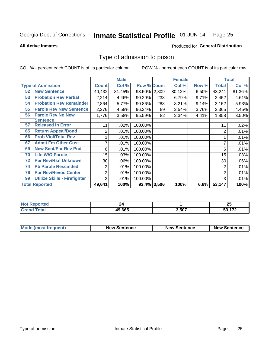#### Inmate Statistical Profile 01-JUN-14 Page 25

**All Active Inmates** 

#### **Produced for General Distribution**

### Type of admission to prison

COL % - percent each COUNT is of its particular column

|                                           |                | <b>Male</b> |                    |     | <b>Female</b> |       |                | <b>Total</b> |
|-------------------------------------------|----------------|-------------|--------------------|-----|---------------|-------|----------------|--------------|
| <b>Type of Admission</b>                  | <b>Count</b>   | Col %       | <b>Row % Count</b> |     | Col %         | Row % | <b>Total</b>   | Col %        |
| <b>New Sentence</b><br>52                 | 40,432         | 81.45%      | 93.50% 2,809       |     | 80.12%        | 6.50% | 43,241         | 81.36%       |
| <b>Probation Rev Partial</b><br>53        | 2,214          | 4.46%       | 90.29%             | 238 | 6.79%         | 9.71% | 2,452          | 4.61%        |
| <b>Probation Rev Remainder</b><br>54      | 2,864          | 5.77%       | 90.86%             | 288 | 8.21%         | 9.14% | 3,152          | 5.93%        |
| <b>Parole Rev New Sentence</b><br>55      | 2,276          | 4.58%       | 96.24%             | 89  | 2.54%         | 3.76% | 2,365          | 4.45%        |
| 56<br><b>Parole Rev No New</b>            | 1,776          | 3.58%       | 95.59%             | 82  | 2.34%         | 4.41% | 1,858          | 3.50%        |
| Sentence                                  |                |             |                    |     |               |       |                |              |
| <b>Released In Error</b><br>57            | 11             | .02%        | 100.00%            |     |               |       | 11             | .02%         |
| <b>Return Appeal/Bond</b><br>65           | 2              | .01%        | 100.00%            |     |               |       | $\overline{2}$ | .01%         |
| <b>Prob Viol/Total Rev</b><br>66          |                | .01%        | 100.00%            |     |               |       |                | .01%         |
| <b>Admit Fm Other Cust</b><br>67          | 7              | .01%        | 100.00%            |     |               |       | 7              | .01%         |
| <b>New Sent/Par Rev Pnd</b><br>69         | 6              | .01%        | 100.00%            |     |               |       | 6              | .01%         |
| <b>Life W/O Parole</b><br>70              | 15             | .03%        | 100.00%            |     |               |       | 15             | .03%         |
| <b>Par Rev/Rsn Unknown</b><br>72          | 30             | .06%        | 100.00%            |     |               |       | 30             | $.06\%$      |
| 74<br><b>Pb Parole Rescinded</b>          | 2              | .01%        | 100.00%            |     |               |       | 2              | .01%         |
| <b>Par Rev/Revoc Center</b><br>76         | $\overline{2}$ | .01%        | 100.00%            |     |               |       | 2              | .01%         |
| <b>Utilize Skills - Firefighter</b><br>99 | 3              | .01%        | 100.00%            |     |               |       | 3              | .01%         |
| <b>Total Reported</b>                     | 49,641         | 100%        | 93.4% 3,506        |     | 100%          | 6.6%  | 53,147         | 100%         |

| N<br>тес |        |       | י ה<br>Zυ    |
|----------|--------|-------|--------------|
|          | 49.665 | 3,507 | $1 - \alpha$ |

| <b>Mode (most frequent)</b> | <b>New Sentence</b> | <b>New Sentence</b> | <b>New Sentence</b> |
|-----------------------------|---------------------|---------------------|---------------------|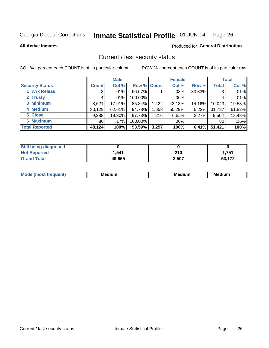#### Inmate Statistical Profile 01-JUN-14 Page 26

Produced for General Distribution

#### **All Active Inmates**

# Current / last security status

COL % - percent each COUNT is of its particular column

|                        |                 | <b>Male</b> |                    |       | <b>Female</b> |          |              | <b>Total</b> |
|------------------------|-----------------|-------------|--------------------|-------|---------------|----------|--------------|--------------|
| <b>Security Status</b> | <b>Count</b>    | Col %       | <b>Row % Count</b> |       | Col %         | Row %    | <b>Total</b> | Col %        |
| 1 Wrk Releas           | 2               | $.01\%$     | 66.67%             |       | .03%          | 33.33%   | 3            | .01%         |
| 2 Trusty               |                 | $.01\%$     | 100.00%            |       | .00%          |          |              | .01%         |
| 3 Minimum              | 8,621           | 17.91%      | 85.84%             | 1,422 | 43.13%        | 14.16%   | 10,043       | 19.53%       |
| 4 Medium               | 30,129          | 62.61%      | 94.78%             | 1,658 | 50.29%        | $5.22\%$ | 31,787       | 61.82%       |
| 5 Close                | 9,288           | 19.30%      | 97.73%             | 216   | 6.55%         | 2.27%    | 9,504        | 18.48%       |
| <b>6 Maximum</b>       | 80 <sub>1</sub> | $.17\%$     | 100.00%            |       | .00%          |          | 80           | .16%         |
| <b>Total Reported</b>  | 48,124          | 100%        | 93.59%             | 3,297 | 100%          | 6.41%    | 51,421       | 100%         |

| <b>Still being diagnosed</b> |        |       |        |
|------------------------------|--------|-------|--------|
| <b>Not Reported</b>          | 1,541  | 210   | 1,751  |
| <b>Grand Total</b>           | 49,665 | 3,507 | 53.172 |

| <b>Mo</b><br>ети | M<br>. .<br>dium | M٢<br>. | <br><b>Medium</b> |
|------------------|------------------|---------|-------------------|
|                  |                  |         |                   |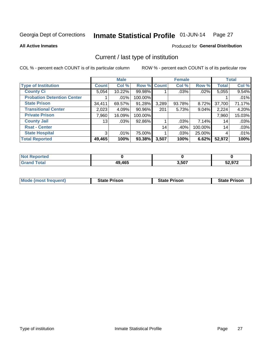#### Inmate Statistical Profile 01-JUN-14 Page 27

**All Active Inmates** 

#### Produced for General Distribution

# Current / last type of institution

COL % - percent each COUNT is of its particular column

|                                   |              | <b>Male</b> |             |       | <b>Female</b> |          |              | <b>Total</b> |
|-----------------------------------|--------------|-------------|-------------|-------|---------------|----------|--------------|--------------|
| <b>Type of Institution</b>        | <b>Count</b> | Col %       | Row % Count |       | Col %         | Row %    | <b>Total</b> | Col %        |
| <b>County Ci</b>                  | 5,054        | 10.22%      | 99.98%      |       | .03%          | $.02\%$  | 5,055        | 9.54%        |
| <b>Probation Detention Center</b> |              | .01%        | 100.00%     |       |               |          |              | .01%         |
| <b>State Prison</b>               | 34,411       | 69.57%      | 91.28%      | 3,289 | 93.78%        | $8.72\%$ | 37,700       | 71.17%       |
| <b>Transitional Center</b>        | 2,023        | 4.09%       | 90.96%      | 201   | 5.73%         | $9.04\%$ | 2,224        | 4.20%        |
| <b>Private Prison</b>             | 7,960        | 16.09%      | 100.00%     |       |               |          | 7,960        | 15.03%       |
| <b>County Jail</b>                | 13           | .03%        | 92.86%      |       | $.03\%$       | $7.14\%$ | 14           | .03%         |
| <b>Rsat - Center</b>              |              |             |             | 14    | .40%          | 100.00%  | 14           | .03%         |
| <b>State Hospital</b>             | 3            | .01%        | 75.00%      |       | $.03\%$       | 25.00%   | 4            | .01%         |
| <b>Total Reported</b>             | 49,465       | 100%        | 93.38%      | 3,507 | 100%          | 6.62%    | 52,972       | 100%         |

| oorted<br><b>NOT</b> |        |       |        |
|----------------------|--------|-------|--------|
| `otal<br><b>Grat</b> | 49,465 | 3,507 | 52,972 |

| Mode (most frequent) | <b>State Prison</b> | <b>State Prison</b> | <b>State Prison</b> |
|----------------------|---------------------|---------------------|---------------------|
|                      |                     |                     |                     |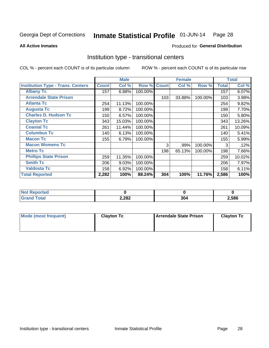#### Inmate Statistical Profile 01-JUN-14 Page 28

**All Active Inmates** 

#### Produced for General Distribution

### Institution type - transitional centers

COL % - percent each COUNT is of its particular column

|                                          |              | <b>Male</b> |         |              | <b>Female</b> |         |              | <b>Total</b> |
|------------------------------------------|--------------|-------------|---------|--------------|---------------|---------|--------------|--------------|
| <b>Institution Type - Trans. Centers</b> | <b>Count</b> | Col %       | Row %   | <b>Count</b> | Col %         | Row %   | <b>Total</b> | Col %        |
| <b>Albany Tc</b>                         | 157          | 6.88%       | 100.00% |              |               |         | 157          | 6.07%        |
| <b>Arrendale State Prison</b>            |              |             |         | 103          | 33.88%        | 100.00% | 103          | 3.98%        |
| <b>Atlanta Tc</b>                        | 254          | 11.13%      | 100.00% |              |               |         | 254          | 9.82%        |
| <b>Augusta Tc</b>                        | 199          | 8.72%       | 100.00% |              |               |         | 199          | 7.70%        |
| <b>Charles D. Hudson Tc</b>              | 150          | 6.57%       | 100.00% |              |               |         | 150          | 5.80%        |
| <b>Clayton Tc</b>                        | 343          | 15.03%      | 100.00% |              |               |         | 343          | 13.26%       |
| <b>Coastal Tc</b>                        | 261          | 11.44%      | 100.00% |              |               |         | 261          | 10.09%       |
| <b>Columbus Tc</b>                       | 140          | 6.13%       | 100.00% |              |               |         | 140          | 5.41%        |
| <b>Macon Tc</b>                          | 155          | 6.79%       | 100.00% |              |               |         | 155          | 5.99%        |
| <b>Macon Womens Tc</b>                   |              |             |         | 3            | .99%          | 100.00% | 3            | .12%         |
| <b>Metro Tc</b>                          |              |             |         | 198          | 65.13%        | 100.00% | 198          | 7.66%        |
| <b>Phillips State Prison</b>             | 259          | 11.35%      | 100.00% |              |               |         | 259          | 10.02%       |
| <b>Smith Tc</b>                          | 206          | 9.03%       | 100.00% |              |               |         | 206          | 7.97%        |
| <b>Valdosta Tc</b>                       | 158          | 6.92%       | 100.00% |              |               |         | 158          | 6.11%        |
| <b>Total Reported</b>                    | 2,282        | 100%        | 88.24%  | 304          | 100%          | 11.76%  | 2,586        | 100%         |

| <b>orted</b> |       |     |       |
|--------------|-------|-----|-------|
| <b>ota</b>   | 2,282 | 304 | .,586 |

| Mode (most frequent) | <b>Clayton Tc</b> | <b>Arrendale State Prison</b> | <b>Clayton Tc</b> |
|----------------------|-------------------|-------------------------------|-------------------|
|                      |                   |                               |                   |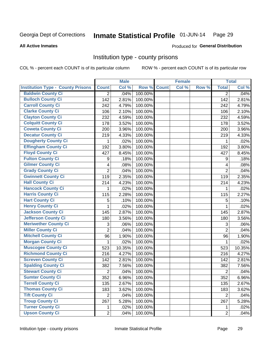#### Inmate Statistical Profile 01-JUN-14 Page 29

#### **All Active Inmates**

# Produced for General Distribution

#### Institution type - county prisons

COL % - percent each COUNT is of its particular column

|                                          |                         | <b>Male</b> |         |              | <b>Female</b> |       |                | <b>Total</b> |
|------------------------------------------|-------------------------|-------------|---------|--------------|---------------|-------|----------------|--------------|
| <b>Institution Type - County Prisons</b> | <b>Count</b>            | Col %       | Row %   | <b>Count</b> | Col %         | Row % | <b>Total</b>   | Col %        |
| <b>Baldwin County Ci</b>                 | $\overline{2}$          | .04%        | 100.00% |              |               |       | $\overline{2}$ | .04%         |
| <b>Bulloch County Ci</b>                 | 142                     | 2.81%       | 100.00% |              |               |       | 142            | 2.81%        |
| <b>Carroll County Ci</b>                 | 242                     | 4.79%       | 100.00% |              |               |       | 242            | 4.79%        |
| <b>Clarke County Ci</b>                  | 106                     | 2.10%       | 100.00% |              |               |       | 106            | 2.10%        |
| <b>Clayton County Ci</b>                 | 232                     | 4.59%       | 100.00% |              |               |       | 232            | 4.59%        |
| <b>Colquitt County Ci</b>                | 178                     | 3.52%       | 100.00% |              |               |       | 178            | 3.52%        |
| <b>Coweta County Ci</b>                  | 200                     | 3.96%       | 100.00% |              |               |       | 200            | 3.96%        |
| <b>Decatur County Ci</b>                 | 219                     | 4.33%       | 100.00% |              |               |       | 219            | 4.33%        |
| <b>Dougherty County Ci</b>               | 1                       | .02%        | 100.00% |              |               |       | 1              | .02%         |
| <b>Effingham County Ci</b>               | 192                     | 3.80%       | 100.00% |              |               |       | 192            | 3.80%        |
| <b>Floyd County Ci</b>                   | 427                     | 8.45%       | 100.00% |              |               |       | 427            | 8.45%        |
| <b>Fulton County Ci</b>                  | 9                       | .18%        | 100.00% |              |               |       | 9              | .18%         |
| <b>Gilmer County Ci</b>                  | $\overline{\mathbf{4}}$ | .08%        | 100.00% |              |               |       | 4              | .08%         |
| <b>Grady County Ci</b>                   | $\overline{2}$          | .04%        | 100.00% |              |               |       | $\overline{2}$ | .04%         |
| <b>Gwinnett County Ci</b>                | 119                     | 2.35%       | 100.00% |              |               |       | 119            | 2.35%        |
| <b>Hall County Ci</b>                    | 214                     | 4.23%       | 100.00% |              |               |       | 214            | 4.23%        |
| <b>Hancock County Ci</b>                 | 1                       | .02%        | 100.00% |              |               |       | 1              | .02%         |
| <b>Harris County Ci</b>                  | 115                     | 2.28%       | 100.00% |              |               |       | 115            | 2.27%        |
| <b>Hart County Ci</b>                    | 5                       | .10%        | 100.00% |              |               |       | 5              | .10%         |
| <b>Henry County Ci</b>                   | 1                       | .02%        | 100.00% |              |               |       | 1              | .02%         |
| <b>Jackson County Ci</b>                 | 145                     | 2.87%       | 100.00% |              |               |       | 145            | 2.87%        |
| <b>Jefferson County Ci</b>               | 180                     | 3.56%       | 100.00% |              |               |       | 180            | 3.56%        |
| <b>Meriwether County Ci</b>              | 3                       | .06%        | 100.00% |              |               |       | 3              | .06%         |
| <b>Miller County Ci</b>                  | $\overline{2}$          | .04%        | 100.00% |              |               |       | $\overline{2}$ | .04%         |
| <b>Mitchell County Ci</b>                | 96                      | 1.90%       | 100.00% |              |               |       | 96             | 1.90%        |
| <b>Morgan County Ci</b>                  | 1                       | .02%        | 100.00% |              |               |       | 1              | .02%         |
| Muscogee County Ci                       | 523                     | 10.35%      | 100.00% |              |               |       | 523            | 10.35%       |
| <b>Richmond County Ci</b>                | 216                     | 4.27%       | 100.00% |              |               |       | 216            | 4.27%        |
| <b>Screven County Ci</b>                 | 142                     | 2.81%       | 100.00% |              |               |       | 142            | 2.81%        |
| <b>Spalding County Ci</b>                | 382                     | 7.56%       | 100.00% |              |               |       | 382            | 7.56%        |
| <b>Stewart County Ci</b>                 | $\overline{2}$          | .04%        | 100.00% |              |               |       | $\overline{2}$ | .04%         |
| <b>Sumter County Ci</b>                  | 352                     | 6.96%       | 100.00% |              |               |       | 352            | 6.96%        |
| <b>Terrell County Ci</b>                 | 135                     | 2.67%       | 100.00% |              |               |       | 135            | 2.67%        |
| <b>Thomas County Ci</b>                  | 183                     | 3.62%       | 100.00% |              |               |       | 183            | 3.62%        |
| <b>Tift County Ci</b>                    | $\overline{2}$          | .04%        | 100.00% |              |               |       | $\overline{2}$ | .04%         |
| <b>Troup County Ci</b>                   | 267                     | 5.28%       | 100.00% |              |               |       | 267            | 5.28%        |
| <b>Turner County Ci</b>                  | 1.                      | .02%        | 100.00% |              |               |       | 1              | .02%         |
| <b>Upson County Ci</b>                   | $\overline{2}$          | .04%        | 100.00% |              |               |       | $\overline{2}$ | .04%         |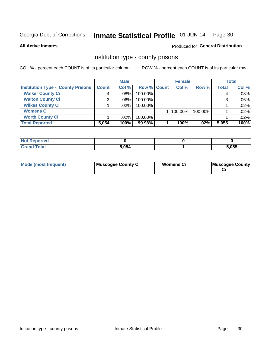#### Inmate Statistical Profile 01-JUN-14 Page 30

**All Active Inmates** 

#### Produced for General Distribution

#### Institution type - county prisons

COL % - percent each COUNT is of its particular column

|                                          | <b>Male</b>  |         |             | <b>Female</b> |         | <b>Total</b> |       |
|------------------------------------------|--------------|---------|-------------|---------------|---------|--------------|-------|
| <b>Institution Type - County Prisons</b> | <b>Count</b> | Col %   | Row % Count | Col %         | Row %   | <b>Total</b> | Col % |
| <b>Walker County Ci</b>                  | 4            | $.08\%$ | 100.00%     |               |         | 4            | .08%  |
| <b>Walton County Ci</b>                  | 3            | $.06\%$ | 100.00%     |               |         |              | .06%  |
| <b>Wilkes County Ci</b>                  |              | $.02\%$ | 100.00%     |               |         |              | .02%  |
| <b>Womens Ci</b>                         |              |         |             | 100.00%       | 100.00% |              | .02%  |
| <b>Worth County Ci</b>                   |              | $.02\%$ | 100.00%     |               |         |              | .02%  |
| <b>Total Reported</b>                    | 5,054        | 100%    | 99.98%      | 100%          | .02%    | 5,055        | 100%  |

| Reported     |       |       |
|--------------|-------|-------|
| <b>cotal</b> | 5,054 | 5,055 |

| <b>Mode (most frequent)</b> | Muscogee County Ci | <b>Womens Ci</b> | Muscogee County |
|-----------------------------|--------------------|------------------|-----------------|
|-----------------------------|--------------------|------------------|-----------------|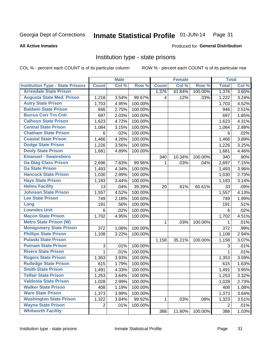#### Inmate Statistical Profile 01-JUN-14 Page 31

#### **All Active Inmates**

# Produced for General Distribution

### Institution type - state prisons

COL % - percent each COUNT is of its particular column

|                                         |                | <b>Male</b> |         |              | <b>Female</b> |         | <b>Total</b> |       |
|-----------------------------------------|----------------|-------------|---------|--------------|---------------|---------|--------------|-------|
| <b>Institution Type - State Prisons</b> | <b>Count</b>   | Col %       | Row %   | <b>Count</b> | Col %         | Row %   | <b>Total</b> | Col % |
| <b>Arrendale State Prison</b>           |                |             |         | 1,376        | 41.84%        | 100.00% | 1,376        | 3.65% |
| <b>Augusta State Med. Prison</b>        | 1,218          | 3.54%       | 99.67%  | 4            | .12%          | .33%    | 1,222        | 3.24% |
| <b>Autry State Prison</b>               | 1,703          | 4.95%       | 100.00% |              |               |         | 1,703        | 4.52% |
| <b>Baldwin State Prison</b>             | 946            | 2.75%       | 100.00% |              |               |         | 946          | 2.51% |
| <b>Burrus Corr Trn Cntr</b>             | 697            | 2.03%       | 100.00% |              |               |         | 697          | 1.85% |
| <b>Calhoun State Prison</b>             | 1,623          | 4.72%       | 100.00% |              |               |         | 1,623        | 4.31% |
| <b>Central State Prison</b>             | 1,084          | 3.15%       | 100.00% |              |               |         | 1,084        | 2.88% |
| <b>Chatham State Prison</b>             | 6              | .02%        | 100.00% |              |               |         | 6            | .02%  |
| <b>Coastal State Prison</b>             | 1,466          | 4.26%       | 100.00% |              |               |         | 1,466        | 3.89% |
| <b>Dodge State Prison</b>               | 1,226          | 3.56%       | 100.00% |              |               |         | 1,226        | 3.25% |
| <b>Dooly State Prison</b>               | 1,681          | 4.89%       | 100.00% |              |               |         | 1,681        | 4.46% |
| <b>Emanuel - Swainsboro</b>             |                |             |         | 340          | 10.34%        | 100.00% | 340          | .90%  |
| <b>Ga Diag Class Prison</b>             | 2,696          | 7.83%       | 99.96%  | 1            | .03%          | .04%    | 2,697        | 7.15% |
| <b>Ga State Prison</b>                  | 1,493          | 4.34%       | 100.00% |              |               |         | 1,493        | 3.96% |
| <b>Hancock State Prison</b>             | 1,030          | 2.99%       | 100.00% |              |               |         | 1,030        | 2.73% |
| <b>Hays State Prison</b>                | 1,183          | 3.44%       | 100.00% |              |               |         | 1,183        | 3.14% |
| <b>Helms Facility</b>                   | 13             | .04%        | 39.39%  | 20           | .61%          | 60.61%  | 33           | .09%  |
| <b>Johnson State Prison</b>             | 1,557          | 4.52%       | 100.00% |              |               |         | 1,557        | 4.13% |
| <b>Lee State Prison</b>                 | 749            | 2.18%       | 100.00% |              |               |         | 749          | 1.99% |
| Long                                    | 191            | .56%        | 100.00% |              |               |         | 191          | .51%  |
| <b>Lowndes Unit</b>                     | 6              | .02%        | 100.00% |              |               |         | 6            | .02%  |
| <b>Macon State Prison</b>               | 1,702          | 4.95%       | 100.00% |              |               |         | 1,702        | 4.51% |
| <b>Metro State Prison (W)</b>           |                |             |         | 1            | .03%          | 100.00% | 1            | .01%  |
| <b>Montgomery State Prison</b>          | 372            | 1.08%       | 100.00% |              |               |         | 372          | .99%  |
| <b>Phillips State Prison</b>            | 1,108          | 3.22%       | 100.00% |              |               |         | 1,108        | 2.94% |
| <b>Pulaski State Prison</b>             |                |             |         | 1,158        | 35.21%        | 100.00% | 1,158        | 3.07% |
| <b>Putnam State Prison</b>              | $\sqrt{3}$     | .01%        | 100.00% |              |               |         | 3            | .01%  |
| <b>Rivers State Prison</b>              | $\mathbf{1}$   | .01%        | 100.00% |              |               |         | $\mathbf{1}$ | .01%  |
| <b>Rogers State Prison</b>              | 1,353          | 3.93%       | 100.00% |              |               |         | 1,353        | 3.59% |
| <b>Rutledge State Prison</b>            | 615            | 1.79%       | 100.00% |              |               |         | 615          | 1.63% |
| <b>Smith State Prison</b>               | 1,491          | 4.33%       | 100.00% |              |               |         | 1,491        | 3.95% |
| <b>Telfair State Prison</b>             | 1,253          | 3.64%       | 100.00% |              |               |         | 1,253        | 3.32% |
| <b>Valdosta State Prison</b>            | 1,028          | 2.99%       | 100.00% |              |               |         | 1,028        | 2.73% |
| <b>Walker State Prison</b>              | 408            | 1.19%       | 100.00% |              |               |         | 408          | 1.08% |
| <b>Ware State Prison</b>                | 1,373          | 3.99%       | 100.00% |              |               |         | 1,373        | 3.64% |
| <b>Washington State Prison</b>          | 1,322          | 3.84%       | 99.92%  | 1            | .03%          | .08%    | 1,323        | 3.51% |
| <b>Wayne State Prison</b>               | $\overline{2}$ | .01%        | 100.00% |              |               |         | 2            | .01%  |
| <b>Whitworth Facility</b>               |                |             |         | 388          | 11.80%        | 100.00% | 388          | 1.03% |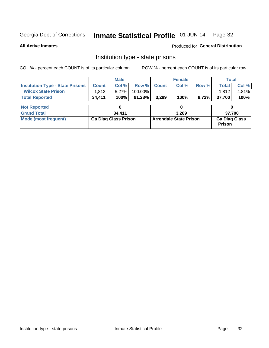#### Inmate Statistical Profile 01-JUN-14 Page 32

**All Active Inmates** 

Produced for General Distribution

# Institution type - state prisons

COL % - percent each COUNT is of its particular column

|                                         |                             | <b>Male</b> |                               |              | <b>Female</b> |                                       | <b>Total</b> |        |  |
|-----------------------------------------|-----------------------------|-------------|-------------------------------|--------------|---------------|---------------------------------------|--------------|--------|--|
| <b>Institution Type - State Prisons</b> | <b>Count</b>                | Col %       | Row %                         | <b>Count</b> | Col %         | Row %                                 | <b>Total</b> | Col %  |  |
| <b>Wilcox State Prison</b>              | 1,812                       | 5.27%       | 100.00%                       |              |               |                                       | 1,812        | 4.81%  |  |
| <b>Total Reported</b>                   | 34,411                      | 100%        | $91.28\%$                     | 3,289        | 100%          | 8.72%                                 | 37,700       | 100%   |  |
|                                         |                             |             |                               |              |               |                                       |              |        |  |
| <b>Not Reported</b>                     |                             |             |                               |              |               |                                       |              |        |  |
| <b>Grand Total</b>                      |                             | 34,411      |                               |              | 3.289         |                                       |              | 37,700 |  |
| <b>Mode (most frequent)</b>             | <b>Ga Diag Class Prison</b> |             | <b>Arrendale State Prison</b> |              |               | <b>Ga Diag Class</b><br><b>Prison</b> |              |        |  |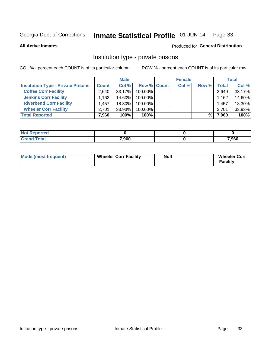#### Inmate Statistical Profile 01-JUN-14 Page 33

**All Active Inmates** 

#### Produced for General Distribution

### Institution type - private prisons

COL % - percent each COUNT is of its particular column

|                                           | <b>Male</b>         |        |                    | <b>Female</b> |       |       | <b>Total</b> |        |
|-------------------------------------------|---------------------|--------|--------------------|---------------|-------|-------|--------------|--------|
| <b>Institution Type - Private Prisons</b> | <b>Count</b>        | Col %  | <b>Row % Count</b> |               | Col % | Row % | Total        | Col %  |
| <b>Coffee Corr Facility</b>               | 2.640               | 33.17% | 100.00%            |               |       |       | 2,640        | 33.17% |
| <b>Jenkins Corr Facility</b>              | $.162$ <sup>+</sup> | 14.60% | 100.00%            |               |       |       | 1,162        | 14.60% |
| <b>Riverbend Corr Facility</b>            | 1.457               | 18.30% | 100.00%            |               |       |       | 1,457        | 18.30% |
| <b>Wheeler Corr Facility</b>              | 2.701               | 33.93% | 100.00%            |               |       |       | 2,701        | 33.93% |
| <b>Total Reported</b>                     | 7,960               | 100%   | $100\%$            |               |       | %     | 7,960        | 100%   |

| <b>Not Reported</b> |       |       |
|---------------------|-------|-------|
| <b>Total</b>        | 7,960 | 7,960 |

| Mode (most frequent) | Wheeler Corr Facility | Null | <b>Wheeler Corr</b><br>Facility |
|----------------------|-----------------------|------|---------------------------------|
|----------------------|-----------------------|------|---------------------------------|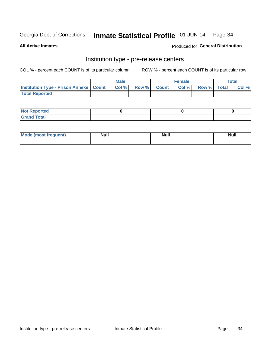# Inmate Statistical Profile 01-JUN-14 Page 34

**All Active Inmates** 

Produced for General Distribution

# Institution type - pre-release centers

COL % - percent each COUNT is of its particular column

|                                                   | <b>Male</b> |      |  |             | <b>Female</b> |             |  | <b>Total</b> |  |
|---------------------------------------------------|-------------|------|--|-------------|---------------|-------------|--|--------------|--|
| <b>Institution Type - Prison Annexe   Count  </b> |             | Col% |  | Row % Count | Col%          | Row % Total |  | Col %        |  |
| <b>Total Reported</b>                             |             |      |  |             |               |             |  |              |  |

| <b>Reported</b><br>I NOT |  |  |
|--------------------------|--|--|
| <b>Total</b><br>$C$ ren  |  |  |

| Mor<br><b>ruent</b> )<br>rea<br>nos | <b>Null</b> | <b>Moll</b><br>_____ | . .<br><b>Null</b> |
|-------------------------------------|-------------|----------------------|--------------------|
|                                     |             |                      |                    |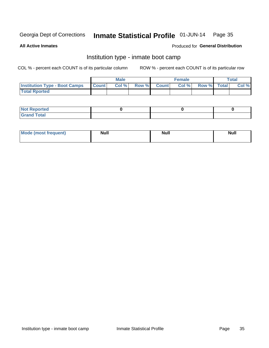#### Inmate Statistical Profile 01-JUN-14 Page 35

**All Active Inmates** 

#### Produced for General Distribution

# Institution type - inmate boot camp

COL % - percent each COUNT is of its particular column

|                                      |                  | <b>Male</b> |              |              | <b>Female</b> |             | <b>Total</b> |
|--------------------------------------|------------------|-------------|--------------|--------------|---------------|-------------|--------------|
| <b>Institution Type - Boot Camps</b> | <b>I</b> Count I | Col %       | <b>Row %</b> | <b>Count</b> | Col %         | Row % Total | Col %        |
| <b>Total Rported</b>                 |                  |             |              |              |               |             |              |

| <b>Not Reported</b>            |  |  |
|--------------------------------|--|--|
| <b>Total</b><br>C <sub>r</sub> |  |  |

| <b>I Mode (most frequent)</b> | <b>Null</b> | <b>Null</b> | <b>Null</b> |
|-------------------------------|-------------|-------------|-------------|
|                               |             |             |             |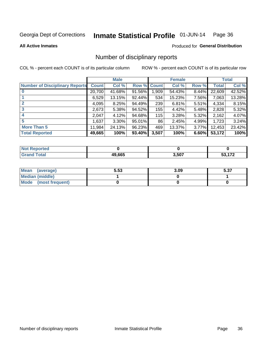#### Inmate Statistical Profile 01-JUN-14 Page 36

#### **All Active Inmates**

#### Produced for General Distribution

# Number of disciplinary reports

COL % - percent each COUNT is of its particular column

|                                       |              | <b>Male</b> |        |       | <b>Female</b> |          |              | <b>Total</b> |
|---------------------------------------|--------------|-------------|--------|-------|---------------|----------|--------------|--------------|
| <b>Number of Disciplinary Reports</b> | <b>Count</b> | Col %       | Row %  | Count | Col %         | Row %    | <b>Total</b> | Col %        |
| $\bf{0}$                              | 20,700       | 41.68%      | 91.56% | 1,909 | 54.43%        | $8.44\%$ | 22,609       | 42.52%       |
|                                       | 6,529        | 13.15%      | 92.44% | 534   | 15.23%        | 7.56%    | 7,063        | 13.28%       |
| $\overline{2}$                        | 4,095        | 8.25%       | 94.49% | 239   | 6.81%         | $5.51\%$ | 4,334        | 8.15%        |
| 3                                     | 2,673        | 5.38%       | 94.52% | 155   | 4.42%         | 5.48%    | 2,828        | 5.32%        |
| 4                                     | 2,047        | 4.12%       | 94.68% | 115   | 3.28%         | 5.32%    | 2,162        | 4.07%        |
| 5                                     | 1,637        | $3.30\%$    | 95.01% | 86    | 2.45%         | 4.99%    | 1,723        | 3.24%        |
| <b>More Than 5</b>                    | 11,984       | 24.13%      | 96.23% | 469   | 13.37%        | $3.77\%$ | 12,453       | 23.42%       |
| <b>Total Reported</b>                 | 49,665       | 100%        | 93.40% | 3,507 | 100%          | 6.60%    | 53,172       | 100%         |

| <b>rted</b><br>NO |        |       |               |
|-------------------|--------|-------|---------------|
| 'otal             | 49.665 | 3,507 | $\rightarrow$ |

| Mean (average)       | 5.53 | 3.09 | E 97<br>ว.งเ |
|----------------------|------|------|--------------|
| Median (middle)      |      |      |              |
| Mode (most frequent) |      |      |              |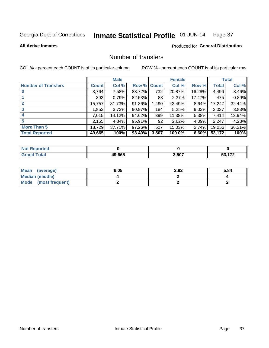#### Inmate Statistical Profile 01-JUN-14 Page 37

#### **All Active Inmates**

#### Produced for General Distribution

# Number of transfers

COL % - percent each COUNT is of its particular column

|                            |              | <b>Male</b> |             |       | <b>Female</b> |        |        | <b>Total</b> |
|----------------------------|--------------|-------------|-------------|-------|---------------|--------|--------|--------------|
| <b>Number of Transfers</b> | <b>Count</b> | Col %       | Row % Count |       | Col %         | Row %  | Total  | Col %        |
| $\bf{0}$                   | 3,764        | 7.58%       | 83.72%      | 732   | 20.87%        | 16.28% | 4,496  | 8.46%        |
|                            | 392          | 0.79%       | 82.53%      | 83    | 2.37%         | 17.47% | 475    | 0.89%        |
| $\mathbf{2}$               | 15,757       | 31.73%      | 91.36%      | 1,490 | 42.49%        | 8.64%  | 17,247 | 32.44%       |
| 3                          | 1,853        | 3.73%       | 90.97%      | 184   | 5.25%         | 9.03%  | 2,037  | 3.83%        |
|                            | 7,015        | 14.12%      | 94.62%      | 399   | 11.38%        | 5.38%  | 7,414  | 13.94%       |
| 5                          | 2,155        | 4.34%       | 95.91%      | 92    | 2.62%         | 4.09%  | 2,247  | 4.23%        |
| <b>More Than 5</b>         | 18,729       | 37.71%      | 97.26%      | 527   | 15.03%        | 2.74%  | 19,256 | 36.21%       |
| <b>Total Reported</b>      | 49,665       | 100%        | 93.40%      | 3,507 | 100.0%        | 6.60%  | 53,172 | 100%         |

| วrted<br>NO |        |       |               |
|-------------|--------|-------|---------------|
| Total       | 49.665 | 3,507 | $\rightarrow$ |

| Mean (average)         | 6.05 | 2.92 | 5.84 |
|------------------------|------|------|------|
| <b>Median (middle)</b> |      |      |      |
| Mode (most frequent)   |      |      |      |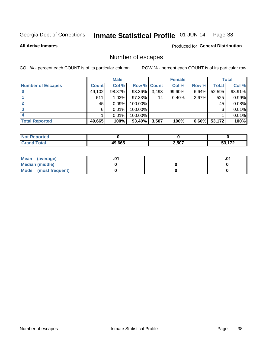#### Inmate Statistical Profile 01-JUN-14 Page 38

**All Active Inmates** 

Produced for General Distribution

# Number of escapes

COL % - percent each COUNT is of its particular column

|                          |              | <b>Male</b> |                    |       | <b>Female</b> |          |        | <b>Total</b> |
|--------------------------|--------------|-------------|--------------------|-------|---------------|----------|--------|--------------|
| <b>Number of Escapes</b> | <b>Count</b> | Col %       | <b>Row % Count</b> |       | Col %         | Row %    | Total  | Col %        |
|                          | 49,102       | 98.87%      | 93.36%             | 3,493 | 99.60%        | $6.64\%$ | 52,595 | 98.91%       |
|                          | 511          | 1.03%       | 97.33%             | 14    | 0.40%         | 2.67%    | 525    | 0.99%        |
|                          | 45           | 0.09%       | 100.00%            |       |               |          | 45     | 0.08%        |
|                          | 6            | 0.01%       | 100.00%            |       |               |          | 6      | 0.01%        |
|                          |              | 0.01%       | 100.00%            |       |               |          |        | 0.01%        |
| <b>Total Reported</b>    | 49,665       | 100%        | $93.40\%$          | 3,507 | 100%          | 6.60%    | 53,172 | 100%         |

| тео |        |       |              |
|-----|--------|-------|--------------|
|     | 49.665 | 3,507 | $1 - \alpha$ |

| Mean (average)       |  |  |
|----------------------|--|--|
| Median (middle)      |  |  |
| Mode (most frequent) |  |  |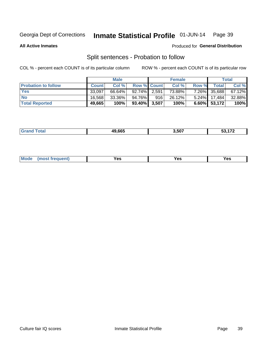#### Inmate Statistical Profile 01-JUN-14 Page 39

**All Active Inmates** 

#### Produced for General Distribution

# Split sentences - Probation to follow

COL % - percent each COUNT is of its particular column

|                            |              | <b>Male</b> |                    |     | <b>Female</b> |          |              | <b>Total</b> |
|----------------------------|--------------|-------------|--------------------|-----|---------------|----------|--------------|--------------|
| <b>Probation to follow</b> | <b>Count</b> | Col%        | <b>Row % Count</b> |     | Col %         | Row %    | Total        | Col %        |
| <b>Yes</b>                 | 33.097       | 66.64%      | 92.74% 2.591       |     | 73.88%        | $7.26\%$ | 35,688       | 67.12%       |
| <b>No</b>                  | 16.568       | 33.36%      | 94.76%             | 916 | 26.12%        |          | 5.24% 17,484 | 32.88%       |
| <b>Total Reported</b>      | 49,665       | 100%        | 93.40% 3,507       |     | 100%          | $6.60\%$ | 53,172       | 100%         |

| 49.665 | . <del>.</del><br>3.507 | $1 - \alpha$<br><br>$\cdot$ . $-$ |
|--------|-------------------------|-----------------------------------|
|        |                         |                                   |

| reauent)<br>Yes<br>v^c<br>0٥<br>.<br>. .<br>$\sim$ |  | <b>Mode</b> |  |  |  |
|----------------------------------------------------|--|-------------|--|--|--|
|----------------------------------------------------|--|-------------|--|--|--|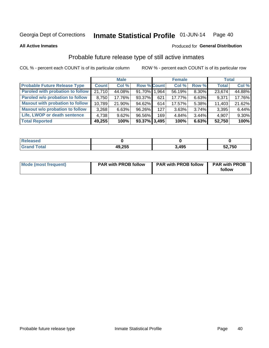#### Inmate Statistical Profile 01-JUN-14 Page 40

**All Active Inmates** 

#### Produced for General Distribution

# Probable future release type of still active inmates

COL % - percent each COUNT is of its particular column

|                                         |              | <b>Male</b> |                    |     | <b>Female</b> |          | <b>Total</b> |        |
|-----------------------------------------|--------------|-------------|--------------------|-----|---------------|----------|--------------|--------|
| <b>Probable Future Release Type</b>     | <b>Count</b> | Col %       | <b>Row % Count</b> |     | Col %         | Row %    | <b>Total</b> | Col %  |
| <b>Paroled with probation to follow</b> | 21,710       | 44.08%      | 91.70% 1.964       |     | 56.19%        | 8.30%    | 23,674       | 44.88% |
| Paroled w/o probation to follow         | 8,750        | 17.76%      | 93.37%             | 621 | 17.77%        | 6.63%    | 9,371        | 17.76% |
| <b>Maxout with probation to follow</b>  | 10,789       | 21.90%      | 94.62%             | 614 | 17.57%        | 5.38%    | 11,403       | 21.62% |
| <b>Maxout w/o probation to follow</b>   | 3,268        | 6.63%       | 96.26%             | 127 | 3.63%         | $3.74\%$ | 3,395        | 6.44%  |
| Life, LWOP or death sentence            | 4,738        | 9.62%       | 96.56%             | 169 | 4.84%         | 3.44%    | 4,907        | 9.30%  |
| <b>Total Reported</b>                   | 49,255       | 100%        | 93.37% 3,495       |     | 100%          | 6.63%    | 52,750       | 100%   |

| 49,255 | 3,495 | ,750<br>-^<br>JZ,1 |
|--------|-------|--------------------|

| Mode (most frequent) | <b>PAR with PROB follow</b> | <b>PAR with PROB follow</b> | <b>PAR with PROB</b> |
|----------------------|-----------------------------|-----------------------------|----------------------|
|                      |                             |                             | follow               |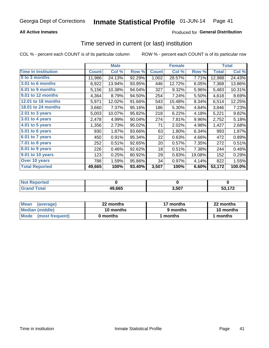### **All Active Inmates**

### Produced for General Distribution

# Time served in current (or last) institution

COL % - percent each COUNT is of its particular column

|                            |              | <b>Male</b> |        |              | <b>Female</b> |        |              | <b>Total</b> |
|----------------------------|--------------|-------------|--------|--------------|---------------|--------|--------------|--------------|
| <b>Time In Institution</b> | <b>Count</b> | Col %       | Row %  | <b>Count</b> | Col %         | Row %  | <b>Total</b> | Col %        |
| 0 to 3 months              | 11,986       | 24.13%      | 92.29% | 1,002        | 28.57%        | 7.71%  | 12,988       | 24.43%       |
| <b>3.01 to 6 months</b>    | 6,922        | 13.94%      | 93.95% | 446          | 12.72%        | 6.05%  | 7,368        | 13.86%       |
| 6.01 to 9 months           | 5,156        | 10.38%      | 94.04% | 327          | 9.32%         | 5.96%  | 5,483        | 10.31%       |
| 9.01 to 12 months          | 4,364        | 8.79%       | 94.50% | 254          | 7.24%         | 5.50%  | 4,618        | 8.69%        |
| 12.01 to 18 months         | 5,971        | 12.02%      | 91.66% | 543          | 15.48%        | 8.34%  | 6,514        | 12.25%       |
| <b>18.01 to 24 months</b>  | 3,660        | 7.37%       | 95.16% | 186          | 5.30%         | 4.84%  | 3,846        | 7.23%        |
| 2.01 to 3 years            | 5,003        | 10.07%      | 95.82% | 218          | 6.22%         | 4.18%  | 5,221        | 9.82%        |
| 3.01 to 4 years            | 2,478        | 4.99%       | 90.04% | 274          | 7.81%         | 9.96%  | 2,752        | 5.18%        |
| $4.01$ to 5 years          | 1,356        | 2.73%       | 95.02% | 71           | 2.02%         | 4.98%  | 1,427        | 2.68%        |
| 5.01 to 6 years            | 930          | 1.87%       | 93.66% | 63           | 1.80%         | 6.34%  | 993          | 1.87%        |
| 6.01 to 7 years            | 450          | 0.91%       | 95.34% | 22           | 0.63%         | 4.66%  | 472          | 0.89%        |
| 7.01 to 8 years            | 252          | 0.51%       | 92.65% | 20           | 0.57%         | 7.35%  | 272          | 0.51%        |
| $8.01$ to 9 years          | 226          | 0.46%       | 92.62% | 18           | 0.51%         | 7.38%  | 244          | 0.46%        |
| 9.01 to 10 years           | 123          | 0.25%       | 80.92% | 29           | 0.83%         | 19.08% | 152          | 0.29%        |
| Over 10 years              | 788          | 1.59%       | 95.86% | 34           | 0.97%         | 4.14%  | 822          | 1.55%        |
| <b>Total Reported</b>      | 49,665       | 100%        | 93.40% | 3,507        | 100%          | 6.60%  | 53,172       | 100.0%       |

| orted<br><b>NOT</b> |        |      |                |
|---------------------|--------|------|----------------|
| .'nta'              | 49,665 | .507 | $\overline{A}$ |

| <b>Mean</b><br>(average) | 22 months | 17 months | 22 months |
|--------------------------|-----------|-----------|-----------|
| Median (middle)          | 10 months | 9 months  | 10 months |
| Mode (most frequent)     | 0 months  | months    | l months  |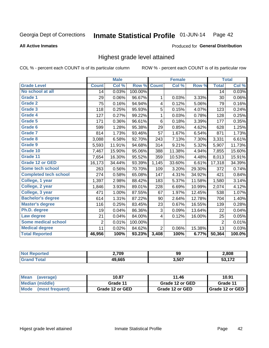#### Inmate Statistical Profile 01-JUN-14 Page 42

#### **All Active Inmates**

#### Produced for General Distribution

# Highest grade level attained

COL % - percent each COUNT is of its particular column

|                              |                | <b>Male</b>                |         |                | <b>Female</b> |        |                | <b>Total</b> |
|------------------------------|----------------|----------------------------|---------|----------------|---------------|--------|----------------|--------------|
| <b>Grade Level</b>           | <b>Count</b>   | $\overline{\text{Col }\%}$ | Row %   | <b>Count</b>   | Col %         | Row %  | <b>Total</b>   | Col %        |
| No school at all             | 14             | 0.03%                      | 100.00% |                |               |        | 14             | 0.03%        |
| Grade 1                      | 29             | 0.06%                      | 96.67%  | 1              | 0.03%         | 3.33%  | 30             | 0.06%        |
| <b>Grade 2</b>               | 75             | 0.16%                      | 94.94%  | 4              | 0.12%         | 5.06%  | 79             | 0.16%        |
| <b>Grade 3</b>               | 118            | 0.25%                      | 95.93%  | 5              | 0.15%         | 4.07%  | 123            | 0.24%        |
| Grade 4                      | 127            | 0.27%                      | 99.22%  | 1              | 0.03%         | 0.78%  | 128            | 0.25%        |
| Grade 5                      | 171            | 0.36%                      | 96.61%  | 6              | 0.18%         | 3.39%  | 177            | 0.35%        |
| Grade 6                      | 599            | 1.28%                      | 95.38%  | 29             | 0.85%         | 4.62%  | 628            | 1.25%        |
| Grade 7                      | 814            | 1.73%                      | 93.46%  | 57             | 1.67%         | 6.54%  | 871            | 1.73%        |
| Grade 8                      | 3,088          | 6.58%                      | 92.70%  | 243            | 7.13%         | 7.30%  | 3,331          | 6.61%        |
| Grade 9                      | 5,593          | 11.91%                     | 94.68%  | 314            | 9.21%         | 5.32%  | 5,907          | 11.73%       |
| Grade 10                     | 7,467          | 15.90%                     | 95.06%  | 388            | 11.38%        | 4.94%  | 7,855          | 15.60%       |
| Grade 11                     | 7,654          | 16.30%                     | 95.52%  | 359            | 10.53%        | 4.48%  | 8,013          | 15.91%       |
| <b>Grade 12 or GED</b>       | 16,173         | 34.44%                     | 93.39%  | 1,145          | 33.60%        | 6.61%  | 17,318         | 34.39%       |
| Some tech school             | 263            | 0.56%                      | 70.70%  | 109            | 3.20%         | 29.30% | 372            | 0.74%        |
| <b>Completed tech school</b> | 274            | 0.58%                      | 65.08%  | 147            | 4.31%         | 34.92% | 421            | 0.84%        |
| College, 1 year              | 1,397          | 2.98%                      | 88.42%  | 183            | 5.37%         | 11.58% | 1,580          | 3.14%        |
| College, 2 year              | 1,846          | 3.93%                      | 89.01%  | 228            | 6.69%         | 10.99% | 2,074          | 4.12%        |
| College, 3 year              | 471            | 1.00%                      | 87.55%  | 67             | 1.97%         | 12.45% | 538            | 1.07%        |
| <b>Bachelor's degree</b>     | 614            | 1.31%                      | 87.22%  | 90             | 2.64%         | 12.78% | 704            | 1.40%        |
| <b>Master's degree</b>       | 116            | 0.25%                      | 83.45%  | 23             | 0.67%         | 16.55% | 139            | 0.28%        |
| Ph.D. degree                 | 19             | 0.04%                      | 86.36%  | 3              | 0.09%         | 13.64% | 22             | 0.04%        |
| Law degree                   | 21             | 0.04%                      | 84.00%  | 4              | 0.12%         | 16.00% | 25             | 0.05%        |
| <b>Some medical school</b>   | $\overline{2}$ | 0.01%                      | 100.00% |                |               |        | $\overline{2}$ | 0.01%        |
| <b>Medical degree</b>        | 11             | 0.02%                      | 84.62%  | $\overline{2}$ | 0.06%         | 15.38% | 13             | 0.03%        |
| <b>Total Reported</b>        | 46,956         | 100%                       | 93.23%  | 3,408          | 100%          | 6.77%  | 50,364         | 100.0%       |

| 2,709        | 99    | 2,808          |
|--------------|-------|----------------|
| 10 CCF<br>mn | 3,507 | $\overline{1}$ |

| <b>Mean</b><br>(average)       | 10.87           | 11.46           | 10.91           |
|--------------------------------|-----------------|-----------------|-----------------|
| Median (middle)                | Grade 11        | Grade 12 or GED | Grade 11        |
| <b>Mode</b><br>(most frequent) | Grade 12 or GED | Grade 12 or GED | Grade 12 or GED |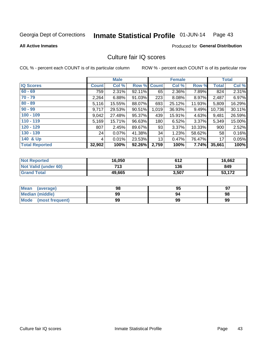#### Inmate Statistical Profile 01-JUN-14 Page 43

#### **All Active Inmates**

# Produced for General Distribution

# Culture fair IQ scores

COL % - percent each COUNT is of its particular column

|                       |              | <b>Male</b> |        |              | <b>Female</b> |           |              | <b>Total</b> |
|-----------------------|--------------|-------------|--------|--------------|---------------|-----------|--------------|--------------|
| <b>IQ Scores</b>      | <b>Count</b> | Col %       | Row %  | <b>Count</b> | Col %         | Row %     | <b>Total</b> | Col %        |
| $60 - 69$             | 759          | 2.31%       | 92.11% | 65           | 2.36%         | 7.89%     | 824          | 2.31%        |
| $70 - 79$             | 2,264        | 6.88%       | 91.03% | 223          | 8.08%         | 8.97%     | 2,487        | 6.97%        |
| $80 - 89$             | 5,116        | 15.55%      | 88.07% | 693          | 25.12%        | 11.93%    | 5,809        | 16.29%       |
| $90 - 99$             | 9,717        | 29.53%      | 90.51% | 1,019        | 36.93%        | 9.49%     | 10,736       | 30.11%       |
| $100 - 109$           | 9,042        | 27.48%      | 95.37% | 439          | 15.91%        | 4.63%     | 9,481        | 26.59%       |
| $110 - 119$           | 5,169        | 15.71%      | 96.63% | 180          | 6.52%         | $3.37\%$  | 5,349        | 15.00%       |
| $120 - 129$           | 807          | 2.45%       | 89.67% | 93           | 3.37%         | $10.33\%$ | 900          | 2.52%        |
| $130 - 139$           | 24           | $0.07\%$    | 41.38% | 34           | 1.23%         | 58.62%    | 58           | 0.16%        |
| 140 & Up              | 4            | 0.01%       | 23.53% | 13           | 0.47%         | 76.47%    | 17           | 0.05%        |
| <b>Total Reported</b> | 32,902       | 100%        | 92.26% | 2,759        | 100%          | 7.74%     | 35,661       | 100%         |

| <b>Not Reported</b>         | 16,050 | 612   | 16,662 |
|-----------------------------|--------|-------|--------|
| <b>Not Valid (under 60)</b> | 713    | 136   | 849    |
| <b>Grand Total</b>          | 49,665 | 3,507 | 53,172 |

| <b>Mean</b><br>(average) | 98 | 95 | 97 |
|--------------------------|----|----|----|
| Median (middle)          | 99 | 94 | 98 |
| Mode<br>(most frequent)  | 99 | 99 | 99 |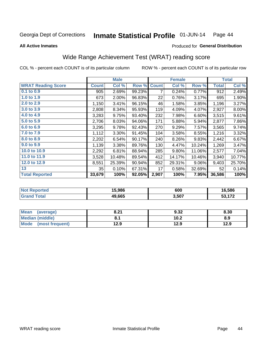#### Inmate Statistical Profile 01-JUN-14 Page 44

**All Active Inmates** 

### Produced for General Distribution

# Wide Range Achievement Test (WRAT) reading score

COL % - percent each COUNT is of its particular column

|                           |              | <b>Male</b> |        |              | <b>Female</b> |        |              | <b>Total</b> |
|---------------------------|--------------|-------------|--------|--------------|---------------|--------|--------------|--------------|
| <b>WRAT Reading Score</b> | <b>Count</b> | Col %       | Row %  | <b>Count</b> | Col %         | Row %  | <b>Total</b> | Col %        |
| 0.1 to 0.9                | 905          | 2.69%       | 99.23% | 7            | 0.24%         | 0.77%  | 912          | 2.49%        |
| 1.0 to 1.9                | 673          | 2.00%       | 96.83% | 22           | 0.76%         | 3.17%  | 695          | 1.90%        |
| 2.0 to 2.9                | 1,150        | 3.41%       | 96.15% | 46           | 1.58%         | 3.85%  | 1,196        | 3.27%        |
| 3.0 to 3.9                | 2,808        | 8.34%       | 95.93% | 119          | 4.09%         | 4.07%  | 2,927        | $8.00\%$     |
| 4.0 to 4.9                | 3,283        | 9.75%       | 93.40% | 232          | 7.98%         | 6.60%  | 3,515        | 9.61%        |
| 5.0 to 5.9                | 2,706        | 8.03%       | 94.06% | 171          | 5.88%         | 5.94%  | 2,877        | 7.86%        |
| 6.0 to 6.9                | 3,295        | 9.78%       | 92.43% | 270          | 9.29%         | 7.57%  | 3,565        | 9.74%        |
| 7.0 to 7.9                | 1,112        | 3.30%       | 91.45% | 104          | 3.58%         | 8.55%  | 1,216        | 3.32%        |
| 8.0 to 8.9                | 2,202        | 6.54%       | 90.17% | 240          | 8.26%         | 9.83%  | 2,442        | 6.67%        |
| 9.0 to 9.9                | 1,139        | 3.38%       | 89.76% | 130          | 4.47%         | 10.24% | 1,269        | 3.47%        |
| 10.0 to 10.9              | 2,292        | 6.81%       | 88.94% | 285          | 9.80%         | 11.06% | 2,577        | 7.04%        |
| 11.0 to 11.9              | 3,528        | 10.48%      | 89.54% | 412          | 14.17%        | 10.46% | 3,940        | 10.77%       |
| 12.0 to 12.9              | 8,551        | 25.39%      | 90.94% | 852          | 29.31%        | 9.06%  | 9,403        | 25.70%       |
| 13                        | 35           | 0.10%       | 67.31% | 17           | 0.58%         | 32.69% | 52           | 0.14%        |
| <b>Total Reported</b>     | 33,679       | 100%        | 92.05% | 2,907        | 100%          | 7.95%  | 36,586       | 100%         |

| rteo<br>NO | 15.986 | 600   | 6.586                     |
|------------|--------|-------|---------------------------|
|            | 49.665 | 3,507 | $F^{\prime}$ $F^{\prime}$ |

| <b>Mean</b><br>(average) | 8.21 | 9.32 | 8.30 |
|--------------------------|------|------|------|
| Median (middle)          |      | 10.2 | 8.9  |
| Mode<br>(most frequent)  | 12.9 | 12.9 | 12.9 |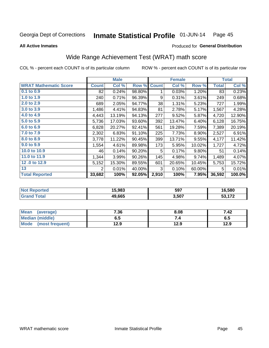#### Inmate Statistical Profile 01-JUN-14 Page 45

**All Active Inmates** 

#### Produced for General Distribution

# Wide Range Achievement Test (WRAT) math score

COL % - percent each COUNT is of its particular column

|                              |                | <b>Male</b> |        |              | <b>Female</b> |        |              | <b>Total</b> |
|------------------------------|----------------|-------------|--------|--------------|---------------|--------|--------------|--------------|
| <b>WRAT Mathematic Score</b> | <b>Count</b>   | Col %       | Row %  | <b>Count</b> | Col %         | Row %  | <b>Total</b> | Col %        |
| 0.1 to 0.9                   | 82             | 0.24%       | 98.80% | 1            | 0.03%         | 1.20%  | 83           | 0.23%        |
| 1.0 to 1.9                   | 240            | 0.71%       | 96.39% | 9            | 0.31%         | 3.61%  | 249          | 0.68%        |
| 2.0 to 2.9                   | 689            | 2.05%       | 94.77% | 38           | 1.31%         | 5.23%  | 727          | 1.99%        |
| 3.0 to 3.9                   | 1,486          | 4.41%       | 94.83% | 81           | 2.78%         | 5.17%  | 1,567        | 4.28%        |
| 4.0 to 4.9                   | 4,443          | 13.19%      | 94.13% | 277          | 9.52%         | 5.87%  | 4,720        | 12.90%       |
| 5.0 to 5.9                   | 5,736          | 17.03%      | 93.60% | 392          | 13.47%        | 6.40%  | 6,128        | 16.75%       |
| 6.0 to 6.9                   | 6,828          | 20.27%      | 92.41% | 561          | 19.28%        | 7.59%  | 7,389        | 20.19%       |
| 7.0 to 7.9                   | 2,302          | 6.83%       | 91.10% | 225          | 7.73%         | 8.90%  | 2,527        | 6.91%        |
| 8.0 to 8.9                   | 3,778          | 11.22%      | 90.45% | 399          | 13.71%        | 9.55%  | 4,177        | 11.42%       |
| 9.0 to 9.9                   | 1,554          | 4.61%       | 89.98% | 173          | 5.95%         | 10.02% | 1,727        | 4.72%        |
| 10.0 to 10.9                 | 46             | 0.14%       | 90.20% | 5            | 0.17%         | 9.80%  | 51           | 0.14%        |
| 11.0 to 11.9                 | 1,344          | 3.99%       | 90.26% | 145          | 4.98%         | 9.74%  | 1,489        | 4.07%        |
| 12.0 to 12.9                 | 5,152          | 15.30%      | 89.55% | 601          | 20.65%        | 10.45% | 5,753        | 15.72%       |
| 13                           | $\overline{2}$ | 0.01%       | 40.00% | 3            | 0.10%         | 60.00% | 5            | 0.01%        |
| <b>Total Reported</b>        | 33,682         | 100%        | 92.05% | 2,910        | 100%          | 7.95%  | 36,592       | 100.0%       |

| Reported<br><b>NOT</b> | 5,983  | 597   | 16,580             |
|------------------------|--------|-------|--------------------|
| <b>cotal</b>           | 49.665 | 3,507 | <b>FO 470</b><br>. |

| <b>Mean</b><br>(average) | 7.36 | 8.08 | 7.42 |
|--------------------------|------|------|------|
| Median (middle)          | כ.ס  | ۰.,  | ხ.მ  |
| Mode<br>(most frequent)  | 12.9 | 12.9 | 12.9 |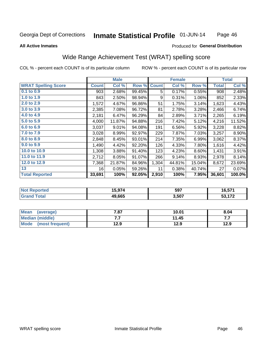#### Inmate Statistical Profile 01-JUN-14 Page 46

#### **All Active Inmates**

#### Produced for General Distribution

# Wide Range Achievement Test (WRAT) spelling score

COL % - percent each COUNT is of its particular column

|                            |              | <b>Male</b> |        |              | <b>Female</b> |        |        | <b>Total</b> |
|----------------------------|--------------|-------------|--------|--------------|---------------|--------|--------|--------------|
| <b>WRAT Spelling Score</b> | <b>Count</b> | Col %       | Row %  | <b>Count</b> | Col %         | Row %  | Total  | Col %        |
| 0.1 to 0.9                 | 903          | 2.68%       | 99.45% | 5            | 0.17%         | 0.55%  | 908    | 2.48%        |
| 1.0 to 1.9                 | 843          | 2.50%       | 98.94% | 9            | 0.31%         | 1.06%  | 852    | 2.33%        |
| 2.0 to 2.9                 | 1,572        | 4.67%       | 96.86% | 51           | 1.75%         | 3.14%  | 1,623  | 4.43%        |
| 3.0 to 3.9                 | 2,385        | 7.08%       | 96.72% | 81           | 2.78%         | 3.28%  | 2,466  | 6.74%        |
| 4.0 to 4.9                 | 2,181        | 6.47%       | 96.29% | 84           | 2.89%         | 3.71%  | 2,265  | 6.19%        |
| 5.0 to 5.9                 | 4,000        | 11.87%      | 94.88% | 216          | 7.42%         | 5.12%  | 4,216  | 11.52%       |
| 6.0 to 6.9                 | 3,037        | 9.01%       | 94.08% | 191          | 6.56%         | 5.92%  | 3,228  | 8.82%        |
| 7.0 to 7.9                 | 3,028        | 8.99%       | 92.97% | 229          | 7.87%         | 7.03%  | 3,257  | 8.90%        |
| 8.0 to 8.9                 | 2,848        | 8.45%       | 93.01% | 214          | 7.35%         | 6.99%  | 3,062  | 8.37%        |
| 9.0 to 9.9                 | 1,490        | 4.42%       | 92.20% | 126          | 4.33%         | 7.80%  | 1,616  | 4.42%        |
| 10.0 to 10.9               | 1,308        | 3.88%       | 91.40% | 123          | 4.23%         | 8.60%  | 1,431  | 3.91%        |
| 11.0 to 11.9               | 2,712        | 8.05%       | 91.07% | 266          | 9.14%         | 8.93%  | 2,978  | 8.14%        |
| 12.0 to 12.9               | 7,368        | 21.87%      | 84.96% | 1,304        | 44.81%        | 15.04% | 8,672  | 23.69%       |
| 13                         | 16           | 0.05%       | 59.26% | 11           | 0.38%         | 40.74% | 27     | 0.07%        |
| <b>Total Reported</b>      | 33,691       | 100%        | 92.05% | 2,910        | 100%          | 7.95%  | 36,601 | 100.0%       |

| тес | 1 F A T 1 | 597   | $\sim$ $-1$ |
|-----|-----------|-------|-------------|
| NG  | ט ט       |       | ו ט.ט       |
|     | 49,665    | 3,507 | 170         |

| <b>Mean</b><br>(average) | 7.87 | 10.01 | 8.04 |
|--------------------------|------|-------|------|
| Median (middle)          | .    | 11.45 | .    |
| Mode<br>(most frequent)  | 12.9 | 12.9  | 12.9 |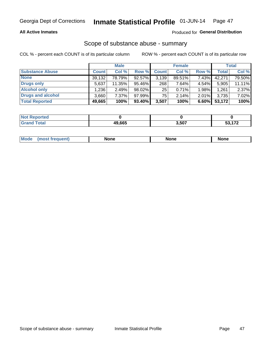### **All Active Inmates**

### Produced for General Distribution

## Scope of substance abuse - summary

COL % - percent each COUNT is of its particular column

|                        |              | <b>Male</b> |           |              | <b>Female</b> |       |              | <b>Total</b> |
|------------------------|--------------|-------------|-----------|--------------|---------------|-------|--------------|--------------|
| <b>Substance Abuse</b> | <b>Count</b> | Col %       | Row %     | <b>Count</b> | Col %         | Row % | <b>Total</b> | Col %        |
| <b>None</b>            | 39,132       | 78.79%      | 92.57%    | 3,139        | 89.51%        | 7.43% | 42.271       | 79.50%       |
| <b>Drugs only</b>      | 5,637        | 11.35%      | 95.46%    | 268          | 7.64%         | 4.54% | 5,905        | 11.11%       |
| <b>Alcohol only</b>    | .236         | 2.49%       | 98.02%    | 25           | $0.71\%$      | 1.98% | 1,261        | 2.37%        |
| Drugs and alcohol      | 3,660        | 7.37%       | 97.99%    | 75           | 2.14%         | 2.01% | 3,735        | 7.02%        |
| <b>Total Reported</b>  | 49,665       | 100%        | $93.40\%$ | 3,507        | 100%          | 6.60% | 53,172       | 100%         |

| <b>Not Reported</b> |        |       |                   |
|---------------------|--------|-------|-------------------|
| <b>Grand Total</b>  | 49.665 | 3,507 | <b>52472</b><br>. |

| nuem | <b>Mo</b> | None | <b>None</b> | None |
|------|-----------|------|-------------|------|
|------|-----------|------|-------------|------|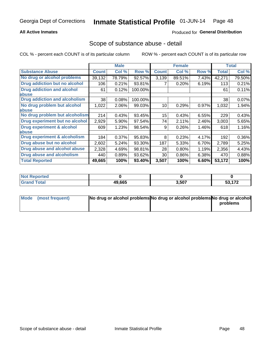### **All Active Inmates**

### Produced for General Distribution

## Scope of substance abuse - detail

COL % - percent each COUNT is of its particular column

|                                      |              | <b>Male</b> |         |              | <b>Female</b> |       |              | <b>Total</b> |
|--------------------------------------|--------------|-------------|---------|--------------|---------------|-------|--------------|--------------|
| <b>Substance Abuse</b>               | <b>Count</b> | Col %       | Row %   | <b>Count</b> | Col %         | Row % | <b>Total</b> | Col %        |
| No drug or alcohol problems          | 39,132       | 78.79%      | 92.57%  | 3,139        | 89.51%        | 7.43% | 42,271       | 79.50%       |
| Drug addiction but no alcohol        | 106          | 0.21%       | 93.81%  |              | 0.20%         | 6.19% | 113          | 0.21%        |
| <b>Drug addiction and alcohol</b>    | 61           | 0.12%       | 100.00% |              |               |       | 61           | 0.11%        |
| <b>labuse</b>                        |              |             |         |              |               |       |              |              |
| <b>Drug addiction and alcoholism</b> | 38           | 0.08%       | 100.00% |              |               |       | 38           | 0.07%        |
| No drug problem but alcohol          | 1,022        | 2.06%       | 99.03%  | 10           | 0.29%         | 0.97% | 1,032        | 1.94%        |
| <b>labuse</b>                        |              |             |         |              |               |       |              |              |
| No drug problem but alcoholism       | 214          | 0.43%       | 93.45%  | 15           | 0.43%         | 6.55% | 229          | 0.43%        |
| Drug experiment but no alcohol       | 2,929        | 5.90%       | 97.54%  | 74           | 2.11%         | 2.46% | 3,003        | 5.65%        |
| <b>Drug experiment &amp; alcohol</b> | 609          | 1.23%       | 98.54%  | 9            | 0.26%         | 1.46% | 618          | 1.16%        |
| abuse                                |              |             |         |              |               |       |              |              |
| Drug experiment & alcoholism         | 184          | 0.37%       | 95.83%  | 8            | 0.23%         | 4.17% | 192          | 0.36%        |
| Drug abuse but no alcohol            | 2,602        | 5.24%       | 93.30%  | 187          | 5.33%         | 6.70% | 2,789        | 5.25%        |
| Drug abuse and alcohol abuse         | 2,328        | 4.69%       | 98.81%  | 28           | 0.80%         | 1.19% | 2,356        | 4.43%        |
| Drug abuse and alcoholism            | 440          | 0.89%       | 93.62%  | 30           | 0.86%         | 6.38% | 470          | 0.88%        |
| <b>Total Reported</b>                | 49,665       | 100%        | 93.40%  | 3,507        | 100%          | 6.60% | 53,172       | 100%         |

| orted<br>' NOT |        |       |                                 |
|----------------|--------|-------|---------------------------------|
| <b>otal</b>    | 49,665 | 3,507 | $F^{\alpha}$ $F^{\alpha}$<br>-- |

| Mode (most frequent) | No drug or alcohol problems No drug or alcohol problems No drug or alcohol |          |
|----------------------|----------------------------------------------------------------------------|----------|
|                      |                                                                            | problems |
|                      |                                                                            |          |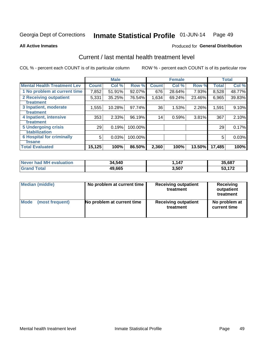#### Inmate Statistical Profile 01-JUN-14 Page 49

**All Active Inmates** 

### **Produced for General Distribution**

# Current / last mental health treatment level

COL % - percent each COUNT is of its particular column

|                                    |              | <b>Male</b> |         |              | <b>Female</b> |        |              | <b>Total</b> |
|------------------------------------|--------------|-------------|---------|--------------|---------------|--------|--------------|--------------|
| <b>Mental Health Treatment Lev</b> | <b>Count</b> | Col %       | Row %   | <b>Count</b> | Col %         | Row %  | <b>Total</b> | Col %        |
| 1 No problem at current time       | 7,852        | 51.91%      | 92.07%  | 676          | 28.64%        | 7.93%  | 8,528        | 48.77%       |
| 2 Receiving outpatient             | 5,331        | 35.25%      | 76.54%  | 1,634        | 69.24%        | 23.46% | 6,965        | 39.83%       |
| <b>Treatment</b>                   |              |             |         |              |               |        |              |              |
| 3 Inpatient, moderate              | 1,555        | 10.28%      | 97.74%  | 36           | 1.53%         | 2.26%  | 1,591        | 9.10%        |
| <b>Treatment</b>                   |              |             |         |              |               |        |              |              |
| 4 Inpatient, intensive             | 353          | 2.33%       | 96.19%  | 14           | 0.59%         | 3.81%  | 367          | 2.10%        |
| <b>Treatment</b>                   |              |             |         |              |               |        |              |              |
| <b>5 Undergoing crisis</b>         | 29           | 0.19%       | 100.00% |              |               |        | 29           | 0.17%        |
| <b>stabilization</b>               |              |             |         |              |               |        |              |              |
| <b>6 Hospital for criminally</b>   | 5            | 0.03%       | 100.00% |              |               |        | 5            | 0.03%        |
| <b>Tinsane</b>                     |              |             |         |              |               |        |              |              |
| <b>Total Evaluated</b>             | 15,125       | 100%        | 86.50%  | 2,360        | 100%          | 13.50% | 17,485       | 100%         |

| <b>Never had MH evaluation</b> | 34,540 | 147,  | 35,687 |
|--------------------------------|--------|-------|--------|
| Total                          | 49,665 | 3,507 | 170    |

| Median (middle) | No problem at current time | <b>Receiving outpatient</b><br>treatment | <b>Receiving</b><br>outpatient<br>treatment |
|-----------------|----------------------------|------------------------------------------|---------------------------------------------|
| <b>Mode</b>     | No problem at current time | <b>Receiving outpatient</b>              | No problem at                               |
| (most frequent) |                            | treatment                                | current time                                |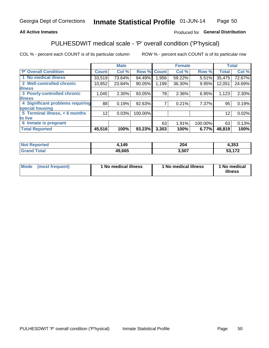### **All Active Inmates**

### Produced for General Distribution

# PULHESDWIT medical scale - 'P' overall condition ('P'hysical)

COL % - percent each COUNT is of its particular column

|                                  |              | <b>Male</b> |         |              | <b>Female</b> |         |              | <b>Total</b> |
|----------------------------------|--------------|-------------|---------|--------------|---------------|---------|--------------|--------------|
| 'P' Overall Condition            | <b>Count</b> | Col %       | Row %   | <b>Count</b> | Col %         | Row %   | <b>Total</b> | Col %        |
| 1 No medical illness             | 33,519       | 73.64%      | 94.49%  | 1,956        | 59.22%        | 5.51%   | 35,475       | 72.67%       |
| 2 Well-controlled chronic        | 10,852       | 23.84%      | 90.05%  | 1,199        | 36.30%        | 9.95%   | 12,051       | 24.69%       |
| <b>lillness</b>                  |              |             |         |              |               |         |              |              |
| 3 Poorly-controlled chronic      | 1,045        | $2.30\%$    | 93.05%  | 78           | 2.36%         | 6.95%   | 1,123        | 2.30%        |
| <b>lillness</b>                  |              |             |         |              |               |         |              |              |
| 4 Significant problems requiring | 88           | 0.19%       | 92.63%  |              | 0.21%         | 7.37%   | 95           | 0.19%        |
| special housing                  |              |             |         |              |               |         |              |              |
| 5 Terminal illness, < 6 months   | 12           | 0.03%       | 100.00% |              |               |         | 12           | 0.02%        |
| to live                          |              |             |         |              |               |         |              |              |
| 6 Inmate is pregnant             |              |             |         | 63           | 1.91%         | 100.00% | 63           | 0.13%        |
| <b>Total Reported</b>            | 45,516       | 100%        | 93.23%  | 3,303        | 100%          | 6.77%   | 48,819       | 100%         |

| тео | 149          | 20 <sup>2</sup><br>2V4 | <b>OFO</b><br>.ააა |
|-----|--------------|------------------------|--------------------|
|     | 49,665<br>ДU | .507                   | $\rightarrow$      |

| Mode | (most frequent) | 1 No medical illness | 1 No medical illness | 1 No medical<br>illness |
|------|-----------------|----------------------|----------------------|-------------------------|
|------|-----------------|----------------------|----------------------|-------------------------|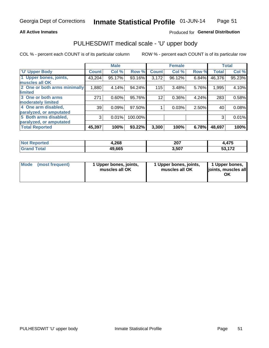#### **All Active Inmates**

### Produced for General Distribution

# PULHESDWIT medical scale - 'U' upper body

COL % - percent each COUNT is of its particular column

|                              |              | <b>Male</b> |         |              | <b>Female</b> |       |              | <b>Total</b> |
|------------------------------|--------------|-------------|---------|--------------|---------------|-------|--------------|--------------|
| <b>U' Upper Body</b>         | <b>Count</b> | Col %       | Row %   | <b>Count</b> | Col %         | Row % | <b>Total</b> | Col %        |
| 1 Upper bones, joints,       | 43,204       | 95.17%      | 93.16%  | 3,172        | 96.12%        | 6.84% | 46,376       | 95.23%       |
| muscles all OK               |              |             |         |              |               |       |              |              |
| 2 One or both arms minimally | 1,880        | 4.14%       | 94.24%  | 115          | 3.48%         | 5.76% | 1,995        | 4.10%        |
| limited                      |              |             |         |              |               |       |              |              |
| 3 One or both arms           | 271          | 0.60%       | 95.76%  | 12           | 0.36%         | 4.24% | 283          | 0.58%        |
| moderately limited           |              |             |         |              |               |       |              |              |
| 4 One arm disabled,          | 39           | 0.09%       | 97.50%  |              | 0.03%         | 2.50% | 40           | 0.08%        |
| paralyzed, or amputated      |              |             |         |              |               |       |              |              |
| 5 Both arms disabled,        | 3            | 0.01%       | 100.00% |              |               |       | 3            | 0.01%        |
| paralyzed, or amputated      |              |             |         |              |               |       |              |              |
| <b>Total Reported</b>        | 45,397       | 100%        | 93.22%  | 3,300        | 100%          | 6.78% | 48,697       | 100%         |

| <b>Not Reported</b>          | 4,268  | 207   | ,475                |
|------------------------------|--------|-------|---------------------|
| <b>Total</b><br><b>Grand</b> | 49,665 | 3,507 | <b>FO 470</b><br>vu |

| Mode (most frequent) | 1 Upper bones, joints,<br>muscles all OK | 1 Upper bones, joints,<br>muscles all OK | 1 Upper bones,<br>joints, muscles all<br>ΟK |
|----------------------|------------------------------------------|------------------------------------------|---------------------------------------------|
|----------------------|------------------------------------------|------------------------------------------|---------------------------------------------|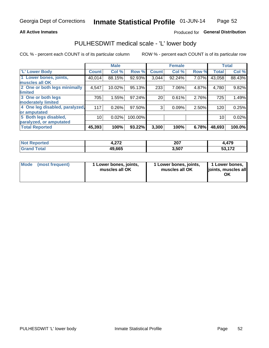#### **All Active Inmates**

### Produced for General Distribution

# PULHESDWIT medical scale - 'L' lower body

COL % - percent each COUNT is of its particular column

|                                |                 | <b>Male</b> |         |              | <b>Female</b> |       |              | <b>Total</b> |
|--------------------------------|-----------------|-------------|---------|--------------|---------------|-------|--------------|--------------|
| 'L' Lower Body                 | <b>Count</b>    | Col %       | Row %   | <b>Count</b> | Col %         | Row % | <b>Total</b> | Col %        |
| 1 Lower bones, joints,         | 40,014          | 88.15%      | 92.93%  | 3,044        | 92.24%        | 7.07% | 43,058       | 88.43%       |
| muscles all OK                 |                 |             |         |              |               |       |              |              |
| 2 One or both legs minimally   | 4,547           | 10.02%      | 95.13%  | 233          | 7.06%         | 4.87% | 4,780        | 9.82%        |
| limited                        |                 |             |         |              |               |       |              |              |
| 3 One or both legs             | 705             | 1.55%       | 97.24%  | 20           | 0.61%         | 2.76% | 725          | 1.49%        |
| moderately limited             |                 |             |         |              |               |       |              |              |
| 4 One leg disabled, paralyzed, | 117             | 0.26%       | 97.50%  | 3            | 0.09%         | 2.50% | 120          | 0.25%        |
| or amputated                   |                 |             |         |              |               |       |              |              |
| 5 Both legs disabled,          | 10 <sup>1</sup> | 0.02%       | 100.00% |              |               |       | 10           | 0.02%        |
| paralyzed, or amputated        |                 |             |         |              |               |       |              |              |
| <b>Total Reported</b>          | 45,393          | 100%        | 93.22%  | 3,300        | 100%          | 6.78% | 48,693       | 100.0%       |

| <b>Not Reported</b> | 0.70<br>. <i>.</i> | 207   | ,479                |
|---------------------|--------------------|-------|---------------------|
| Total<br>Grand      | 49,665             | 3,507 | <b>FA 450</b><br>vu |

| Mode | (most frequent) | 1 Lower bones, joints,<br>muscles all OK | I Lower bones, joints,<br>muscles all OK | 1 Lower bones,<br>joints, muscles all<br>ΟK |
|------|-----------------|------------------------------------------|------------------------------------------|---------------------------------------------|
|------|-----------------|------------------------------------------|------------------------------------------|---------------------------------------------|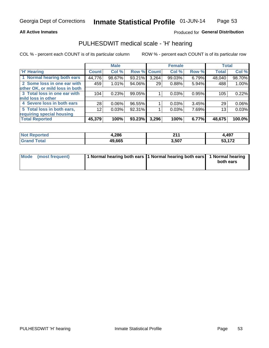#### **All Active Inmates**

## Produced for General Distribution

## PULHESDWIT medical scale - 'H' hearing

COL % - percent each COUNT is of its particular column

|                                |                    | <b>Male</b> |             |       | <b>Female</b> |       | <b>Total</b> |        |
|--------------------------------|--------------------|-------------|-------------|-------|---------------|-------|--------------|--------|
| <b>H' Hearing</b>              | Count <sup>1</sup> | Col %       | Row % Count |       | Col %         | Row % | <b>Total</b> | Col %  |
| 1 Normal hearing both ears     | 44,776             | 98.67%      | 93.21%      | 3,264 | 99.03%        | 6.79% | 48,040       | 98.70% |
| 2 Some loss in one ear with    | 459                | 1.01%       | 94.06%      | 29    | 0.88%         | 5.94% | 488          | 1.00%  |
| other OK, or mild loss in both |                    |             |             |       |               |       |              |        |
| 3 Total loss in one ear with   | 104                | 0.23%       | 99.05%      |       | 0.03%         | 0.95% | 105          | 0.22%  |
| mild loss in other             |                    |             |             |       |               |       |              |        |
| 4 Severe loss in both ears     | 28                 | 0.06%       | 96.55%      |       | 0.03%         | 3.45% | 29           | 0.06%  |
| 5 Total loss in both ears,     | 12                 | 0.03%       | 92.31%      |       | 0.03%         | 7.69% | 13           | 0.03%  |
| requiring special housing      |                    |             |             |       |               |       |              |        |
| <b>Total Reported</b>          | 45,379             | 100%        | 93.23%      | 3,296 | 100%          | 6.77% | 48,675       | 100.0% |

| <b>Not Reno</b><br>ా∩rted | 1,286  | ີ<br>- - -<br>___ | 4,497              |
|---------------------------|--------|-------------------|--------------------|
| Total                     | 49.665 | 3,507             | 170<br>17 Z<br>JJ. |

| Mode (most frequent) | 1 Normal hearing both ears 11 Normal hearing both ears 1 Normal hearing | both ears |
|----------------------|-------------------------------------------------------------------------|-----------|
|                      |                                                                         |           |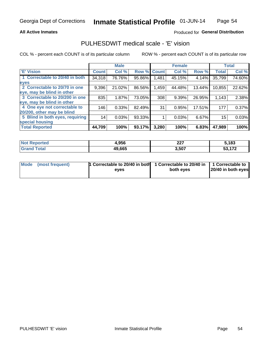#### **All Active Inmates**

### Produced for General Distribution

# PULHESDWIT medical scale - 'E' vision

COL % - percent each COUNT is of its particular column

|                                 |              | <b>Male</b> |        |              | <b>Female</b> |        |              | <b>Total</b> |
|---------------------------------|--------------|-------------|--------|--------------|---------------|--------|--------------|--------------|
| 'E' Vision                      | <b>Count</b> | Col %       | Row %  | <b>Count</b> | Col %         | Row %  | <b>Total</b> | Col %        |
| 1 Correctable to 20/40 in both  | 34,318       | 76.76%      | 95.86% | ,481         | 45.15%        | 4.14%  | 35,799       | 74.60%       |
| eyes                            |              |             |        |              |               |        |              |              |
| 2 Correctable to 20/70 in one   | 9,396        | 21.02%      | 86.56% | 1,459        | 44.48%        | 13.44% | 10,855       | 22.62%       |
| eye, may be blind in other      |              |             |        |              |               |        |              |              |
| 3 Correctable to 20/200 in one  | 835          | 1.87%       | 73.05% | 308          | 9.39%         | 26.95% | 1,143        | 2.38%        |
| eye, may be blind in other      |              |             |        |              |               |        |              |              |
| 4 One eye not correctable to    | 146          | 0.33%       | 82.49% | 31           | 0.95%         | 17.51% | 177          | 0.37%        |
| 20/200, other may be blind      |              |             |        |              |               |        |              |              |
| 5 Blind in both eyes, requiring | 14           | 0.03%       | 93.33% |              | 0.03%         | 6.67%  | 15           | 0.03%        |
| special housing                 |              |             |        |              |               |        |              |              |
| <b>Total Reported</b>           | 44,709       | 100%        | 93.17% | 3,280        | 100%          | 6.83%  | 47,989       | 100%         |

| <b>Not Reported</b>          | 4,956  | $\sim$<br>221 | 5,183  |
|------------------------------|--------|---------------|--------|
| <b>Total</b><br><b>Grand</b> | 49,665 | 3,507         | 53,172 |

| Mode (most frequent) | 1 Correctable to 20/40 in both<br>eves | 1 Correctable to 20/40 in   1 Correctable to  <br>both eves | 20/40 in both eyes |
|----------------------|----------------------------------------|-------------------------------------------------------------|--------------------|
|                      |                                        |                                                             |                    |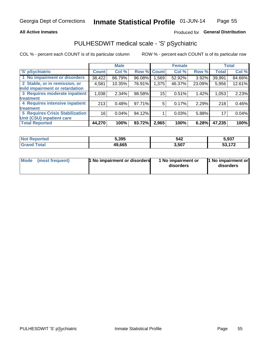### **All Active Inmates**

## Produced for General Distribution

# PULHESDWIT medical scale - 'S' pSychiatric

COL % - percent each COUNT is of its particular column

|                                        |              | <b>Male</b> |        |              | <b>Female</b> |        |              | <b>Total</b> |
|----------------------------------------|--------------|-------------|--------|--------------|---------------|--------|--------------|--------------|
| 'S' pSychiatric                        | <b>Count</b> | Col %       | Row %  | <b>Count</b> | Col %         | Row %  | <b>Total</b> | Col %        |
| 1 No impairment or disorders           | 38,422       | 86.79%      | 96.08% | .569         | 52.92%        | 3.92%  | 39,991       | 84.66%       |
| 2 Stable, or in remission, or          | 4,581        | 10.35%      | 76.91% | 1,375        | 46.37%        | 23.09% | 5,956        | 12.61%       |
| mild impairment or retardation         |              |             |        |              |               |        |              |              |
| 3 Requires moderate inpatient          | 1,038        | 2.34%       | 98.58% | 15           | 0.51%         | 1.42%  | 1,053        | 2.23%        |
| treatment                              |              |             |        |              |               |        |              |              |
| 4 Requires intensive inpatient         | 213          | 0.48%       | 97.71% | 5            | 0.17%         | 2.29%  | 218          | 0.46%        |
| treatment                              |              |             |        |              |               |        |              |              |
| <b>5 Requires Crisis Stabilization</b> | 16           | 0.04%       | 94.12% |              | 0.03%         | 5.88%  | 17           | 0.04%        |
| Unit (CSU) inpatient care              |              |             |        |              |               |        |              |              |
| <b>Total Reported</b>                  | 44,270       | 100%        | 93.72% | 2,965        | 100%          | 6.28%  | 47,235       | 100%         |

| <b>Not Reported</b> | 5,395  | 542   | 5,937            |
|---------------------|--------|-------|------------------|
| Total               | 49,665 | 3,507 | <b>A70</b><br>гη |

| Mode<br>1 No impairment or disorders<br>(most frequent) | 1 No impairment or<br>disorders | 1 No impairment or<br>disorders |
|---------------------------------------------------------|---------------------------------|---------------------------------|
|---------------------------------------------------------|---------------------------------|---------------------------------|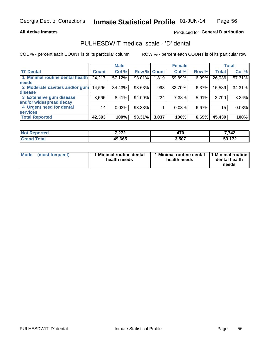### **All Active Inmates**

### Produced for General Distribution

# PULHESDWIT medical scale - 'D' dental

COL % - percent each COUNT is of its particular column

|                                 |              | <b>Male</b> |        |              | <b>Female</b> |          |              | <b>Total</b> |
|---------------------------------|--------------|-------------|--------|--------------|---------------|----------|--------------|--------------|
| <b>D'</b> Dental                | <b>Count</b> | Col %       | Row %  | <b>Count</b> | Col %         | Row %    | <b>Total</b> | Col %        |
| 1 Minimal routine dental health | 24,217       | 57.12%      | 93.01% | 1,819        | 59.89%        | 6.99%    | 26,036       | 57.31%       |
| <b>needs</b>                    |              |             |        |              |               |          |              |              |
| 2 Moderate cavities and/or gum  | 14,596       | 34.43%      | 93.63% | 993          | 32.70%        | $6.37\%$ | 15,589       | 34.31%       |
| disease                         |              |             |        |              |               |          |              |              |
| 3 Extensive gum disease         | 3,566        | 8.41%       | 94.09% | 224          | 7.38%         | 5.91%    | 3,790        | 8.34%        |
| and/or widespread decay         |              |             |        |              |               |          |              |              |
| 4 Urgent need for dental        | 14           | 0.03%       | 93.33% |              | 0.03%         | 6.67%    | 15           | 0.03%        |
| <b>services</b>                 |              |             |        |              |               |          |              |              |
| <b>Total Reported</b>           | 42,393       | 100%        | 93.31% | 3,037        | 100%          | 6.69%    | 45,430       | 100%         |

| neo | 7070<br>. | 470<br>470 | 7,742                      |
|-----|-----------|------------|----------------------------|
|     | 49,665    | 3,507      | <b>FO 470</b><br>JJ, I I Z |

| <b>Mode</b> | (most frequent) | Minimal routine dental<br>health needs | 1 Minimal routine dental 11 Minimal routine<br>health needs | dental health<br>needs |
|-------------|-----------------|----------------------------------------|-------------------------------------------------------------|------------------------|
|-------------|-----------------|----------------------------------------|-------------------------------------------------------------|------------------------|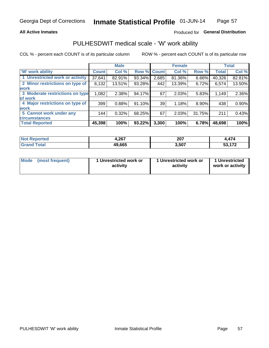### **All Active Inmates**

## Produced for General Distribution

# PULHESDWIT medical scale - 'W' work ability

COL % - percent each COUNT is of its particular column

|                                 |              | <b>Male</b> |             |       | <b>Female</b> |          |              | <b>Total</b> |
|---------------------------------|--------------|-------------|-------------|-------|---------------|----------|--------------|--------------|
| 'W' work ability                | <b>Count</b> | Col %       | Row % Count |       | Col %         | Row %    | <b>Total</b> | Col %        |
| 1 Unrestricted work or activity | 37,641       | 82.91%      | 93.34%      | 2,685 | 81.36%        | 6.66%    | 40,326       | 82.81%       |
| 2 Minor restrictions on type of | 6,132        | 13.51%      | 93.28%      | 442   | 13.39%        | 6.72%    | 6,574        | 13.50%       |
| <b>work</b>                     |              |             |             |       |               |          |              |              |
| 3 Moderate restrictions on type | 1,082        | 2.38%       | 94.17%      | 67    | 2.03%         | 5.83%    | 1,149        | 2.36%        |
| lof work                        |              |             |             |       |               |          |              |              |
| 4 Major restrictions on type of | 399          | 0.88%       | 91.10%      | 39    | 1.18%         | $8.90\%$ | 438          | 0.90%        |
| <b>work</b>                     |              |             |             |       |               |          |              |              |
| 5 Cannot work under any         | 144          | 0.32%       | 68.25%      | 67    | 2.03%         | 31.75%   | 211          | 0.43%        |
| <b>circumstances</b>            |              |             |             |       |               |          |              |              |
| <b>Total Reported</b>           | 45,398       | 100%        | 93.22%      | 3,300 | 100%          | 6.78%    | 48,698       | 100%         |

| <b>Not Reported</b> | 1,267  | 207   | $\rightarrow$<br>. .                            |
|---------------------|--------|-------|-------------------------------------------------|
| Total<br>Grane      | 49,665 | 3,507 | $F^{\wedge}$ $F^{\wedge}$<br>JJ<br>. . <i>.</i> |

| Mode            | 1 Unrestricted work or | 1 Unrestricted work or | 1 Unrestricted   |
|-----------------|------------------------|------------------------|------------------|
| (most frequent) | activity               | activity               | work or activity |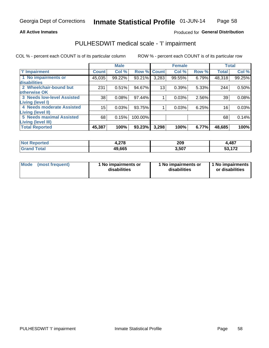#### **All Active Inmates**

### Produced for General Distribution

# PULHESDWIT medical scale - 'I' impairment

COL % - percent each COUNT is of its particular column ROW % - percent each COUNT is of its particular row

|                            |              | <b>Male</b> |             |       | <b>Female</b> |       | <b>Total</b> |        |
|----------------------------|--------------|-------------|-------------|-------|---------------|-------|--------------|--------|
| <b>T' Impairment</b>       | <b>Count</b> | Col %       | Row % Count |       | Col %         | Row % | <b>Total</b> | Col %  |
| 1 No impairments or        | 45,035       | 99.22%      | 93.21%      | 3,283 | 99.55%        | 6.79% | 48,318       | 99.25% |
| disabilities               |              |             |             |       |               |       |              |        |
| 2 Wheelchair-bound but     | 231          | 0.51%       | 94.67%      | 13    | 0.39%         | 5.33% | 244          | 0.50%  |
| otherwise OK               |              |             |             |       |               |       |              |        |
| 3 Needs low-level Assisted | 38           | 0.08%       | 97.44%      |       | 0.03%         | 2.56% | 39           | 0.08%  |
| Living (level I)           |              |             |             |       |               |       |              |        |
| 4 Needs moderate Assisted  | 15           | 0.03%       | 93.75%      |       | 0.03%         | 6.25% | 16           | 0.03%  |
| <b>Living (level II)</b>   |              |             |             |       |               |       |              |        |
| 5 Needs maximal Assisted   | 68           | 0.15%       | 100.00%     |       |               |       | 68           | 0.14%  |
| <b>Living (level III)</b>  |              |             |             |       |               |       |              |        |
| <b>Total Reported</b>      | 45,387       | 100%        | 93.23%      | 3,298 | 100%          | 6.77% | 48,685       | 100%   |

| <b>Not</b><br>Reported | 270<br>4,270 | 209  | 1,487 |
|------------------------|--------------|------|-------|
|                        | 49,665       | 507، | 170   |

| <b>Mode</b> | (most frequent) | 1 No impairments or<br>disabilities | 1 No impairments or<br>disabilities | 1 1 No impairments<br>or disabilities |
|-------------|-----------------|-------------------------------------|-------------------------------------|---------------------------------------|
|-------------|-----------------|-------------------------------------|-------------------------------------|---------------------------------------|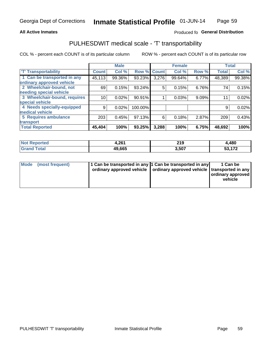#### **All Active Inmates**

### Produced fo General Distribution

# PULHESDWIT medical scale - 'T' transportability

COL % - percent each COUNT is of its particular column

|                              |                    | <b>Male</b> |         |              | <b>Female</b> |       |              | <b>Total</b> |
|------------------------------|--------------------|-------------|---------|--------------|---------------|-------|--------------|--------------|
| <b>T' Transportability</b>   | Count <sup>!</sup> | Col %       | Row %   | <b>Count</b> | Col %         | Row % | <b>Total</b> | Col %        |
| 1 Can be transported in any  | 45,113             | 99.36%      | 93.23%  | 3,276        | 99.64%        | 6.77% | 48,389       | 99.38%       |
| ordinary approved vehicle    |                    |             |         |              |               |       |              |              |
| 2 Wheelchair-bound, not      | 69                 | 0.15%       | 93.24%  | 5            | 0.15%         | 6.76% | 74           | 0.15%        |
| needing special vehicle      |                    |             |         |              |               |       |              |              |
| 3 Wheelchair-bound, requires | 10                 | 0.02%       | 90.91%  |              | 0.03%         | 9.09% | 11           | 0.02%        |
| special vehicle              |                    |             |         |              |               |       |              |              |
| 4 Needs specially-equipped   | 9                  | 0.02%       | 100.00% |              |               |       | 9            | 0.02%        |
| medical vehicle              |                    |             |         |              |               |       |              |              |
| <b>5 Requires ambulance</b>  | 203                | 0.45%       | 97.13%  | 6            | 0.18%         | 2.87% | 209          | 0.43%        |
| transport                    |                    |             |         |              |               |       |              |              |
| <b>Total Reported</b>        | 45,404             | 100%        | 93.25%  | 3,288        | 100%          | 6.75% | 48,692       | 100%         |

| <b>Not</b>   | 20 <sub>0</sub> | 219    | 4,480 |
|--------------|-----------------|--------|-------|
| Reported     | H.ZU I          | ______ |       |
| <b>ota</b> l | 49,665          | 3.507  | 170   |

|  | Mode (most frequent) | 1 Can be transported in any 1 Can be transported in any<br>ordinary approved vehicle   ordinary approved vehicle   transported in any |  | 1 Can be<br>  ordinary approved  <br>vehicle |
|--|----------------------|---------------------------------------------------------------------------------------------------------------------------------------|--|----------------------------------------------|
|--|----------------------|---------------------------------------------------------------------------------------------------------------------------------------|--|----------------------------------------------|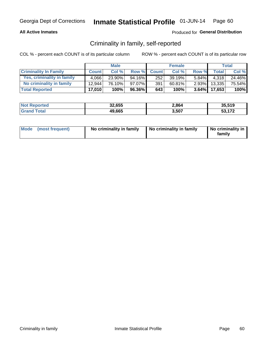### **All Active Inmates**

### Produced for General Distribution

## Criminality in family, self-reported

COL % - percent each COUNT is of its particular column

|                              |              | <b>Male</b> |        |              | <b>Female</b> |          |              | <b>Total</b> |
|------------------------------|--------------|-------------|--------|--------------|---------------|----------|--------------|--------------|
| <b>Criminality In Family</b> | <b>Count</b> | Col%        | Row %  | <b>Count</b> | Col %         | Row %    | <b>Total</b> | Col %        |
| Yes, criminality in family   | 4.066        | $23.90\%$   | 94.16% | 252          | 39.19%        | $5.84\%$ | 4.318        | 24.46%       |
| No criminality in family     | 12.944       | 76.10%      | 97.07% | 391          | 60.81%        | $2.93\%$ | 13,335       | 75.54%       |
| <b>Total Reported</b>        | 17,010       | 100%        | 96.36% | 643          | 100%          |          | 3.64% 17,653 | $100\%$      |

| <b>Not Reported</b> | 32,655 | 2,864 | 35.519        |
|---------------------|--------|-------|---------------|
| <b>Srand Total</b>  | 49,665 | 3,507 | E9 479<br>--- |

|  | Mode (most frequent) | No criminality in family | No criminality in family | No criminality in<br>family |
|--|----------------------|--------------------------|--------------------------|-----------------------------|
|--|----------------------|--------------------------|--------------------------|-----------------------------|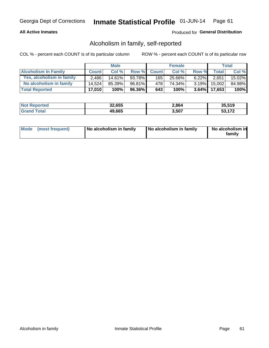### **All Active Inmates**

### Produced for General Distribution

## Alcoholism in family, self-reported

COL % - percent each COUNT is of its particular column

|                             |              | <b>Male</b> |        |              | <b>Female</b> |          |                   | Total   |
|-----------------------------|--------------|-------------|--------|--------------|---------------|----------|-------------------|---------|
| <b>Alcoholism In Family</b> | <b>Count</b> | Col%        | Row %  | <b>Count</b> | Col %         | Row %    | <b>Total</b>      | Col %   |
| Yes, alcoholism in family   | 2.486        | $14.61\%$   | 93.78% | 165          | 25.66%        | $6.22\%$ | 2,651             | 15.02%  |
| No alcoholism in family     | 14.524       | 85.39%      | 96.81% | 4781         | 74.34%        | $3.19\%$ | 15,002            | 84.98%  |
| <b>Total Reported</b>       | 17,010       | 100%        | 96.36% | 643          | 100%          |          | $3.64\%$   17,653 | $100\%$ |

| <b>Not Reported</b> | 32,655 | 2,864 | 35.519 |
|---------------------|--------|-------|--------|
| l Grand<br>īotal    | 49,665 | 3,507 | E9 479 |

|  | Mode (most frequent) | No alcoholism in family | No alcoholism in family | No alcoholism in<br>family |
|--|----------------------|-------------------------|-------------------------|----------------------------|
|--|----------------------|-------------------------|-------------------------|----------------------------|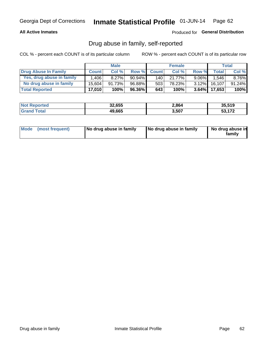### **All Active Inmates**

### Produced for General Distribution

## Drug abuse in family, self-reported

COL % - percent each COUNT is of its particular column

|                           |              | <b>Male</b> |           |                  | <b>Female</b> |          |                 | Total     |
|---------------------------|--------------|-------------|-----------|------------------|---------------|----------|-----------------|-----------|
| Drug Abuse In Family      | <b>Count</b> | Col%        | Row %     | <b>Count</b>     | Col%          | Row %    | <b>Total</b>    | Col %     |
| Yes, drug abuse in family | 1.406        | $8.27\%$    | $90.94\%$ | 140 <sup>1</sup> | 21.77%        | $9.06\%$ | 1,546           | 8.76%     |
| No drug abuse in family   | 15.604       | 91.73%      | 96.88%    | 503              | 78.23%        | $3.12\%$ | 16,107          | $91.24\%$ |
| <b>Total Reported</b>     | 17,010       | 100%        | 96.36%    | 643              | 100%          |          | $3.64\%$ 17,653 | 100%      |

| <b>Not</b><br>. ಗeported | 32,655 | 2,864 | 35.519                          |
|--------------------------|--------|-------|---------------------------------|
| 'ota                     | 49,665 | 3,507 | $F^{\alpha}$ $F^{\alpha}$<br>-- |

|  | Mode (most frequent) | No drug abuse in family | No drug abuse in family | No drug abuse in<br>family |
|--|----------------------|-------------------------|-------------------------|----------------------------|
|--|----------------------|-------------------------|-------------------------|----------------------------|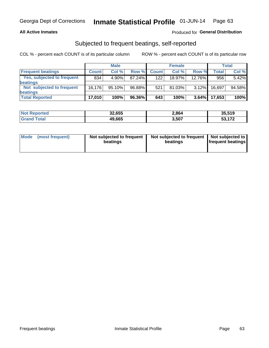### **All Active Inmates**

### Produced for General Distribution

## Subjected to frequent beatings, self-reported

COL % - percent each COUNT is of its particular column

|                            |              | <b>Male</b> |        |              | <b>Female</b> |          |              | Total  |
|----------------------------|--------------|-------------|--------|--------------|---------------|----------|--------------|--------|
| <b>Frequent beatings</b>   | <b>Count</b> | Col %       | Row %  | <b>Count</b> | Col %         | Row %    | <b>Total</b> | Col %  |
| Yes, subjected to frequent | 834          | 4.90%       | 87.24% | 122          | $18.97\%$     | 12.76%   | 956          | 5.42%  |
| beatings                   |              |             |        |              |               |          |              |        |
| Not subjected to frequent  | 16.176       | 95.10%      | 96.88% | 521          | 81.03%        | $3.12\%$ | 16.697       | 94.58% |
| beatings                   |              |             |        |              |               |          |              |        |
| <b>Total Reported</b>      | 17,010       | 100%        | 96.36% | 643          | 100%          | 3.64%    | 17,653       | 100%   |

| <b>Not</b><br>Reported | 32,655 | 2,864 | 35,519      |
|------------------------|--------|-------|-------------|
| <b>Total</b>           | 49,665 | 3,507 | $E_2$ $472$ |

| Mode (most frequent) | Not subjected to frequent<br>beatings | Not subjected to frequent<br>beatings | Not subjected to<br><b>frequent beatings</b> |
|----------------------|---------------------------------------|---------------------------------------|----------------------------------------------|
|                      |                                       |                                       |                                              |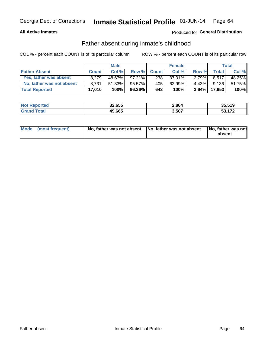### **All Active Inmates**

## Produced for General Distribution

## Father absent during inmate's childhood

COL % - percent each COUNT is of its particular column

|                           |              | <b>Male</b> |              |              | <b>Female</b> |          |        | <b>Total</b> |
|---------------------------|--------------|-------------|--------------|--------------|---------------|----------|--------|--------------|
| <b>Father Absent</b>      | <b>Count</b> | Col%        | <b>Row %</b> | <b>Count</b> | Col %         | Row %    | Total  | Col %        |
| Yes, father was absent    | 8.279        | 48.67%      | $97.21\%$    | 238          | $37.01\%$     | $2.79\%$ | 8.517  | 48.25%       |
| No, father was not absent | 8.731        | $51.33\%$   | 95.57%       | 405          | 62.99%        | 4.43%    | 9,136  | 51.75%       |
| <b>Total Reported</b>     | 17,010       | $100\%$     | 96.36%I      | 643          | 100%          | $3.64\%$ | 17,653 | 100%         |

| <b>Not</b><br>. ಗeported | 32,655 | 2,864 | 35.519                          |
|--------------------------|--------|-------|---------------------------------|
| 'ota                     | 49,665 | 3,507 | $F^{\alpha}$ $F^{\alpha}$<br>-- |

|  | Mode (most frequent) | No, father was not absent No, father was not absent |  | No, father was not<br>absent |
|--|----------------------|-----------------------------------------------------|--|------------------------------|
|--|----------------------|-----------------------------------------------------|--|------------------------------|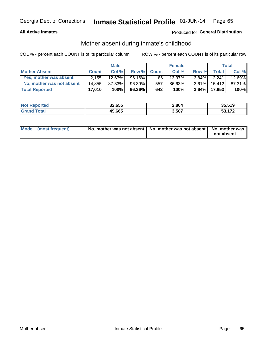### **All Active Inmates**

## Produced for General Distribution

## Mother absent during inmate's childhood

COL % - percent each COUNT is of its particular column

|                           | <b>Male</b>  |        |           | <b>Female</b>    |           |          | Total        |        |
|---------------------------|--------------|--------|-----------|------------------|-----------|----------|--------------|--------|
| <b>Mother Absent</b>      | <b>Count</b> | Col%   | Row %     | <b>Count</b>     | Col %     | Row %    | <b>Total</b> | Col %  |
| Yes, mother was absent    | 2.155        | 12.67% | 96.16%    | 86               | $13.37\%$ | $3.84\%$ | 2,241,       | 12.69% |
| No, mother was not absent | 14.855       | 87.33% | 96.39%    | 557 <sub>1</sub> | 86.63%    | $3.61\%$ | 15.412       | 87.31% |
| <b>Total Reported</b>     | 17,010       | 100%   | $96.36\%$ | 643              | 100%      | $3.64\%$ | 17.653       | 100%   |

| <b>Not Reported</b> | 32,655 | 2,864 | 35.519      |
|---------------------|--------|-------|-------------|
| ⊺ota                | 49,665 | 3,507 | E9 479<br>. |

| Mode (most frequent) | No, mother was not absent   No, mother was not absent   No, mother was | not absent |
|----------------------|------------------------------------------------------------------------|------------|
|                      |                                                                        |            |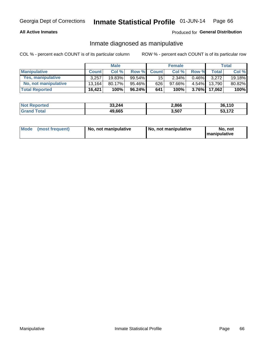### **All Active Inmates**

### Produced for General Distribution

## Inmate diagnosed as manipulative

COL % - percent each COUNT is of its particular column

|                       | <b>Male</b>  |        |           | <b>Female</b>   |        |          | Total        |        |
|-----------------------|--------------|--------|-----------|-----------------|--------|----------|--------------|--------|
| <b>Manipulative</b>   | <b>Count</b> | Col %  | Row %     | <b>Count</b>    | Col%   | Row %    | <b>Total</b> | Col %  |
| Yes, manipulative     | 3.257        | 19.83% | 99.54%I   | 15 <sup>1</sup> | 2.34%  | 0.46%    | 3.272        | 19.18% |
| No, not manipulative  | 13.164       | 80.17% | 95.46% I  | 626             | 97.66% | $4.54\%$ | 13.790       | 80.82% |
| <b>Total Reported</b> | 16,421       | 100%   | $96.24\%$ | 641             | 100%   | $3.76\%$ | 17.062       | 100%   |

| <b>Not Reported</b> | 33,244 | 2,866 | 36,110          |
|---------------------|--------|-------|-----------------|
| ota <sup>-</sup>    | 49,665 | 3,507 | 170<br>-^<br>უკ |

|  | Mode (most frequent) | No, not manipulative | No, not manipulative | No. not<br><b>I</b> manipulative |
|--|----------------------|----------------------|----------------------|----------------------------------|
|--|----------------------|----------------------|----------------------|----------------------------------|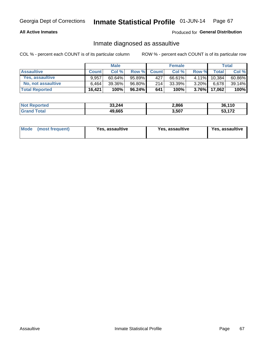### **All Active Inmates**

### Produced for General Distribution

## Inmate diagnosed as assaultive

COL % - percent each COUNT is of its particular column

|                       | <b>Male</b>  |           |           | <b>Female</b> |           |          | <b>Total</b> |        |
|-----------------------|--------------|-----------|-----------|---------------|-----------|----------|--------------|--------|
| <b>Assaultive</b>     | <b>Count</b> | Col%      | Row %     | <b>Count</b>  | Col %     | Row %    | Total        | Col %  |
| Yes, assaultive       | 9.957        | $60.64\%$ | 95.89%    | 427           | 66.61%    | $4.11\%$ | 10.384       | 60.86% |
| No, not assaultive    | 6.464        | 39.36%    | 96.80%    | 214           | $33.39\%$ | $3.20\%$ | 6,678        | 39.14% |
| <b>Total Reported</b> | 16,421       | 100%      | $96.24\%$ | 641           | 100%      | $3.76\%$ | 17,062       | 100%   |

| <b>Not Reported</b> | 33,244 | 2,866 | 36.110               |
|---------------------|--------|-------|----------------------|
| <b>Grand Total</b>  | 49,665 | 3,507 | <b>FO 470</b><br>--- |

| Mode (most frequent)<br>Yes, assaultive | Yes, assaultive | <b>Yes, assaultive</b> |
|-----------------------------------------|-----------------|------------------------|
|-----------------------------------------|-----------------|------------------------|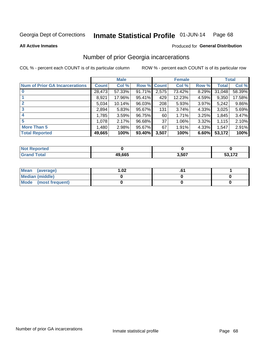#### Inmate Statistical Profile 01-JUN-14 Page 68

**All Active Inmates** 

### **Produced for General Distribution**

# Number of prior Georgia incarcerations

COL % - percent each COUNT is of its particular column

|                                       |              | <b>Male</b> |                    |       | <b>Female</b> |       |        | <b>Total</b> |
|---------------------------------------|--------------|-------------|--------------------|-------|---------------|-------|--------|--------------|
| <b>Num of Prior GA Incarcerations</b> | <b>Count</b> | Col %       | <b>Row % Count</b> |       | Col %         | Row % | Total  | Col %        |
|                                       | 28,473       | 57.33%      | 91.71%             | 2,575 | 73.42%        | 8.29% | 31,048 | 58.39%       |
|                                       | 8,921        | 17.96%      | 95.41%             | 429   | 12.23%        | 4.59% | 9,350  | 17.58%       |
| $\overline{2}$                        | 5,034        | 10.14%      | 96.03%             | 208   | 5.93%         | 3.97% | 5,242  | 9.86%        |
| 3                                     | 2,894        | 5.83%       | 95.67%             | 131   | 3.74%         | 4.33% | 3,025  | 5.69%        |
| $\boldsymbol{4}$                      | 1,785        | 3.59%       | 96.75%             | 60    | 1.71%         | 3.25% | 1,845  | 3.47%        |
| 5                                     | 1,078        | 2.17%       | 96.68%             | 37    | 1.06%         | 3.32% | 1,115  | 2.10%        |
| <b>More Than 5</b>                    | 1,480        | 2.98%       | 95.67%             | 67    | 1.91%         | 4.33% | 1,547  | 2.91%        |
| <b>Total Reported</b>                 | 49,665       | 100%        | 93.40%             | 3,507 | 100%          | 6.60% | 53,172 | 100%         |

| ∣N∩f<br>Reported |        |       |     |
|------------------|--------|-------|-----|
| Total<br>"Gran∟  | 49,665 | 3,507 | 170 |

| Mean (average)       | 1.02 | ט. |  |
|----------------------|------|----|--|
| Median (middle)      |      |    |  |
| Mode (most frequent) |      |    |  |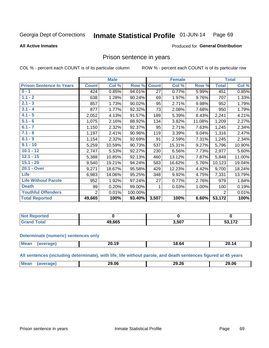#### Inmate Statistical Profile 01-JUN-14 Page 69

#### **All Active Inmates**

#### Produced for General Distribution

## Prison sentence in years

COL % - percent each COUNT is of its particular column

ROW % - percent each COUNT is of its particular row

|                                 | <b>Male</b>    |        |         | <b>Female</b> |        |        | <b>Total</b>   |        |
|---------------------------------|----------------|--------|---------|---------------|--------|--------|----------------|--------|
| <b>Prison Sentence In Years</b> | <b>Count</b>   | Col %  | Row %   | <b>Count</b>  | Col %  | Row %  | <b>Total</b>   | Col %  |
| $0 - 1$                         | 424            | 0.85%  | 94.01%  | 27            | 0.77%  | 5.99%  | 451            | 0.85%  |
| $1.1 - 2$                       | 638            | 1.28%  | 90.24%  | 69            | 1.97%  | 9.76%  | 707            | 1.33%  |
| $2.1 - 3$                       | 857            | 1.73%  | 90.02%  | 95            | 2.71%  | 9.98%  | 952            | 1.79%  |
| $3.1 - 4$                       | 877            | 1.77%  | 92.32%  | 73            | 2.08%  | 7.68%  | 950            | 1.79%  |
| $4.1 - 5$                       | 2,052          | 4.13%  | 91.57%  | 189           | 5.39%  | 8.43%  | 2,241          | 4.21%  |
| $5.1 - 6$                       | 1,075          | 2.16%  | 88.92%  | 134           | 3.82%  | 11.08% | 1,209          | 2.27%  |
| $6.1 - 7$                       | 1,150          | 2.32%  | 92.37%  | 95            | 2.71%  | 7.63%  | 1,245          | 2.34%  |
| $7.1 - 8$                       | 1,197          | 2.41%  | 90.96%  | 119           | 3.39%  | 9.04%  | 1,316          | 2.47%  |
| $8.1 - 9$                       | 1,154          | 2.32%  | 92.69%  | 91            | 2.59%  | 7.31%  | 1,245          | 2.34%  |
| $9.1 - 10$                      | 5,259          | 10.59% | 90.73%  | 537           | 15.31% | 9.27%  | 5,796          | 10.90% |
| $10.1 - 12$                     | 2,747          | 5.53%  | 92.27%  | 230           | 6.56%  | 7.73%  | 2,977          | 5.60%  |
| $12.1 - 15$                     | 5,388          | 10.85% | 92.13%  | 460           | 13.12% | 7.87%  | 5,848          | 11.00% |
| $15.1 - 20$                     | 9,540          | 19.21% | 94.24%  | 583           | 16.62% | 5.76%  | 10,123         | 19.04% |
| 20.1 - Over                     | 9,271          | 18.67% | 95.58%  | 429           | 12.23% | 4.42%  | 9,700          | 18.24% |
| <b>Life</b>                     | 6,983          | 14.06% | 95.25%  | 348           | 9.92%  | 4.75%  | 7,331          | 13.79% |
| <b>Life Without Parole</b>      | 952            | 1.92%  | 97.24%  | 27            | 0.77%  | 2.76%  | 979            | 1.84%  |
| <b>Death</b>                    | 99             | 0.20%  | 99.00%  | 1             | 0.03%  | 1.00%  | 100            | 0.19%  |
| <b>Youthful Offenders</b>       | $\overline{2}$ | 0.01%  | 100.00% |               |        |        | $\overline{2}$ | 0.01%  |
| <b>Total Reported</b>           | 49,665         | 100%   | 93.40%  | 3,507         | 100%   | 6.60%  | 53,172         | 100%   |

| ported<br>I NOT |        |       |                        |  |
|-----------------|--------|-------|------------------------|--|
| n <sup>t</sup>  | 49,665 | 3,507 | EA 470<br>. <i>. .</i> |  |

#### **Determinate (numeric) sentences only**

| <b>Mean</b> | $\overline{ }$<br>∠0.19 | 18.64 | nr.<br><b>20.14</b> |
|-------------|-------------------------|-------|---------------------|
|             |                         |       |                     |

All sentences (including determinate), with life, life without parole, and death sentences figured at 45 years

| Me | 29.06 | <br>29.26<br>____ | 29.06 |
|----|-------|-------------------|-------|
|    |       |                   |       |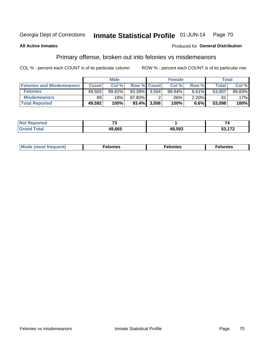#### Inmate Statistical Profile 01-JUN-14 Page 70

#### **All Active Inmates**

### **Produced for General Distribution**

# Primary offense, broken out into felonies vs misdemeanors

COL % - percent each COUNT is of its particular column

|                                  | <b>Male</b>  |        |           | <b>Female</b>      |        |       | Total  |         |
|----------------------------------|--------------|--------|-----------|--------------------|--------|-------|--------|---------|
| <b>Felonies and Misdemeanors</b> | <b>Count</b> | Col%   |           | <b>Row % Count</b> | Col%   | Row % | Total  | Col %   |
| <b>Felonies</b>                  | 49,503       | 99.82% | $93.39\%$ | 3.504              | 99.94% | 6.61% | 53,007 | 99.83%  |
| <b>Misdemeanors</b>              | 89           | 18%    | 97.80%    |                    | .06%   | 2.20% | 91     | $.17\%$ |
| <b>Total Reported</b>            | 49,592       | 100%   | 93.4%     | 3,506              | 100%   | 6.6%  | 53,098 | 100%    |

| <b>Not</b><br><b>Reported</b> | $\sim$ |        |           |
|-------------------------------|--------|--------|-----------|
| <b>Grand</b><br>™otal         | 49.665 | 49,593 | 170<br>cο |

|  | Mo | . | a masa sa sa<br>. | onies<br>. |
|--|----|---|-------------------|------------|
|--|----|---|-------------------|------------|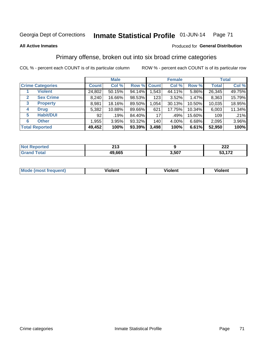# Georgia Dept of Corrections **Inmate Statistical Profile** 01-JUN-14 Page 71

#### **All Active Inmates**

#### Produced for **General Distribution**

# Primary offense, broken out into six broad crime categories

COL % - percent each COUNT is of its particular column ROW % - percent each COUNT is of its particular row

|                         | <b>Male</b>  |        |        | <b>Female</b> |        |        | <b>Total</b> |        |
|-------------------------|--------------|--------|--------|---------------|--------|--------|--------------|--------|
| <b>Crime Categories</b> | <b>Count</b> | Col %  |        | Row % Count   | Col %  | Row %  | <b>Total</b> | Col %  |
| <b>Violent</b>          | 24,802       | 50.15% | 94.14% | 1,543         | 44.11% | 5.86%  | 26,345       | 49.75% |
| <b>Sex Crime</b><br>2   | 8,240        | 16.66% | 98.53% | 123           | 3.52%  | 1.47%  | 8,363        | 15.79% |
| 3<br><b>Property</b>    | 8,981        | 18.16% | 89.50% | 1,054         | 30.13% | 10.50% | 10,035       | 18.95% |
| <b>Drug</b><br>4        | 5,382        | 10.88% | 89.66% | 621           | 17.75% | 10.34% | 6,003        | 11.34% |
| <b>Habit/DUI</b><br>5   | 92           | .19%   | 84.40% | 17            | .49%   | 15.60% | 109          | .21%   |
| <b>Other</b><br>6       | 1,955        | 3.95%  | 93.32% | 140           | 4.00%  | 6.68%  | 2,095        | 3.96%  |
| <b>Total Reported</b>   | 49,452       | 100%   | 93.39% | 3,498         | 100%   | 6.61%  | 52,950       | 100%   |

| тео<br>NO | 24c<br>2 I J |       | ົາາາ<br>LLL |
|-----------|--------------|-------|-------------|
|           | .665<br>49.  | 3,507 | 170<br>--   |

| <b>Mode (most frequent)</b> | .<br>ïolent | 'iolent | ---<br>Violent |
|-----------------------------|-------------|---------|----------------|
|                             |             |         |                |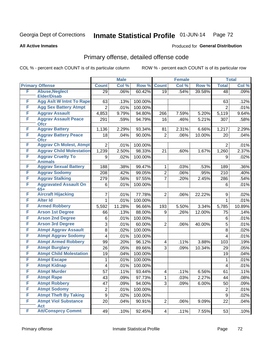# Georgia Dept of Corrections **Inmate Statistical Profile** 01-JUN-14 Page 72

**All Active Inmates**

#### Produced for **General Distribution**

# Primary offense, detailed offense code

COL % - percent each COUNT is of its particular column ROW % - percent each COUNT is of its particular row

|   |                                            |                  | <b>Male</b> |         |                | <b>Female</b> |        |                | <b>Total</b> |
|---|--------------------------------------------|------------------|-------------|---------|----------------|---------------|--------|----------------|--------------|
|   | <b>Primary Offense</b>                     | <b>Count</b>     | Col %       | Row %   | <b>Count</b>   | Col %         | Row %  | <b>Total</b>   | Col %        |
| F | <b>Abuse, Neglect</b>                      | 29               | .06%        | 60.42%  | 19             | .54%          | 39.58% | 48             | .09%         |
|   | <b>Elder/Disab</b>                         |                  |             |         |                |               |        |                |              |
| F | <b>Agg Aslt W Intnt To Rape</b>            | 63               | .13%        | 100.00% |                |               |        | 63             | .12%         |
| F | <b>Agg Sex Battery Atmpt</b>               | $\overline{2}$   | .01%        | 100.00% |                |               |        | $\overline{2}$ | .01%         |
| F | <b>Aggrav Assault</b>                      | 4,853            | 9.79%       | 94.80%  | 266            | 7.59%         | 5.20%  | 5,119          | 9.64%        |
| F | <b>Aggrav Assault Peace</b><br><b>Ofcr</b> | 291              | .59%        | 94.79%  | 16             | .46%          | 5.21%  | 307            | .58%         |
| F | <b>Aggrav Battery</b>                      | 1,136            | 2.29%       | 93.34%  | 81             | 2.31%         | 6.66%  | 1,217          | 2.29%        |
| F | <b>Aggrav Battery Peace</b><br><b>Ofcr</b> | 18               | .04%        | 90.00%  | $\overline{2}$ | .06%          | 10.00% | 20             | .04%         |
| F | <b>Aggrav Ch Molest, Atmpt</b>             | $\overline{2}$   | .01%        | 100.00% |                |               |        | $\overline{2}$ | .01%         |
| F | <b>Aggrav Child Molestation</b>            | 1,239            | 2.50%       | 98.33%  | 21             | .60%          | 1.67%  | 1,260          | 2.37%        |
| F | <b>Aggrav Cruelty To</b><br><b>Animals</b> | 9                | .02%        | 100.00% |                |               |        | 9              | .02%         |
| F | <b>Aggrav Sexual Battery</b>               | 188              | .38%        | 99.47%  | 1              | .03%          | .53%   | 189            | .36%         |
| F | <b>Aggrav Sodomy</b>                       | 208              | .42%        | 99.05%  | 2              | .06%          | .95%   | 210            | .40%         |
| F | <b>Aggrav Stalking</b>                     | 279              | .56%        | 97.55%  | $\overline{7}$ | .20%          | 2.45%  | 286            | .54%         |
| F | <b>Aggravated Assault On</b><br>$65+$      | 6                | .01%        | 100.00% |                |               |        | 6              | .01%         |
| F | <b>Aircraft Hijacking</b>                  | 7                | .01%        | 77.78%  | $\overline{2}$ | .06%          | 22.22% | 9              | .02%         |
| F | <b>Alter Id</b>                            | $\mathbf{1}$     | .01%        | 100.00% |                |               |        | $\mathbf{1}$   | .01%         |
| F | <b>Armed Robbery</b>                       | 5,592            | 11.28%      | 96.66%  | 193            | 5.50%         | 3.34%  | 5,785          | 10.89%       |
| F | <b>Arson 1st Degree</b>                    | 66               | .13%        | 88.00%  | 9              | .26%          | 12.00% | 75             | .14%         |
| F | <b>Arson 2nd Degree</b>                    | 6                | .01%        | 100.00% |                |               |        | 6              | .01%         |
| F | <b>Arson 3rd Degree</b>                    | 3                | .01%        | 60.00%  | $\overline{2}$ | .06%          | 40.00% | 5              | .01%         |
| F | <b>Atmpt Aggrav Assault</b>                | 8                | .02%        | 100.00% |                |               |        | 8              | .02%         |
| F | <b>Atmpt Aggrav Sodomy</b>                 | 4                | .01%        | 100.00% |                |               |        | 4              | .01%         |
| F | <b>Atmpt Armed Robbery</b>                 | 99               | .20%        | 96.12%  | 4              | .11%          | 3.88%  | 103            | .19%         |
| F | <b>Atmpt Burglary</b>                      | 26               | .05%        | 89.66%  | 3              | .09%          | 10.34% | 29             | .05%         |
| F | <b>Atmpt Child Molestation</b>             | 19               | .04%        | 100.00% |                |               |        | 19             | .04%         |
| F | <b>Atmpt Escape</b>                        | 1                | .01%        | 100.00% |                |               |        | 1              | .01%         |
| F | <b>Atmpt Kidnap</b>                        | 4                | .01%        | 100.00% |                |               |        | 4              | .01%         |
| F | <b>Atmpt Murder</b>                        | 57               | .11%        | 93.44%  | 4              | .11%          | 6.56%  | 61             | .11%         |
| F | <b>Atmpt Rape</b>                          | 43               | .09%        | 97.73%  | 1              | .03%          | 2.27%  | 44             | .08%         |
| F | <b>Atmpt Robbery</b>                       | 47               | .09%        | 94.00%  | 3              | .09%          | 6.00%  | 50             | .09%         |
| F | <b>Atmpt Sodomy</b>                        | $\overline{2}$   | .01%        | 100.00% |                |               |        | $\overline{2}$ | .01%         |
| F | <b>Atmpt Theft By Taking</b>               | $\boldsymbol{9}$ | .02%        | 100.00% |                |               |        | 9              | .02%         |
| F | <b>Atmpt Viol Substance</b><br><b>Act</b>  | 20               | .04%        | 90.91%  | $\overline{c}$ | .06%          | 9.09%  | 22             | .04%         |
| F | <b>Att/Consprcy Commt</b>                  | 49               | .10%        | 92.45%  | 4              | .11%          | 7.55%  | 53             | .10%         |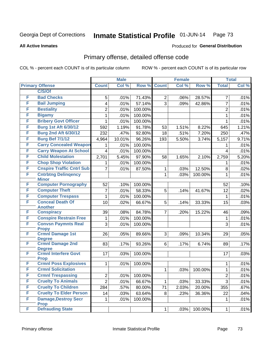#### **All Active Inmates**

#### Produced for **General Distribution**

#### Primary offense, detailed offense code

|   |                                              | <b>Male</b>    |        |         | <b>Female</b>  |       | <b>Total</b> |                |       |
|---|----------------------------------------------|----------------|--------|---------|----------------|-------|--------------|----------------|-------|
|   | <b>Primary Offense</b>                       | <b>Count</b>   | Col %  | Row %   | <b>Count</b>   | Col % | Row %        | <b>Total</b>   | Col % |
|   | C/S/Of                                       |                |        |         |                |       |              |                |       |
| F | <b>Bad Checks</b>                            | 5              | .01%   | 71.43%  | $\overline{2}$ | .06%  | 28.57%       | $\overline{7}$ | .01%  |
| F | <b>Bail Jumping</b>                          | 4              | .01%   | 57.14%  | $\overline{3}$ | .09%  | 42.86%       | $\overline{7}$ | .01%  |
| F | <b>Bestiality</b>                            | $\overline{c}$ | .01%   | 100.00% |                |       |              | $\overline{2}$ | .01%  |
| F | <b>Bigamy</b>                                | 1              | .01%   | 100.00% |                |       |              | $\mathbf{1}$   | .01%  |
| F | <b>Bribery Govt Officer</b>                  | 1              | .01%   | 100.00% |                |       |              | $\mathbf{1}$   | .01%  |
| F | <b>Burg 1st Aft 6/30/12</b>                  | 592            | 1.19%  | 91.78%  | 53             | 1.51% | 8.22%        | 645            | 1.21% |
| F | <b>Burg 2nd Aft 6/30/12</b>                  | 232            | .47%   | 92.80%  | 18             | .51%  | 7.20%        | 250            | .47%  |
| F | <b>Burg Bef 7/1/12</b>                       | 4,964          | 10.01% | 96.26%  | 193            | 5.50% | 3.74%        | 5,157          | 9.71% |
| F | <b>Carry Concealed Weapon</b>                | 1              | .01%   | 100.00% |                |       |              | 1              | .01%  |
| F | <b>Carry Weapon At School</b>                | 4              | .01%   | 100.00% |                |       |              | 4              | .01%  |
| F | <b>Child Molestation</b>                     | 2,701          | 5.45%  | 97.90%  | 58             | 1.65% | 2.10%        | 2,759          | 5.20% |
| F | <b>Chop Shop Violation</b>                   | 1              | .01%   | 100.00% |                |       |              | 1              | .01%  |
| F | <b>Cnspire Traffic Cntrl Sub</b>             | $\overline{7}$ | .01%   | 87.50%  | 1              | .03%  | 12.50%       | 8              | .02%  |
| F | <b>Cntrbtng Delingency</b>                   |                |        |         | $\mathbf{1}$   | .03%  | 100.00%      | 1              | .01%  |
|   | <b>Minor</b>                                 |                |        |         |                |       |              |                |       |
| F | <b>Computer Pornography</b>                  | 52             | .10%   | 100.00% |                |       |              | 52             | .10%  |
| F | <b>Computer Theft</b>                        | 7              | .01%   | 58.33%  | $\overline{5}$ | .14%  | 41.67%       | 12             | .02%  |
| F | <b>Computer Trespass</b>                     | $\mathbf{1}$   | .01%   | 100.00% |                |       |              | $\mathbf 1$    | .01%  |
| F | <b>Conceal Death Of</b>                      | 10             | .02%   | 66.67%  | 5              | .14%  | 33.33%       | 15             | .03%  |
| F | <b>Another</b><br><b>Conspiracy</b>          | 39             | .08%   | 84.78%  | $\overline{7}$ | .20%  | 15.22%       | 46             | .09%  |
| F | <b>Conspire Restrain Free</b>                | 1              | .01%   | 100.00% |                |       |              | 1              | .01%  |
| F | <b>Convsn Paymnts Real</b>                   | 3              | .01%   | 100.00% |                |       |              | 3              | .01%  |
|   | <b>Propy</b>                                 |                |        |         |                |       |              |                |       |
| F | <b>Crmnl Damage 1st</b>                      | 26             | .05%   | 89.66%  | 3              | .09%  | 10.34%       | 29             | .05%  |
|   | <b>Degree</b>                                |                |        |         |                |       |              |                |       |
| F | <b>Crmnl Damage 2nd</b>                      | 83             | .17%   | 93.26%  | 6 <sup>1</sup> | .17%  | 6.74%        | 89             | .17%  |
| F | <b>Degree</b><br><b>Crmnl Interfere Govt</b> | 17             | .03%   | 100.00% |                |       |              | 17             | .03%  |
|   | <b>Prop</b>                                  |                |        |         |                |       |              |                |       |
| F | <b>Crmnl Poss Explosives</b>                 | 1              | .01%   | 100.00% |                |       |              | 1              | .01%  |
| F | <b>Crmnl Solicitation</b>                    |                |        |         | 1              | .03%  | 100.00%      | $\mathbf{1}$   | .01%  |
| F | <b>Crmnl Trespassing</b>                     | 2              | .01%   | 100.00% |                |       |              | $\overline{c}$ | .01%  |
| F | <b>Cruelty To Animals</b>                    | $\overline{2}$ | .01%   | 66.67%  | $\mathbf 1$    | .03%  | 33.33%       | 3              | .01%  |
| F | <b>Cruelty To Children</b>                   | 284            | .57%   | 80.00%  | 71             | 2.03% | 20.00%       | 355            | .67%  |
| F | <b>Cruelty To Elder Person</b>               | 14             | .03%   | 63.64%  | 8              | .23%  | 36.36%       | 22             | .04%  |
| F | <b>Damage, Destroy Secr</b>                  | 1              | .01%   | 100.00% |                |       |              | 1              | .01%  |
|   | <b>Prop</b>                                  |                |        |         |                |       |              |                |       |
| F | <b>Defrauding State</b>                      |                |        |         | $\mathbf{1}$   | .03%  | 100.00%      | $\mathbf 1$    | .01%  |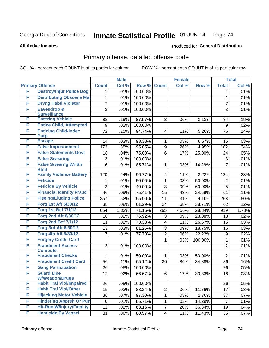**All Active Inmates**

#### Produced for **General Distribution**

### Primary offense, detailed offense code

|   |                                            |                | <b>Male</b> |         | <b>Female</b>  |       |         | <b>Total</b>     |       |
|---|--------------------------------------------|----------------|-------------|---------|----------------|-------|---------|------------------|-------|
|   | <b>Primary Offense</b>                     | <b>Count</b>   | Col %       | Row %   | <b>Count</b>   | Col % | Row %   | <b>Total</b>     | Col % |
| F | <b>Destroy/Injur Police Dog</b>            | 1              | .01%        | 100.00% |                |       |         | 1                | .01%  |
| F | <b>Distributing Obscene Mat</b>            | 1              | .01%        | 100.00% |                |       |         | 1                | .01%  |
| F | <b>Drvng Habtl Violator</b>                | 7              | .01%        | 100.00% |                |       |         | 7                | .01%  |
| F | Eavesdrop &                                | 3              | .01%        | 100.00% |                |       |         | 3                | .01%  |
|   | <b>Surveillance</b>                        |                |             |         |                |       |         |                  |       |
| F | <b>Entering Vehicle</b>                    | 92             | .19%        | 97.87%  | $\overline{2}$ | .06%  | 2.13%   | 94               | .18%  |
| F | <b>Entice Child, Attempted</b>             | 9              | .02%        | 100.00% |                |       |         | 9                | .02%  |
| F | <b>Enticing Child-Indec</b><br><b>Purp</b> | 72             | .15%        | 94.74%  | 4              | .11%  | 5.26%   | 76               | .14%  |
| F | <b>Escape</b>                              | 14             | .03%        | 93.33%  | 1              | .03%  | 6.67%   | 15               | .03%  |
| F | <b>False Imprisonment</b>                  | 173            | .35%        | 95.05%  | 9              | .26%  | 4.95%   | 182              | .34%  |
| F | <b>False Statements Govt</b>               | 18             | .04%        | 75.00%  | 6              | .17%  | 25.00%  | 24               | .05%  |
| F | <b>False Swearing</b>                      | 3              | .01%        | 100.00% |                |       |         | 3                | .01%  |
| F | <b>False Swearng Writtn</b><br><b>Stmt</b> | 6              | .01%        | 85.71%  | 1              | .03%  | 14.29%  | $\overline{7}$   | .01%  |
| F | <b>Family Violence Battery</b>             | 120            | .24%        | 96.77%  | 4              | .11%  | 3.23%   | 124              | .23%  |
| F | <b>Feticide</b>                            | 1              | .01%        | 50.00%  | $\mathbf{1}$   | .03%  | 50.00%  | $\overline{2}$   | .01%  |
| F | <b>Feticide By Vehicle</b>                 | $\overline{2}$ | .01%        | 40.00%  | 3              | .09%  | 60.00%  | 5                | .01%  |
| F | <b>Financial Identity Fraud</b>            | 46             | .09%        | 75.41%  | 15             | .43%  | 24.59%  | 61               | .11%  |
| F | <b>Fleeing/Eluding Police</b>              | 257            | .52%        | 95.90%  | 11             | .31%  | 4.10%   | 268              | .50%  |
| F | Forg 1st Aft 6/30/12                       | 38             | .08%        | 61.29%  | 24             | .68%  | 38.71%  | 62               | .12%  |
| F | <b>Forg 1st Bef 7/1/12</b>                 | 654            | 1.32%       | 71.16%  | 265            | 7.56% | 28.84%  | 919              | 1.73% |
| F | <b>Forg 2nd Aft 6/30/12</b>                | 10             | .02%        | 76.92%  | 3              | .09%  | 23.08%  | 13               | .02%  |
| F | <b>Forg 2nd Bef 7/1/12</b>                 | 11             | .02%        | 73.33%  | 4              | .11%  | 26.67%  | 15               | .03%  |
| F | Forg 3rd Aft 6/30/12                       | 13             | .03%        | 81.25%  | 3              | .09%  | 18.75%  | 16               | .03%  |
| F | Forg 4th Aft 6/30/12                       | 7              | .01%        | 77.78%  | $\overline{2}$ | .06%  | 22.22%  | $\boldsymbol{9}$ | .02%  |
| F | <b>Forgery Credit Card</b>                 |                |             |         | 1              | .03%  | 100.00% | 1                | .01%  |
| F | <b>Fraudulent Access</b><br><b>Compute</b> | $\overline{2}$ | .01%        | 100.00% |                |       |         | $\overline{2}$   | .01%  |
| F | <b>Fraudulent Checks</b>                   | 1              | .01%        | 50.00%  | 1              | .03%  | 50.00%  | $\overline{2}$   | .01%  |
| F | <b>Fraudulent Credit Card</b>              | 56             | .11%        | 65.12%  | 30             | .86%  | 34.88%  | 86               | .16%  |
| F | <b>Gang Participation</b>                  | 26             | .05%        | 100.00% |                |       |         | 26               | .05%  |
| F | <b>Guard Line</b>                          | 12             | .02%        | 66.67%  | 6              | .17%  | 33.33%  | $\overline{18}$  | .03%  |
|   | <b>W/Weapon/Drugs</b>                      |                |             |         |                |       |         |                  |       |
| F | <b>Habit Traf Viol/Impaired</b>            | 26             | .05%        | 100.00% |                |       |         | 26               | .05%  |
| F | <b>Habit Traf Viol/Other</b>               | 15             | .03%        | 88.24%  | 2              | .06%  | 11.76%  | 17               | .03%  |
| F | <b>Hijacking Motor Vehicle</b>             | 36             | .07%        | 97.30%  | 1              | .03%  | 2.70%   | 37               | .07%  |
| F | <b>Hindering Appreh Or Pun</b>             | $\,6$          | .01%        | 85.71%  | 1              | .03%  | 14.29%  | $\overline{7}$   | .01%  |
| F | <b>Hit-Run W/Injury/Fatality</b>           | 12             | .02%        | 63.16%  | 7              | .20%  | 36.84%  | 19               | .04%  |
| F | <b>Homicide By Vessel</b>                  | 31             | .06%        | 88.57%  | 4              | .11%  | 11.43%  | 35               | .07%  |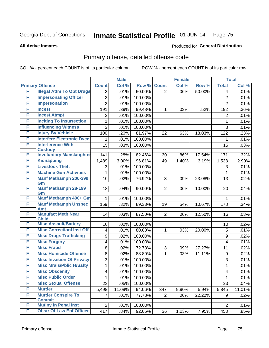**All Active Inmates**

#### Produced for **General Distribution**

### Primary offense, detailed offense code

|   |                                             | <b>Male</b>    |        |         | <b>Female</b>  |       | <b>Total</b> |                |        |
|---|---------------------------------------------|----------------|--------|---------|----------------|-------|--------------|----------------|--------|
|   | <b>Primary Offense</b>                      | <b>Count</b>   | Col %  | Row %   | <b>Count</b>   | Col % | Row %        | <b>Total</b>   | Col %  |
| F | <b>Illegal Attm To Obt Drugs</b>            | $\overline{2}$ | .01%   | 50.00%  | $\overline{2}$ | .06%  | 50.00%       | 4              | .01%   |
| F | <b>Impersonating Officer</b>                | $\overline{2}$ | .01%   | 100.00% |                |       |              | $\overline{2}$ | .01%   |
| F | <b>Impersonation</b>                        | $\overline{2}$ | .01%   | 100.00% |                |       |              | $\overline{2}$ | .01%   |
| F | <b>Incest</b>                               | 191            | .39%   | 99.48%  | $\mathbf 1$    | .03%  | .52%         | 192            | .36%   |
| F | <b>Incest, Atmpt</b>                        | $\overline{2}$ | .01%   | 100.00% |                |       |              | $\overline{2}$ | .01%   |
| F | <b>Inciting To Insurrection</b>             | 1              | .01%   | 100.00% |                |       |              | 1              | .01%   |
| F | <b>Influencing Witness</b>                  | 3              | .01%   | 100.00% |                |       |              | 3              | .01%   |
| F | <b>Injury By Vehicle</b>                    | 100            | .20%   | 81.97%  | 22             | .63%  | 18.03%       | 122            | .23%   |
| F | <b>Interfere Electronic Dvce</b>            | 1              | .01%   | 100.00% |                |       |              | 1              | .01%   |
| F | <b>Interference With</b>                    | 15             | .03%   | 100.00% |                |       |              | 15             | .03%   |
|   | <b>Custody</b>                              |                |        |         |                |       |              |                |        |
| F | <b>Involuntary Manslaughter</b>             | 141            | .28%   | 82.46%  | 30             | .86%  | 17.54%       | 171            | .32%   |
| F | <b>Kidnapping</b>                           | 1,489          | 3.00%  | 96.81%  | 49             | 1.40% | 3.19%        | 1,538          | 2.90%  |
| F | <b>Livestock Theft</b>                      | 3              | .01%   | 100.00% |                |       |              | 3              | .01%   |
| F | <b>Machine Gun Activities</b>               | 1              | .01%   | 100.00% |                |       |              | $\mathbf{1}$   | .01%   |
| F | <b>Manf Methamph 200-399</b>                | 10             | .02%   | 76.92%  | 3              | .09%  | 23.08%       | 13             | .02%   |
| F | Gm<br><b>Manf Methamph 28-199</b>           | 18             | .04%   | 90.00%  | $\overline{2}$ | .06%  | 10.00%       | 20             | .04%   |
|   | Gm                                          |                |        |         |                |       |              |                |        |
| F | <b>Manf Methamph 400+ Gm</b>                | 1              | .01%   | 100.00% |                |       |              | 1              | .01%   |
| F | <b>Manf Methamph Unspec</b>                 | 159            | .32%   | 89.33%  | 19             | .54%  | 10.67%       | 178            | .34%   |
|   | <b>Amt</b>                                  |                |        |         |                |       |              |                |        |
| F | <b>Manufact Meth Near</b>                   | 14             | .03%   | 87.50%  | 2 <sup>1</sup> | .06%  | 12.50%       | 16             | .03%   |
| F | <b>Child</b><br><b>Misc Assault/Battery</b> | 10             | .02%   | 100.00% |                |       |              | 10             | .02%   |
| F | <b>Misc CorrectionI Inst Off</b>            | 4              | .01%   | 80.00%  | 1              | .03%  | 20.00%       | 5              | .01%   |
| F | <b>Misc Drugs Trafficking</b>               | 9              | .02%   | 100.00% |                |       |              | 9              | .02%   |
| F | <b>Misc Forgery</b>                         | 4              | .01%   | 100.00% |                |       |              | 4              | .01%   |
| F | <b>Misc Fraud</b>                           | 8              | .02%   | 72.73%  | 3              | .09%  | 27.27%       | 11             | .02%   |
| F | <b>Misc Homicide Offense</b>                | 8              | .02%   | 88.89%  | $\mathbf 1$    | .03%  | 11.11%       | 9              | .02%   |
| F | <b>Misc Invasion Of Privacy</b>             | 3              | .01%   | 100.00% |                |       |              | 3              | .01%   |
| F | <b>Misc Mrals/Pblic H/Safty</b>             | 1              | .01%   | 100.00% |                |       |              | 1              | .01%   |
| F | <b>Misc Obscenity</b>                       | 4              | .01%   | 100.00% |                |       |              | $\overline{4}$ | .01%   |
| F | <b>Misc Public Order</b>                    | 1              | .01%   | 100.00% |                |       |              | 1              | .01%   |
| F | <b>Misc Sexual Offense</b>                  | 23             | .05%   | 100.00% |                |       |              | 23             | .04%   |
| F | <b>Murder</b>                               | 5,498          | 11.09% | 94.06%  | 347            | 9.90% | 5.94%        | 5,845          | 11.01% |
| F | <b>Murder, Conspire To</b>                  | 7              | .01%   | 77.78%  | $\overline{2}$ | .06%  | 22.22%       | 9              | .02%   |
|   | <b>Commit</b>                               |                |        |         |                |       |              |                |        |
| F | <b>Mutiny In Penal Inst</b>                 | $\overline{2}$ | .01%   | 100.00% |                |       |              | $\overline{2}$ | .01%   |
| F | <b>Obstr Of Law Enf Officer</b>             | 417            | .84%   | 92.05%  | 36             | 1.03% | 7.95%        | 453            | .85%   |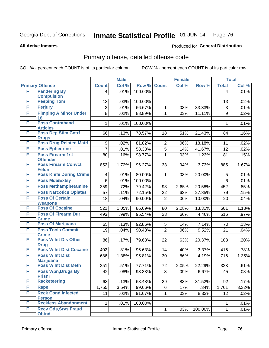Produced for **General Distribution**

#### **All Active Inmates**

### Primary offense, detailed offense code

|   |                                            |                | <b>Male</b> |         | <b>Female</b>  |       |         |                | <b>Total</b> |
|---|--------------------------------------------|----------------|-------------|---------|----------------|-------|---------|----------------|--------------|
|   | <b>Primary Offense</b>                     | <b>Count</b>   | Col %       | Row %   | <b>Count</b>   | Col % | Row %   | <b>Total</b>   | Col %        |
| F | <b>Pandering By</b>                        | $\overline{4}$ | .01%        | 100.00% |                |       |         | $\overline{4}$ | .01%         |
|   | <b>Compulsion</b>                          |                |             |         |                |       |         |                |              |
| F | <b>Peeping Tom</b>                         | 13             | .03%        | 100.00% |                |       |         | 13             | .02%         |
| F | <b>Perjury</b>                             | $\overline{2}$ | .01%        | 66.67%  | 1              | .03%  | 33.33%  | 3              | .01%         |
| F | <b>Pimping A Minor Under</b><br>18         | 8              | .02%        | 88.89%  | 1              | .03%  | 11.11%  | 9              | .02%         |
| F | <b>Poss Contraband</b><br><b>Articles</b>  | 1              | .01%        | 100.00% |                |       |         | 1              | .01%         |
| F | <b>Poss Dep Stim Cntrf</b><br><b>Drugs</b> | 66             | .13%        | 78.57%  | 18             | .51%  | 21.43%  | 84             | .16%         |
| F | <b>Poss Drug Related Matri</b>             | 9              | .02%        | 81.82%  | $\overline{2}$ | .06%  | 18.18%  | 11             | .02%         |
| F | <b>Poss Ephedrine</b>                      | 7              | .01%        | 58.33%  | $\overline{5}$ | .14%  | 41.67%  | 12             | .02%         |
| F | <b>Poss Firearm 1st</b><br><b>Offender</b> | 80             | .16%        | 98.77%  | 1              | .03%  | 1.23%   | 81             | .15%         |
| F | <b>Poss Firearm Convct</b><br><b>Felon</b> | 852            | 1.72%       | 96.27%  | 33             | .94%  | 3.73%   | 885            | 1.67%        |
| F | <b>Poss Knife During Crime</b>             | 4              | .01%        | 80.00%  | 1              | .03%  | 20.00%  | 5              | .01%         |
| F | <b>Poss Mda/Extsy</b>                      | $6\phantom{1}$ | .01%        | 100.00% |                |       |         | 6              | .01%         |
| F | <b>Poss Methamphetamine</b>                | 359            | .72%        | 79.42%  | 93             | 2.65% | 20.58%  | 452            | .85%         |
| F | <b>Poss Narcotics Opiates</b>              | 57             | .11%        | 72.15%  | 22             | .63%  | 27.85%  | 79             | .15%         |
| F | <b>Poss Of Certain</b>                     | 18             | .04%        | 90.00%  | $\overline{2}$ | .06%  | 10.00%  | 20             | .04%         |
|   | <b>Weapons</b>                             |                |             |         |                |       |         |                |              |
| F | <b>Poss Of Cocaine</b>                     | 521            | 1.05%       | 86.69%  | 80             | 2.28% | 13.31%  | 601            | 1.13%        |
| F | <b>Poss Of Firearm Dur</b><br><b>Crime</b> | 493            | .99%        | 95.54%  | 23             | .66%  | 4.46%   | 516            | .97%         |
| F | <b>Poss Of Marijuana</b>                   | 65             | .13%        | 92.86%  | $\overline{5}$ | .14%  | 7.14%   | 70             | .13%         |
| F | <b>Poss Tools Commit</b><br><b>Crime</b>   | 19             | .04%        | 90.48%  | $\overline{2}$ | .06%  | 9.52%   | 21             | .04%         |
| F | <b>Poss W Int Dis Other</b><br><b>Drug</b> | 86             | .17%        | 79.63%  | 22             | .63%  | 20.37%  | 108            | .20%         |
| F | <b>Poss W Int Dist Cocaine</b>             | 402            | .81%        | 96.63%  | 14             | .40%  | 3.37%   | 416            | .78%         |
| F | <b>Poss W Int Dist</b>                     | 686            | 1.38%       | 95.81%  | 30             | .86%  | 4.19%   | 716            | 1.35%        |
|   | <b>Marijuana</b>                           |                |             |         |                |       |         |                |              |
| F | <b>Poss W Int Dist Meth</b>                | 251            | .51%        | 77.71%  | 72             | 2.05% | 22.29%  | 323            | .61%         |
| F | <b>Poss Wpn, Drugs By</b><br><b>Prisnr</b> | 42             | .08%        | 93.33%  | $\overline{3}$ | .09%  | 6.67%   | 45             | .08%         |
| F | <b>Racketeering</b>                        | 63             | .13%        | 68.48%  | 29             | .83%  | 31.52%  | 92             | .17%         |
| F | <b>Rape</b>                                | 1,755          | 3.54%       | 99.66%  | 6              | .17%  | .34%    | 1,761          | 3.32%        |
| F | <b>Reck Cond Infected</b><br><b>Person</b> | 11             | .02%        | 91.67%  | 1              | .03%  | 8.33%   | 12             | .02%         |
| F | <b>Reckless Abandonment</b>                | $\mathbf 1$    | .01%        | 100.00% |                |       |         | 1              | .01%         |
| F | <b>Recv Gds, Srvs Fraud</b>                |                |             |         | 1              | .03%  | 100.00% | 1              | .01%         |
|   | <b>Obtnd</b>                               |                |             |         |                |       |         |                |              |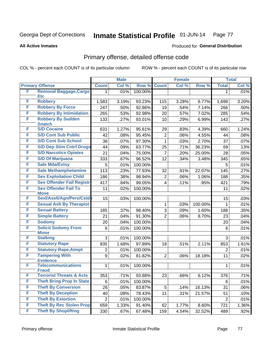**All Active Inmates**

#### Produced for **General Distribution**

### Primary offense, detailed offense code

|   |                                                     |                | <b>Male</b>  |                   | <b>Female</b>  |       |         | <b>Total</b>   |              |  |
|---|-----------------------------------------------------|----------------|--------------|-------------------|----------------|-------|---------|----------------|--------------|--|
|   | <b>Primary Offense</b>                              | <b>Count</b>   | Col %        | Row %             | <b>Count</b>   | Col % | Row %   | <b>Total</b>   | Col %        |  |
| F | <b>Removal Baggage, Cargo</b>                       | 1              | .01%         | 100.00%           |                |       |         | 1              | .01%         |  |
|   | <b>Etc</b>                                          |                |              |                   |                |       |         |                |              |  |
| F | <b>Robbery</b>                                      | 1,583          | 3.19%        | 93.23%            | 115            | 3.28% | 6.77%   | 1,698          | 3.20%        |  |
| F | <b>Robbery By Force</b>                             | 247            | .50%         | 92.86%            | 19             | .54%  | 7.14%   | 266            | .50%         |  |
| F | <b>Robbery By Intimidation</b>                      | 265            | .53%         | 92.98%            | 20             | .57%  | 7.02%   | 285            | .54%         |  |
| F | <b>Robbery By Sudden</b><br><b>Snatch</b>           | 133            | .27%         | 93.01%            | 10             | .29%  | 6.99%   | 143            | .27%         |  |
| F | <b>S/D Cocaine</b>                                  | 631            | 1.27%        | 95.61%            | 29             | .83%  | 4.39%   | 660            | 1.24%        |  |
| F | <b>S/D Cont Sub Public</b>                          | 42             | .08%         | 95.45%            | $\overline{2}$ | .06%  | 4.55%   | 44             | .08%         |  |
| F | <b>S/D Cont Sub School</b>                          | 36             | .07%         | 97.30%            | 1              | .03%  | 2.70%   | 37             | .07%         |  |
| F | <b>S/D Dep Stim Cntrf Drugs</b>                     | 44             | .09%         | 63.77%            | 25             | .71%  | 36.23%  | 69             | .13%         |  |
| F | <b>S/D Narcotics Opiates</b>                        | 21             | .04%         | 75.00%            | 7              | .20%  | 25.00%  | 28             | .05%         |  |
| F | <b>S/D Of Marijuana</b>                             | 333            | .67%         | 96.52%            | 12             | .34%  | 3.48%   | 345            | .65%         |  |
| F | <b>Sale Mda/Extsy</b>                               | 5              | .01%         | 100.00%           |                |       |         | 5              | .01%         |  |
| F | <b>Sale Methamphetamine</b>                         | 113            | .23%         | 77.93%            | 32             | .91%  | 22.07%  | 145            | .27%         |  |
| F | <b>Sex Exploitation Child</b>                       | 186            | .38%         | 98.94%            | $\overline{2}$ | .06%  | 1.06%   | 188            | .35%         |  |
| F | <b>Sex Offender Fail Registr</b>                    | 417            | .84%         | 99.05%            | 4              | .11%  | .95%    | 421            | .79%         |  |
| F | <b>Sex Offender Fail To</b>                         | 11             | .02%         | 100.00%           |                |       |         | 11             | .02%         |  |
|   | <b>Move</b>                                         |                |              |                   |                |       |         |                |              |  |
| F | Sexl/Asslt/Agn/Pers/Cstd                            | 15             | .03%         | 100.00%           |                |       |         | 15             | .03%         |  |
| F | <b>Sexual Aslt By Therapist</b>                     |                |              |                   | 1              | .03%  | 100.00% | 1              | .01%         |  |
| F | <b>Sexual Battery</b>                               | 185            | .37%         | 98.40%            | 3              | .09%  | 1.60%   | 188            | .35%         |  |
| F | <b>Simple Battery</b>                               | 21             | .04%         | 91.30%            | $\overline{2}$ | .06%  | 8.70%   | 23             | .04%         |  |
| F | <b>Sodomy</b>                                       | 20             | .04%         | 100.00%           |                |       |         | 20             | .04%         |  |
| F | <b>Solicit Sodomy From</b><br><b>Minor</b>          | $\,6$          | .01%         | 100.00%           |                |       |         | 6              | .01%         |  |
| F | <b>Stalking</b>                                     | 3              | .01%         | 100.00%           |                |       |         | 3              | .01%         |  |
| F | <b>Statutory Rape</b>                               | 835            | 1.68%        | 97.89%            | 18             | .51%  | 2.11%   | 853            | 1.61%        |  |
| F | <b>Statutory Rape, Atmpt</b>                        | $\overline{2}$ | .01%         | 100.00%           |                |       |         | $\overline{2}$ | .01%         |  |
| F | <b>Tampering With</b>                               | 9              | .02%         | 81.82%            | $\overline{2}$ | .06%  | 18.18%  | 11             | .02%         |  |
|   | <b>Evidence</b>                                     |                |              |                   |                |       |         |                |              |  |
| F | <b>Telecommunications</b>                           | 1              | .01%         | 100.00%           |                |       |         | 1              | .01%         |  |
| F | <b>Fraud</b><br><b>Terrorist Threats &amp; Acts</b> | 353            |              |                   |                |       |         |                |              |  |
| F | <b>Theft Bring Prop In State</b>                    | 6              | .71%<br>.01% | 93.88%<br>100.00% | 23             | .66%  | 6.12%   | 376<br>6       | .71%<br>.01% |  |
| F | <b>Theft By Conversion</b>                          | 26             | .05%         | 83.87%            | 5              | .14%  | 16.13%  | 31             | .06%         |  |
| F | <b>Theft By Deception</b>                           | 40             | .08%         | 78.43%            | 11             | .31%  | 21.57%  | 51             | .10%         |  |
| F | <b>Theft By Extortion</b>                           | $\overline{2}$ | .01%         | 100.00%           |                |       |         | $\overline{2}$ | .01%         |  |
| F | <b>Theft By Rec Stolen Prop</b>                     | 659            | 1.33%        | 91.40%            | 62             | 1.77% | 8.60%   | 721            | 1.36%        |  |
| F | <b>Theft By Shoplifting</b>                         |                |              |                   |                |       |         |                |              |  |
|   |                                                     | 330            | .67%         | 67.48%            | 159            | 4.54% | 32.52%  | 489            | .92%         |  |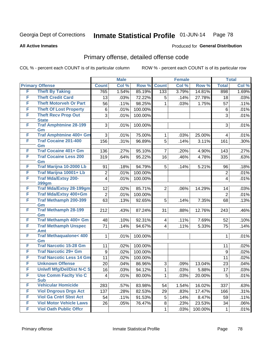**All Active Inmates**

#### Produced for **General Distribution**

### Primary offense, detailed offense code

|   |                                            | <b>Male</b>     |       |         | <b>Female</b>           |       |         | <b>Total</b>   |       |
|---|--------------------------------------------|-----------------|-------|---------|-------------------------|-------|---------|----------------|-------|
|   | <b>Primary Offense</b>                     | <b>Count</b>    | Col % | Row %   | <b>Count</b>            | Col % | Row %   | <b>Total</b>   | Col % |
| F | <b>Theft By Taking</b>                     | 765             | 1.54% | 85.19%  | 133                     | 3.79% | 14.81%  | 898            | 1.69% |
| F | <b>Theft Credit Card</b>                   | 13              | .03%  | 72.22%  | 5                       | .14%  | 27.78%  | 18             | .03%  |
| F | <b>Theft Motorveh Or Part</b>              | 56              | .11%  | 98.25%  | 1.                      | .03%  | 1.75%   | 57             | .11%  |
| F | <b>Theft Of Lost Property</b>              | 6               | .01%  | 100.00% |                         |       |         | $\,6\,$        | .01%  |
| F | <b>Theft Recv Prop Out</b><br><b>State</b> | 3               | .01%  | 100.00% |                         |       |         | 3              | .01%  |
| F | <b>Traf Amphtmine 28-199</b><br>Gm         | 3               | .01%  | 100.00% |                         |       |         | 3              | .01%  |
| F | <b>Traf Amphtmine 400+ Gm</b>              | 3               | .01%  | 75.00%  | $\mathbf{1}$            | .03%  | 25.00%  | 4              | .01%  |
| F | <b>Traf Cocaine 201-400</b><br>Gm          | 156             | .31%  | 96.89%  | 5                       | .14%  | 3.11%   | 161            | .30%  |
| F | <b>Traf Cocaine 401+ Gm</b>                | 136             | .27%  | 95.10%  | $\overline{7}$          | .20%  | 4.90%   | 143            | .27%  |
| F | <b>Traf Cocaine Less 200</b><br>Gm         | 319             | .64%  | 95.22%  | 16                      | .46%  | 4.78%   | 335            | .63%  |
| F | Traf Marijna 10-2000 Lb                    | 91              | .18%  | 94.79%  | 5                       | .14%  | 5.21%   | 96             | .18%  |
| F | Traf Marijna 10001+ Lb                     | $\overline{c}$  | .01%  | 100.00% |                         |       |         | $\overline{c}$ | .01%  |
| F | <b>Traf Mda/Extsy 200-</b><br>399gm        | 4               | .01%  | 100.00% |                         |       |         | 4              | .01%  |
| F | <b>Traf Mda/Extsy 28-199gm</b>             | 12              | .02%  | 85.71%  | $\overline{2}$          | .06%  | 14.29%  | 14             | .03%  |
| F | Traf Mda/Extsy 400+Gm                      | $\overline{2}$  | .01%  | 100.00% |                         |       |         | $\overline{2}$ | .01%  |
| F | <b>Traf Methamph 200-399</b><br>Gm         | 63              | .13%  | 92.65%  | 5                       | .14%  | 7.35%   | 68             | .13%  |
| F | <b>Traf Methamph 28-199</b><br>Gm          | 212             | .43%  | 87.24%  | 31                      | .88%  | 12.76%  | 243            | .46%  |
| F | Traf Methamph 400+ Gm                      | 48              | .10%  | 92.31%  | $\overline{\mathbf{4}}$ | .11%  | 7.69%   | 52             | .10%  |
| F | <b>Traf Methamph Unspec</b><br><b>Amt</b>  | 71              | .14%  | 94.67%  | $\overline{4}$          | .11%  | 5.33%   | 75             | .14%  |
| F | <b>Traf Methaqualone&lt; 400</b><br>Gm     | 1               | .01%  | 100.00% |                         |       |         | $\mathbf{1}$   | .01%  |
| F | <b>Traf Narcotic 15-28 Gm</b>              | 11              | .02%  | 100.00% |                         |       |         | 11             | .02%  |
| F | <b>Traf Narcotic 29+ Gm</b>                | 9               | .02%  | 100.00% |                         |       |         | 9              | .02%  |
| F | <b>Traf Narcotic Less 14 Gm</b>            | 11              | .02%  | 100.00% |                         |       |         | 11             | .02%  |
| F | <b>Unknown Offense</b>                     | 20              | .04%  | 86.96%  | 3                       | .09%  | 13.04%  | 23             | .04%  |
| F | <b>Uniwfl Mfg/Del/Dist N-C S</b>           | 16              | .03%  | 94.12%  | $\mathbf{1}$            | .03%  | 5.88%   | 17             | .03%  |
| F | <b>Use Comm Facity Vio C</b><br><b>Sub</b> | $\vert 4 \vert$ | .01%  | 80.00%  | 1                       | .03%  | 20.00%  | 5              | .01%  |
| F | <b>Vehicular Homicide</b>                  | 283             | .57%  | 83.98%  | 54                      | 1.54% | 16.02%  | 337            | .63%  |
| F | <b>Viol Dngrous Drgs Act</b>               | 137             | .28%  | 82.53%  | 29                      | .83%  | 17.47%  | 166            | .31%  |
| F | <b>Viol Ga Cntrl Sbst Act</b>              | 54              | .11%  | 91.53%  | 5                       | .14%  | 8.47%   | 59             | .11%  |
| F | <b>Viol Motor Vehicle Laws</b>             | 26              | .05%  | 76.47%  | 8                       | .23%  | 23.53%  | 34             | .06%  |
| F | <b>Viol Oath Public Offcr</b>              |                 |       |         | 1                       | .03%  | 100.00% | $\mathbf{1}$   | .01%  |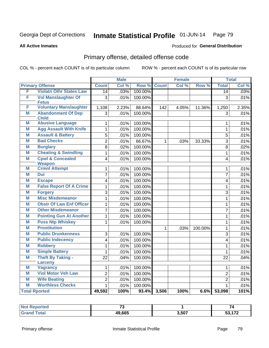#### **All Active Inmates**

# Produced for **General Distribution**

### Primary offense, detailed offense code

|   |                                           |                         | <b>Male</b> |         | <b>Female</b> |       |         |                         | <b>Total</b> |
|---|-------------------------------------------|-------------------------|-------------|---------|---------------|-------|---------|-------------------------|--------------|
|   | <b>Primary Offense</b>                    | <b>Count</b>            | Col %       | Row %   | <b>Count</b>  | Col % | Row %   | <b>Total</b>            | Col %        |
| F | <b>Violatn Othr States Law</b>            | $\overline{14}$         | .03%        | 100.00% |               |       |         | $\overline{14}$         | .03%         |
| F | <b>Vol Manslaughter Of</b>                | 3                       | .01%        | 100.00% |               |       |         | $\overline{3}$          | .01%         |
|   | <b>Fetus</b>                              |                         |             |         |               |       |         |                         |              |
| F | <b>Voluntary Manslaughter</b>             | 1,108                   | 2.23%       | 88.64%  | 142           | 4.05% | 11.36%  | 1,250                   | 2.35%        |
| M | <b>Abandonment Of Dep</b><br><b>Child</b> | 3                       | .01%        | 100.00% |               |       |         | 3                       | .01%         |
| M | <b>Abusive Language</b>                   | $\mathbf{1}$            | .01%        | 100.00% |               |       |         | $\mathbf{1}$            | .01%         |
| M | <b>Agg Assault With Knife</b>             | $\mathbf{1}$            | .01%        | 100.00% |               |       |         | $\mathbf{1}$            | .01%         |
| M | <b>Assault &amp; Battery</b>              | 5                       | .01%        | 100.00% |               |       |         | 5                       | .01%         |
| M | <b>Bad Checks</b>                         | $\overline{2}$          | .01%        | 66.67%  | $\mathbf{1}$  | .03%  | 33.33%  | 3                       | .01%         |
| M | <b>Burglary</b>                           | $\overline{8}$          | .02%        | 100.00% |               |       |         | 8                       | .02%         |
| M | <b>Cheating &amp; Swindling</b>           | 1                       | .01%        | 100.00% |               |       |         | $\mathbf 1$             | .01%         |
| M | <b>Cpwl &amp; Concealed</b>               | $\overline{\mathbf{4}}$ | .01%        | 100.00% |               |       |         | $\overline{\mathbf{4}}$ | .01%         |
|   | <b>Weapon</b>                             |                         |             |         |               |       |         |                         |              |
| M | <b>Crmnl Attempt</b>                      | 1                       | .01%        | 100.00% |               |       |         | 1                       | .01%         |
| M | <b>Dui</b>                                | $\overline{7}$          | .01%        | 100.00% |               |       |         | $\overline{7}$          | .01%         |
| M | <b>Escape</b>                             | $\overline{4}$          | .01%        | 100.00% |               |       |         | $\overline{\mathbf{4}}$ | .01%         |
| M | <b>False Report Of A Crime</b>            | $\mathbf{1}$            | .01%        | 100.00% |               |       |         | 1                       | .01%         |
| M | <b>Forgery</b>                            | $\overline{3}$          | .01%        | 100.00% |               |       |         | $\overline{3}$          | .01%         |
| M | <b>Misc Misdemeanor</b>                   | $\mathbf{1}$            | .01%        | 100.00% |               |       |         | 1                       | .01%         |
| M | <b>Obstr Of Law Enf Officer</b>           | $\mathbf{1}$            | .01%        | 100.00% |               |       |         | 1                       | .01%         |
| M | <b>Other Misdemeanor</b>                  | 7                       | .01%        | 100.00% |               |       |         | $\overline{7}$          | .01%         |
| M | <b>Pointing Gun At Another</b>            | $\mathbf{1}$            | .01%        | 100.00% |               |       |         | 1                       | .01%         |
| M | <b>Poss Ntp Whiskey</b>                   | $\mathbf{1}$            | .01%        | 100.00% |               |       |         | 1                       | .01%         |
| M | <b>Prostitution</b>                       |                         |             |         | $\mathbf{1}$  | .03%  | 100.00% | 1                       | .01%         |
| M | <b>Public Drunkenness</b>                 | 3                       | .01%        | 100.00% |               |       |         | 3                       | .01%         |
| M | <b>Public Indecency</b>                   | 4                       | .01%        | 100.00% |               |       |         | $\overline{\mathbf{4}}$ | .01%         |
| M | <b>Robbery</b>                            | 1                       | .01%        | 100.00% |               |       |         | $\mathbf{1}$            | .01%         |
| M | <b>Simple Battery</b>                     | 1                       | .01%        | 100.00% |               |       |         | $\mathbf{1}$            | .01%         |
| M | <b>Theft By Taking -</b><br>Larceny       | 22                      | .04%        | 100.00% |               |       |         | 22                      | .04%         |
| M | <b>Vagrancy</b>                           | 1                       | .01%        | 100.00% |               |       |         | $\mathbf{1}$            | .01%         |
| M | <b>Viol Motor Veh Law</b>                 | $\overline{2}$          | .01%        | 100.00% |               |       |         | $\overline{2}$          | .01%         |
| M | <b>Wife Beating</b>                       | $\overline{2}$          | .01%        | 100.00% |               |       |         | $\overline{2}$          | .01%         |
| M | <b>Worthless Checks</b>                   | 1                       | .01%        | 100.00% |               |       |         | $\mathbf 1$             | .01%         |
|   | <b>Total Rported</b>                      | 49,592                  | 100%        |         | 93.4% 3,506   | 100%  | 6.6%    | 53,098                  | 101%         |

| NOI<br>Reported | $\rightarrow$ |       |                           |
|-----------------|---------------|-------|---------------------------|
| <b>Total</b>    | 49,665        | 3,507 | $F^{\wedge}$ $F^{\wedge}$ |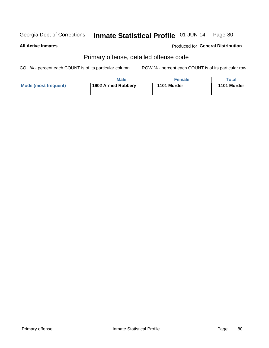#### **All Active Inmates**

#### Produced for **General Distribution**

### Primary offense, detailed offense code

|                      | <b>Male</b>        | Female      | Total       |
|----------------------|--------------------|-------------|-------------|
| Mode (most frequent) | 1902 Armed Robbery | 1101 Murder | 1101 Murder |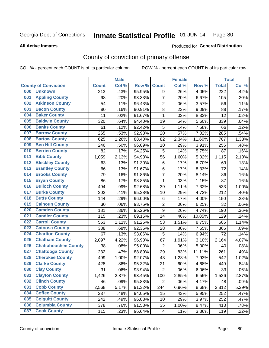**All Active Inmates**

#### Produced for **General Distribution**

### County of conviction of primary offense

|     |                             |              | <b>Male</b> |        | <b>Female</b>    |       |        | <b>Total</b>     |       |
|-----|-----------------------------|--------------|-------------|--------|------------------|-------|--------|------------------|-------|
|     | <b>County of Conviction</b> | <b>Count</b> | Col %       | Row %  | <b>Count</b>     | Col % | Row %  | <b>Total</b>     | Col % |
| 000 | <b>Unknown</b>              | 213          | .43%        | 95.95% | 9                | .26%  | 4.05%  | $\overline{222}$ | .42%  |
| 001 | <b>Appling County</b>       | 98           | .20%        | 93.33% | $\overline{7}$   | .20%  | 6.67%  | 105              | .20%  |
| 002 | <b>Atkinson County</b>      | 54           | .11%        | 96.43% | $\overline{2}$   | .06%  | 3.57%  | 56               | .11%  |
| 003 | <b>Bacon County</b>         | 80           | .16%        | 90.91% | 8                | .23%  | 9.09%  | 88               | .17%  |
| 004 | <b>Baker County</b>         | 11           | .02%        | 91.67% | $\mathbf{1}$     | .03%  | 8.33%  | 12               | .02%  |
| 005 | <b>Baldwin County</b>       | 320          | .64%        | 94.40% | 19               | .54%  | 5.60%  | 339              | .64%  |
| 006 | <b>Banks County</b>         | 61           | .12%        | 92.42% | 5                | .14%  | 7.58%  | 66               | .12%  |
| 007 | <b>Barrow County</b>        | 265          | .53%        | 92.98% | 20               | .57%  | 7.02%  | 285              | .54%  |
| 008 | <b>Bartow County</b>        | 625          | 1.26%       | 88.40% | 82               | 2.34% | 11.60% | 707              | 1.33% |
| 009 | <b>Ben Hill County</b>      | 246          | .50%        | 96.09% | 10               | .29%  | 3.91%  | 256              | .48%  |
| 010 | <b>Berrien County</b>       | 82           | .17%        | 94.25% | 5                | .14%  | 5.75%  | 87               | .16%  |
| 011 | <b>Bibb County</b>          | 1,059        | 2.13%       | 94.98% | 56               | 1.60% | 5.02%  | 1,115            | 2.10% |
| 012 | <b>Bleckley County</b>      | 63           | .13%        | 91.30% | 6                | .17%  | 8.70%  | 69               | .13%  |
| 013 | <b>Brantley County</b>      | 66           | .13%        | 91.67% | 6                | .17%  | 8.33%  | 72               | .14%  |
| 014 | <b>Brooks County</b>        | 79           | .16%        | 91.86% | $\overline{7}$   | .20%  | 8.14%  | 86               | .16%  |
| 015 | <b>Bryan County</b>         | 86           | .17%        | 98.85% | $\mathbf 1$      | .03%  | 1.15%  | 87               | .16%  |
| 016 | <b>Bulloch County</b>       | 494          | .99%        | 92.68% | 39               | 1.11% | 7.32%  | 533              | 1.00% |
| 017 | <b>Burke County</b>         | 202          | .41%        | 95.28% | 10               | .29%  | 4.72%  | 212              | .40%  |
| 018 | <b>Butts County</b>         | 144          | .29%        | 96.00% | 6                | .17%  | 4.00%  | 150              | .28%  |
| 019 | <b>Calhoun County</b>       | 30           | .06%        | 93.75% | $\overline{2}$   | .06%  | 6.25%  | 32               | .06%  |
| 020 | <b>Camden County</b>        | 181          | .36%        | 95.26% | $\boldsymbol{9}$ | .26%  | 4.74%  | 190              | .36%  |
| 021 | <b>Candler County</b>       | 115          | .23%        | 89.15% | 14               | .40%  | 10.85% | 129              | .24%  |
| 022 | <b>Carroll County</b>       | 553          | 1.11%       | 91.25% | 53               | 1.51% | 8.75%  | 606              | 1.14% |
| 023 | <b>Catoosa County</b>       | 338          | .68%        | 92.35% | 28               | .80%  | 7.65%  | 366              | .69%  |
| 024 | <b>Charlton County</b>      | 67           | .13%        | 93.06% | 5                | .14%  | 6.94%  | 72               | .14%  |
| 025 | <b>Chatham County</b>       | 2,097        | 4.22%       | 96.90% | 67               | 1.91% | 3.10%  | 2,164            | 4.07% |
| 026 | <b>Chattahoochee County</b> | 38           | .08%        | 95.00% | $\overline{2}$   | .06%  | 5.00%  | 40               | .08%  |
| 027 | <b>Chattooga County</b>     | 232          | .47%        | 88.89% | 29               | .83%  | 11.11% | 261              | .49%  |
| 028 | <b>Cherokee County</b>      | 499          | 1.00%       | 92.07% | 43               | 1.23% | 7.93%  | 542              | 1.02% |
| 029 | <b>Clarke County</b>        | 428          | .86%        | 95.32% | 21               | .60%  | 4.68%  | 449              | .84%  |
| 030 | <b>Clay County</b>          | 31           | .06%        | 93.94% | $\overline{2}$   | .06%  | 6.06%  | 33               | .06%  |
| 031 | <b>Clayton County</b>       | 1,426        | 2.87%       | 93.45% | 100              | 2.85% | 6.55%  | 1,526            | 2.87% |
| 032 | <b>Clinch County</b>        | 46           | .09%        | 95.83% | $\overline{2}$   | .06%  | 4.17%  | 48               | .09%  |
| 033 | <b>Cobb County</b>          | 2,568        | 5.17%       | 91.32% | 244              | 6.96% | 8.68%  | 2,812            | 5.29% |
| 034 | <b>Coffee County</b>        | 237          | .48%        | 94.05% | 15               | .43%  | 5.95%  | 252              | .47%  |
| 035 | <b>Colquitt County</b>      | 242          | .49%        | 96.03% | 10               | .29%  | 3.97%  | 252              | .47%  |
| 036 | <b>Columbia County</b>      | 378          | .76%        | 91.53% | 35               | 1.00% | 8.47%  | 413              | .78%  |
| 037 | <b>Cook County</b>          | 115          | .23%        | 96.64% | 4                | .11%  | 3.36%  | 119              | .22%  |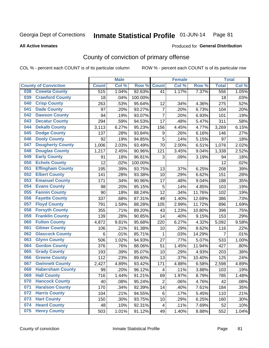**All Active Inmates**

#### Produced for **General Distribution**

### County of conviction of primary offense

|                                |              | <b>Male</b> |         |                  | <b>Female</b> |        |                | <b>Total</b> |
|--------------------------------|--------------|-------------|---------|------------------|---------------|--------|----------------|--------------|
| <b>County of Conviction</b>    | <b>Count</b> | Col %       | Row %   | <b>Count</b>     | Col %         | Row %  | <b>Total</b>   | Col %        |
| <b>Coweta County</b><br>038    | 515          | 1.04%       | 92.63%  | 41               | 1.17%         | 7.37%  | 556            | 1.05%        |
| <b>Crawford County</b><br>039  | 18           | .04%        | 100.00% |                  |               |        | 18             | .03%         |
| <b>Crisp County</b><br>040     | 263          | .53%        | 95.64%  | 12               | .34%          | 4.36%  | 275            | .52%         |
| <b>Dade County</b><br>041      | 97           | .20%        | 93.27%  | $\overline{7}$   | .20%          | 6.73%  | 104            | .20%         |
| <b>Dawson County</b><br>042    | 94           | .19%        | 93.07%  | $\overline{7}$   | .20%          | 6.93%  | 101            | .19%         |
| <b>Decatur County</b><br>043   | 294          | .59%        | 94.53%  | 17               | .48%          | 5.47%  | 311            | .58%         |
| <b>Dekalb County</b><br>044    | 3,113        | 6.27%       | 95.23%  | 156              | 4.45%         | 4.77%  | 3,269          | 6.15%        |
| <b>Dodge County</b><br>045     | 137          | .28%        | 93.84%  | $\boldsymbol{9}$ | .26%          | 6.16%  | 146            | .27%         |
| <b>Dooly County</b><br>046     | 92           | .19%        | 94.85%  | 5                | .14%          | 5.15%  | 97             | .18%         |
| <b>Dougherty County</b><br>047 | 1,006        | 2.03%       | 93.49%  | 70               | 2.00%         | 6.51%  | 1,076          | 2.02%        |
| <b>Douglas County</b><br>048   | 1,217        | 2.45%       | 90.96%  | 121              | 3.45%         | 9.04%  | 1,338          | 2.52%        |
| <b>Early County</b><br>049     | 91           | .18%        | 96.81%  | 3                | .09%          | 3.19%  | 94             | .18%         |
| <b>Echols County</b><br>050    | 12           | .02%        | 100.00% |                  |               |        | 12             | .02%         |
| <b>Effingham County</b><br>051 | 195          | .39%        | 93.75%  | 13               | .37%          | 6.25%  | 208            | .39%         |
| <b>Elbert County</b><br>052    | 141          | .28%        | 93.38%  | 10               | .29%          | 6.62%  | 151            | .28%         |
| <b>Emanuel County</b><br>053   | 171          | .34%        | 90.96%  | 17               | .48%          | 9.04%  | 188            | .35%         |
| <b>Evans County</b><br>054     | 98           | .20%        | 95.15%  | 5                | .14%          | 4.85%  | 103            | .19%         |
| <b>Fannin County</b><br>055    | 90           | .18%        | 88.24%  | 12               | .34%          | 11.76% | 102            | .19%         |
| <b>Fayette County</b><br>056   | 337          | .68%        | 87.31%  | 49               | 1.40%         | 12.69% | 386            | .73%         |
| <b>Floyd County</b><br>057     | 791          | 1.59%       | 88.28%  | 105              | 2.99%         | 11.72% | 896            | 1.69%        |
| <b>Forsyth County</b><br>058   | 355          | .71%        | 89.20%  | 43               | 1.23%         | 10.80% | 398            | .75%         |
| <b>Franklin County</b><br>059  | 139          | .28%        | 90.85%  | 14               | .40%          | 9.15%  | 153            | .29%         |
| <b>Fulton County</b><br>060    | 4,872        | 9.81%       | 95.68%  | 220              | 6.27%         | 4.32%  | 5,092          | 9.58%        |
| <b>Gilmer County</b><br>061    | 106          | .21%        | 91.38%  | 10               | .29%          | 8.62%  | 116            | .22%         |
| <b>Glascock County</b><br>062  | 6            | .01%        | 85.71%  | $\mathbf{1}$     | .03%          | 14.29% | $\overline{7}$ | .01%         |
| <b>Glynn County</b><br>063     | 506          | 1.02%       | 94.93%  | 27               | .77%          | 5.07%  | 533            | 1.00%        |
| <b>Gordon County</b><br>064    | 376          | .76%        | 88.06%  | 51               | 1.45%         | 11.94% | 427            | .80%         |
| 065<br><b>Grady County</b>     | 193          | .39%        | 95.07%  | 10               | .29%          | 4.93%  | 203            | .38%         |
| <b>Greene County</b><br>066    | 112          | .23%        | 89.60%  | 13               | .37%          | 10.40% | 125            | .24%         |
| <b>Gwinnett County</b><br>067  | 2,427        | 4.89%       | 93.42%  | 171              | 4.88%         | 6.58%  | 2,598          | 4.89%        |
| <b>Habersham County</b><br>068 | 99           | .20%        | 96.12%  | 4                | .11%          | 3.88%  | 103            | .19%         |
| <b>Hall County</b><br>069      | 716          | 1.44%       | 91.21%  | 69               | 1.97%         | 8.79%  | 785            | 1.48%        |
| <b>Hancock County</b><br>070   | 40           | .08%        | 95.24%  | $\overline{2}$   | .06%          | 4.76%  | 42             | .08%         |
| 071<br><b>Haralson County</b>  | 170          | .34%        | 92.39%  | 14               | .40%          | 7.61%  | 184            | .35%         |
| <b>Harris County</b><br>072    | 104          | .21%        | 94.55%  | 6                | .17%          | 5.45%  | 110            | .21%         |
| <b>Hart County</b><br>073      | 150          | .30%        | 93.75%  | 10               | .29%          | 6.25%  | 160            | .30%         |
| <b>Heard County</b><br>074     | 48           | .10%        | 92.31%  | $\overline{4}$   | .11%          | 7.69%  | 52             | .10%         |
| <b>Henry County</b><br>075     | 503          | 1.01%       | 91.12%  | 49               | 1.40%         | 8.88%  | 552            | 1.04%        |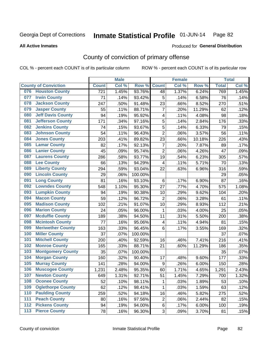Produced for **General Distribution**

#### **All Active Inmates**

### County of conviction of primary offense

|                  |                             |              | <b>Male</b> |         |                         | <b>Female</b> |        |              | <b>Total</b> |
|------------------|-----------------------------|--------------|-------------|---------|-------------------------|---------------|--------|--------------|--------------|
|                  | <b>County of Conviction</b> | <b>Count</b> | Col %       | Row %   | <b>Count</b>            | Col %         | Row %  | <b>Total</b> | Col %        |
|                  | 076 Houston County          | 721          | 1.45%       | 93.76%  | 48                      | 1.37%         | 6.24%  | 769          | 1.45%        |
| 077              | <b>Irwin County</b>         | 71           | .14%        | 93.42%  | 5                       | .14%          | 6.58%  | 76           | .14%         |
| 078              | <b>Jackson County</b>       | 247          | .50%        | 91.48%  | 23                      | .66%          | 8.52%  | 270          | .51%         |
| 079              | <b>Jasper County</b>        | 55           | .11%        | 88.71%  | $\overline{7}$          | .20%          | 11.29% | 62           | .12%         |
| 080              | <b>Jeff Davis County</b>    | 94           | .19%        | 95.92%  | 4                       | .11%          | 4.08%  | 98           | .18%         |
| 081              | <b>Jefferson County</b>     | 171          | .34%        | 97.16%  | 5                       | .14%          | 2.84%  | 176          | .33%         |
| 082              | <b>Jenkins County</b>       | 74           | .15%        | 93.67%  | 5                       | .14%          | 6.33%  | 79           | .15%         |
| 083              | <b>Johnson County</b>       | 54           | .11%        | 96.43%  | $\overline{2}$          | .06%          | 3.57%  | 56           | .11%         |
| 084              | <b>Jones County</b>         | 203          | .41%        | 89.82%  | 23                      | .66%          | 10.18% | 226          | .43%         |
| 085              | <b>Lamar County</b>         | 82           | .17%        | 92.13%  | $\overline{7}$          | .20%          | 7.87%  | 89           | .17%         |
| 086              | <b>Lanier County</b>        | 45           | .09%        | 95.74%  | $\overline{c}$          | .06%          | 4.26%  | 47           | .09%         |
| 087              | <b>Laurens County</b>       | 286          | .58%        | 93.77%  | 19                      | .54%          | 6.23%  | 305          | .57%         |
| 088              | <b>Lee County</b>           | 66           | .13%        | 94.29%  | 4                       | .11%          | 5.71%  | 70           | .13%         |
| 089              | <b>Liberty County</b>       | 294          | .59%        | 93.04%  | 22                      | .63%          | 6.96%  | 316          | .59%         |
| 090              | <b>Lincoln County</b>       | 29           | .06%        | 100.00% |                         |               |        | 29           | .05%         |
| 091              | <b>Long County</b>          | 81           | .16%        | 93.10%  | 6                       | .17%          | 6.90%  | 87           | .16%         |
| 092              | <b>Lowndes County</b>       | 548          | 1.10%       | 95.30%  | 27                      | .77%          | 4.70%  | 575          | 1.08%        |
| 093              | <b>Lumpkin County</b>       | 94           | .19%        | 90.38%  | 10                      | .29%          | 9.62%  | 104          | .20%         |
| 094              | <b>Macon County</b>         | 59           | .12%        | 96.72%  | $\overline{2}$          | .06%          | 3.28%  | 61           | .11%         |
| 095              | <b>Madison County</b>       | 102          | .21%        | 91.07%  | 10                      | .29%          | 8.93%  | 112          | .21%         |
| 096              | <b>Marion County</b>        | 24           | .05%        | 96.00%  | $\mathbf{1}$            | .03%          | 4.00%  | 25           | .05%         |
| 097              | <b>Mcduffie County</b>      | 189          | .38%        | 94.50%  | 11                      | .31%          | 5.50%  | 200          | .38%         |
| 098              | <b>Mcintosh County</b>      | 77           | .16%        | 95.06%  | $\overline{\mathbf{4}}$ | .11%          | 4.94%  | 81           | .15%         |
| 099              | <b>Meriwether County</b>    | 163          | .33%        | 96.45%  | 6                       | .17%          | 3.55%  | 169          | .32%         |
| 100              | <b>Miller County</b>        | 37           | .07%        | 100.00% |                         |               |        | 37           | .07%         |
| 101              | <b>Mitchell County</b>      | 200          | .40%        | 92.59%  | 16                      | .46%          | 7.41%  | 216          | .41%         |
| 102              | <b>Monroe County</b>        | 165          | .33%        | 88.71%  | 21                      | .60%          | 11.29% | 186          | .35%         |
| 103              | <b>Montgomery County</b>    | 35           | .07%        | 100.00% |                         |               |        | 35           | .07%         |
| 104              | <b>Morgan County</b>        | 160          | .32%        | 90.40%  | 17                      | .48%          | 9.60%  | 177          | .33%         |
| 105              | <b>Murray County</b>        | 141          | .28%        | 94.00%  | $\boldsymbol{9}$        | .26%          | 6.00%  | 150          | .28%         |
| 106              | <b>Muscogee County</b>      | 1,231        | 2.48%       | 95.35%  | 60                      | 1.71%         | 4.65%  | 1,291        | 2.43%        |
| 107              | <b>Newton County</b>        | 649          | 1.31%       | 92.71%  | 51                      | 1.45%         | 7.29%  | 700          | 1.32%        |
| 108              | <b>Oconee County</b>        | 52           | .10%        | 98.11%  | 1                       | .03%          | 1.89%  | 53           | .10%         |
| 109              | <b>Oglethorpe County</b>    | 62           | .12%        | 98.41%  | 1                       | .03%          | 1.59%  | 63           | .12%         |
| 110              | <b>Paulding County</b>      | 259          | .52%        | 94.18%  | 16                      | .46%          | 5.82%  | 275          | .52%         |
| 111              | <b>Peach County</b>         | 80           | .16%        | 97.56%  | 2                       | .06%          | 2.44%  | 82           | .15%         |
| $\overline{112}$ | <b>Pickens County</b>       | 94           | .19%        | 94.00%  | 6                       | .17%          | 6.00%  | 100          | .19%         |
| 113              | <b>Pierce County</b>        | 78           | .16%        | 96.30%  | 3                       | .09%          | 3.70%  | 81           | .15%         |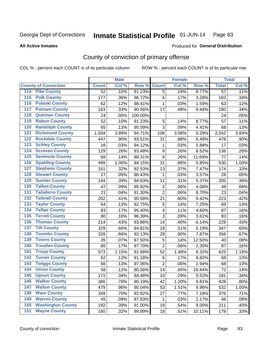**All Active Inmates**

#### Produced for **General Distribution**

### County of conviction of primary offense

|                                          |                 | <b>Male</b> |         |                  | <b>Female</b> |        |                 | <b>Total</b> |
|------------------------------------------|-----------------|-------------|---------|------------------|---------------|--------|-----------------|--------------|
| <b>County of Conviction</b>              | <b>Count</b>    | Col %       | Row %   | <b>Count</b>     | Col %         | Row %  | <b>Total</b>    | Col %        |
| <b>Pike County</b><br>114                | $\overline{52}$ | .10%        | 91.23%  | $\overline{5}$   | .14%          | 8.77%  | $\overline{57}$ | .11%         |
| <b>Polk County</b><br>$\overline{115}$   | 177             | .36%        | 96.72%  | 6                | .17%          | 3.28%  | 183             | .34%         |
| <b>Pulaski County</b><br>116             | 62              | .12%        | 98.41%  | 1                | .03%          | 1.59%  | 63              | .12%         |
| <b>Putnam County</b><br>117              | 163             | .33%        | 90.56%  | 17               | .48%          | 9.44%  | 180             | .34%         |
| <b>Quitman County</b><br>118             | 24              | .05%        | 100.00% |                  |               |        | 24              | .05%         |
| <b>Rabun County</b><br>119               | 52              | .10%        | 91.23%  | 5                | .14%          | 8.77%  | 57              | .11%         |
| <b>Randolph County</b><br>120            | 65              | .13%        | 95.59%  | $\overline{3}$   | .09%          | 4.41%  | 68              | .13%         |
| <b>Richmond County</b><br>121            | 1,934           | 3.89%       | 94.71%  | 108              | 3.08%         | 5.29%  | 2,042           | 3.84%        |
| <b>Rockdale County</b><br>122            | 447             | .90%        | 93.51%  | 31               | .88%          | 6.49%  | 478             | .90%         |
| <b>Schley County</b><br>123              | 16              | .03%        | 94.12%  | 1                | .03%          | 5.88%  | 17              | .03%         |
| <b>Screven County</b><br>124             | 129             | .26%        | 93.48%  | $\boldsymbol{9}$ | .26%          | 6.52%  | 138             | .26%         |
| <b>Seminole County</b><br>125            | 68              | .14%        | 88.31%  | 9                | .26%          | 11.69% | 77              | .14%         |
| <b>Spalding County</b><br>126            | 499             | 1.00%       | 94.15%  | 31               | .88%          | 5.85%  | 530             | 1.00%        |
| <b>Stephens County</b><br>127            | 161             | .32%        | 92.53%  | 13               | .37%          | 7.47%  | 174             | .33%         |
| <b>Stewart County</b><br>128             | 27              | .05%        | 96.43%  | 1                | .03%          | 3.57%  | 28              | .05%         |
| <b>Sumter County</b><br>129              | 194             | .39%        | 94.63%  | 11               | .31%          | 5.37%  | 205             | .39%         |
| <b>Talbot County</b><br>130              | 47              | .09%        | 95.92%  | $\overline{2}$   | .06%          | 4.08%  | 49              | .09%         |
| <b>Taliaferro County</b><br>131          | 21              | .04%        | 91.30%  | $\overline{2}$   | .06%          | 8.70%  | 23              | .04%         |
| <b>Tattnall County</b><br>132            | 202             | .41%        | 90.58%  | 21               | .60%          | 9.42%  | 223             | .42%         |
| <b>Taylor County</b><br>133              | 64              | .13%        | 92.75%  | 5                | .14%          | 7.25%  | 69              | .13%         |
| <b>Telfair County</b><br>134             | 83              | .17%        | 95.40%  | 4                | .11%          | 4.60%  | 87              | .16%         |
| <b>Terrell County</b><br>135             | 80              | .16%        | 96.39%  | 3                | .09%          | 3.61%  | 83              | .16%         |
| <b>Thomas County</b><br>136              | 214             | .43%        | 93.86%  | 14               | .40%          | 6.14%  | 228             | .43%         |
| <b>Tift County</b><br>137                | 329             | .66%        | 94.81%  | 18               | .51%          | 5.19%  | 347             | .65%         |
| <b>Toombs County</b><br>138              | 328             | .66%        | 92.13%  | 28               | .80%          | 7.87%  | 356             | .67%         |
| <b>Towns County</b><br>139               | 35              | .07%        | 87.50%  | 5                | .14%          | 12.50% | 40              | .08%         |
| <b>Treutlen County</b><br>140            | 85              | .17%        | 97.70%  | $\overline{2}$   | .06%          | 2.30%  | 87              | .16%         |
| <b>Troup County</b><br>141               | 573             | 1.15%       | 91.68%  | 52               | 1.48%         | 8.32%  | 625             | 1.18%        |
| <b>Turner County</b><br>142              | 62              | .12%        | 91.18%  | $\,6\,$          | .17%          | 8.82%  | 68              | .13%         |
| <b>Twiggs County</b><br>$\overline{143}$ | 66              | .13%        | 97.06%  | $\overline{2}$   | .06%          | 2.94%  | 68              | .13%         |
| <b>Union County</b><br>144               | 58              | .12%        | 80.56%  | 14               | .40%          | 19.44% | 72              | .14%         |
| 145<br><b>Upson County</b>               | 171             | .34%        | 94.48%  | 10               | .29%          | 5.52%  | 181             | .34%         |
| <b>Walker County</b><br>146              | 386             | .78%        | 90.19%  | 42               | 1.20%         | 9.81%  | 428             | .80%         |
| <b>Walton County</b><br>147              | 479             | .96%        | 90.04%  | 53               | 1.51%         | 9.96%  | 532             | 1.00%        |
| <b>Ware County</b><br>148                | 349             | .70%        | 92.82%  | 27               | .77%          | 7.18%  | 376             | .71%         |
| <b>Warren County</b><br>149              | 45              | .09%        | 97.83%  | 1                | .03%          | 2.17%  | 46              | .09%         |
| <b>Washington County</b><br>150          | 192             | .39%        | 91.00%  | 19               | .54%          | 9.00%  | 211             | .40%         |
| <b>Wayne County</b><br>151               | 160             | .32%        | 89.89%  | 18               | .51%          | 10.11% | 178             | .33%         |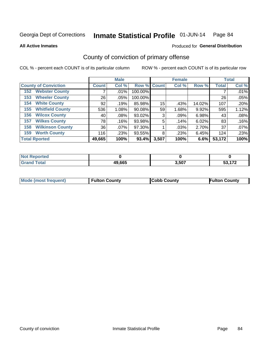**All Active Inmates**

#### Produced for **General Distribution**

### County of conviction of primary offense

|                                |              | <b>Male</b> |             |       | <b>Female</b> |        |              | <b>Total</b> |
|--------------------------------|--------------|-------------|-------------|-------|---------------|--------|--------------|--------------|
| <b>County of Conviction</b>    | <b>Count</b> | Col %       | Row % Count |       | Col %         | Row %  | <b>Total</b> | Col %        |
| <b>Webster County</b><br>152   |              | $.01\%$     | 100.00%     |       |               |        |              | .01%         |
| <b>Wheeler County</b><br>153   | 26           | $.05\%$     | 100.00%     |       |               |        | 26           | .05%         |
| <b>White County</b><br>154     | 92           | .19%        | 85.98%      | 15    | .43%          | 14.02% | 107          | .20%         |
| <b>Whitfield County</b><br>155 | 536          | 1.08%       | 90.08%      | 59    | 1.68%         | 9.92%  | 595          | 1.12%        |
| <b>Wilcox County</b><br>156    | 40           | $.08\%$     | 93.02%      | 3     | $.09\%$       | 6.98%  | 43           | .08%         |
| <b>Wilkes County</b><br>157    | 78           | .16%        | 93.98%      | 5     | .14%          | 6.02%  | 83           | .16%         |
| <b>Wilkinson County</b><br>158 | 36           | .07%        | 97.30%      |       | .03%          | 2.70%  | 37           | .07%         |
| <b>Worth County</b><br>159     | 116          | .23%        | 93.55%      | 8     | .23%          | 6.45%  | 124          | .23%         |
| <b>Total Rported</b>           | 49,665       | 100%        | 93.4%       | 3,507 | 100%          | 6.6%   | 53,172       | 100%         |

| <b>Not Reported</b> |        |       |                      |
|---------------------|--------|-------|----------------------|
| <b>Grand Total</b>  | 49,665 | 3,507 | $\sim$ $\sim$<br>ב כ |

| Mode (most frequent) | <b>Fulton County</b> | <b>Cobb County</b> | <b>Fulton County</b> |
|----------------------|----------------------|--------------------|----------------------|
|                      |                      |                    |                      |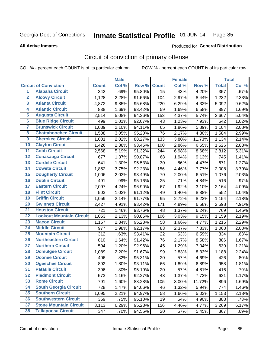#### **All Active Inmates**

#### Produced for **General Distribution**

### Circuit of conviction of primary offense

|                         |                                 |                  | <b>Male</b> |        |              | <b>Female</b> |        |              | <b>Total</b> |
|-------------------------|---------------------------------|------------------|-------------|--------|--------------|---------------|--------|--------------|--------------|
|                         | <b>Circuit of Conviction</b>    | <b>Count</b>     | Col %       | Row %  | <b>Count</b> | Col %         | Row %  | <b>Total</b> | Col %        |
| $\overline{1}$          | <b>Alapaha Circuit</b>          | $\overline{342}$ | .69%        | 95.80% | 15           | .43%          | 4.20%  | 357          | .67%         |
| $\overline{2}$          | <b>Alcovy Circuit</b>           | 1,128            | 2.28%       | 91.56% | 104          | 2.97%         | 8.44%  | 1,232        | 2.33%        |
| 3                       | <b>Atlanta Circuit</b>          | 4,872            | 9.85%       | 95.68% | 220          | 6.29%         | 4.32%  | 5,092        | 9.62%        |
| 4                       | <b>Atlantic Circuit</b>         | 838              | 1.69%       | 93.42% | 59           | 1.69%         | 6.58%  | 897          | 1.69%        |
| 5                       | <b>Augusta Circuit</b>          | 2,514            | 5.08%       | 94.26% | 153          | 4.37%         | 5.74%  | 2,667        | 5.04%        |
| $6\overline{6}$         | <b>Blue Ridge Circuit</b>       | 499              | 1.01%       | 92.07% | 43           | 1.23%         | 7.93%  | 542          | 1.02%        |
| $\overline{\mathbf{7}}$ | <b>Brunswick Circuit</b>        | 1,039            | 2.10%       | 94.11% | 65           | 1.86%         | 5.89%  | 1,104        | 2.08%        |
| 8                       | <b>Chattahoochee Circuit</b>    | 1,508            | 3.05%       | 95.20% | 76           | 2.17%         | 4.80%  | 1,584        | 2.99%        |
| $\overline{9}$          | <b>Cherokee Circuit</b>         | 1,001            | 2.02%       | 88.27% | 133          | 3.80%         | 11.73% | 1,134        | 2.14%        |
| 10                      | <b>Clayton Circuit</b>          | 1,426            | 2.88%       | 93.45% | 100          | 2.86%         | 6.55%  | 1,526        | 2.88%        |
| 11                      | <b>Cobb Circuit</b>             | 2,568            | 5.19%       | 91.32% | 244          | 6.98%         | 8.68%  | 2,812        | 5.31%        |
| 12                      | <b>Conasauga Circuit</b>        | 677              | 1.37%       | 90.87% | 68           | 1.94%         | 9.13%  | 745          | 1.41%        |
| 13                      | <b>Cordele Circuit</b>          | 641              | 1.30%       | 95.53% | 30           | .86%          | 4.47%  | 671          | 1.27%        |
| $\overline{14}$         | <b>Coweta Circuit</b>           | 1,852            | 3.75%       | 92.23% | 156          | 4.46%         | 7.77%  | 2,008        | 3.79%        |
| 15                      | <b>Dougherty Circuit</b>        | 1,006            | 2.03%       | 93.49% | 70           | 2.00%         | 6.51%  | 1,076        | 2.03%        |
| 16                      | <b>Dublin Circuit</b>           | 491              | .99%        | 95.16% | 25           | .71%          | 4.84%  | 516          | .97%         |
| 17                      | <b>Eastern Circuit</b>          | 2,097            | 4.24%       | 96.90% | 67           | 1.92%         | 3.10%  | 2,164        | 4.09%        |
| 18                      | <b>Flint Circuit</b>            | 503              | 1.02%       | 91.12% | 49           | 1.40%         | 8.88%  | 552          | 1.04%        |
| 19                      | <b>Griffin Circuit</b>          | 1,059            | 2.14%       | 91.77% | 95           | 2.72%         | 8.23%  | 1,154        | 2.18%        |
| 20                      | <b>Gwinnett Circuit</b>         | 2,427            | 4.91%       | 93.42% | 171          | 4.89%         | 6.58%  | 2,598        | 4.91%        |
| $\overline{21}$         | <b>Houston Circuit</b>          | 721              | 1.46%       | 93.76% | 48           | 1.37%         | 6.24%  | 769          | 1.45%        |
| $\overline{22}$         | <b>Lookout Mountain Circuit</b> | 1,053            | 2.13%       | 90.85% | 106          | 3.03%         | 9.15%  | 1,159        | 2.19%        |
| 23                      | <b>Macon Circuit</b>            | 1,157            | 2.34%       | 95.23% | 58           | 1.66%         | 4.77%  | 1,215        | 2.29%        |
| 24                      | <b>Middle Circuit</b>           | 977              | 1.98%       | 92.17% | 83           | 2.37%         | 7.83%  | 1,060        | 2.00%        |
| 25                      | <b>Mountain Circuit</b>         | 312              | .63%        | 93.41% | 22           | .63%          | 6.59%  | 334          | .63%         |
| 26                      | <b>Northeastern Circuit</b>     | 810              | 1.64%       | 91.42% | 76           | 2.17%         | 8.58%  | 886          | 1.67%        |
| $\overline{27}$         | <b>Northern Circuit</b>         | 594              | 1.20%       | 92.96% | 45           | 1.29%         | 7.04%  | 639          | 1.21%        |
| 28                      | <b>Ocmulgee Circuit</b>         | 1,089            | 2.20%       | 91.67% | 99           | 2.83%         | 8.33%  | 1,188        | 2.24%        |
| 29                      | <b>Oconee Circuit</b>           | 406              | .82%        | 95.31% | 20           | .57%          | 4.69%  | 426          | .80%         |
| 30                      | <b>Ogeechee Circuit</b>         | 892              | 1.80%       | 93.11% | 66           | 1.89%         | 6.89%  | 958          | 1.81%        |
| $\overline{31}$         | <b>Pataula Circuit</b>          | 396              | .80%        | 95.19% | 20           | .57%          | 4.81%  | 416          | .79%         |
| 32                      | <b>Piedmont Circuit</b>         | 573              | 1.16%       | 92.27% | 48           | 1.37%         | 7.73%  | 621          | 1.17%        |
| 33                      | <b>Rome Circuit</b>             | 791              | 1.60%       | 88.28% | 105          | 3.00%         | 11.72% | 896          | 1.69%        |
| 34                      | <b>South Georgia Circuit</b>    | 728              | 1.47%       | 94.06% | 46           | 1.32%         | 5.94%  | 774          | 1.46%        |
| 35                      | <b>Southern Circuit</b>         | 1,095            | 2.21%       | 94.97% | 58           | 1.66%         | 5.03%  | 1,153        | 2.18%        |
| 36                      | <b>Southwestern Circuit</b>     | 369              | .75%        | 95.10% | 19           | .54%          | 4.90%  | 388          | .73%         |
| 37                      | <b>Stone Mountain Circuit</b>   | 3,113            | 6.29%       | 95.23% | 156          | 4.46%         | 4.77%  | 3,269        | 6.17%        |
| 38                      | <b>Tallapoosa Circuit</b>       | 347              | .70%        | 94.55% | 20           | .57%          | 5.45%  | 367          | .69%         |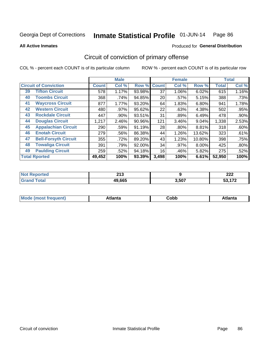**All Active Inmates**

#### Produced for **General Distribution**

### Circuit of conviction of primary offense

|                                   |              | <b>Male</b> |        |              | <b>Female</b> |        |              | <b>Total</b> |
|-----------------------------------|--------------|-------------|--------|--------------|---------------|--------|--------------|--------------|
| <b>Circuit of Conviction</b>      | <b>Count</b> | Col %       | Row %  | <b>Count</b> | Col %         | Row %  | <b>Total</b> | Col %        |
| <b>Tifton Circuit</b><br>39       | 578          | 1.17%       | 93.98% | 37           | 1.06%         | 6.02%  | 615          | 1.16%        |
| <b>Toombs Circuit</b><br>40       | 368          | .74%        | 94.85% | 20           | .57%          | 5.15%  | 388          | .73%         |
| <b>Waycross Circuit</b><br>41     | 877          | 1.77%       | 93.20% | 64           | 1.83%         | 6.80%  | 941          | 1.78%        |
| <b>Western Circuit</b><br>42      | 480          | .97%        | 95.62% | 22           | .63%          | 4.38%  | 502          | .95%         |
| <b>Rockdale Circuit</b><br>43     | 447          | .90%        | 93.51% | 31           | .89%          | 6.49%  | 478          | .90%         |
| <b>Douglas Circuit</b><br>44      | 1,217        | 2.46%       | 90.96% | 121          | 3.46%         | 9.04%  | 1,338        | 2.53%        |
| <b>Appalachian Circuit</b><br>45  | 290          | .59%        | 91.19% | 28           | $.80\%$       | 8.81%  | 318          | .60%         |
| <b>Enotah Circuit</b><br>46       | 279          | .56%        | 86.38% | 44           | 1.26%         | 13.62% | 323          | .61%         |
| <b>Bell-Forsyth Circuit</b><br>47 | 355          | .72%        | 89.20% | 43           | 1.23%         | 10.80% | 398          | .75%         |
| <b>Towaliga Circuit</b><br>48     | 391          | .79%        | 92.00% | 34           | .97%          | 8.00%  | 425          | $.80\%$      |
| <b>Paulding Circuit</b><br>49     | 259          | .52%        | 94.18% | 16           | .46%          | 5.82%  | 275          | .52%         |
| <b>Total Rported</b>              | 49,452       | 100%        | 93.39% | 3,498        | 100%          | 6.61%  | 52,950       | 100%         |

| 242<br>2 I J<br>$\sim$ $\sim$ |       | ົ<br>LLL |
|-------------------------------|-------|----------|
| 49.665                        | 3,507 | $1 - 0$  |

| M | . | ----<br>oг  | ----<br>пLс |
|---|---|-------------|-------------|
|   |   | <b>OUNN</b> |             |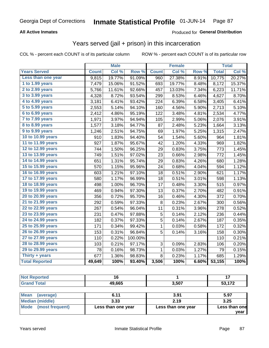#### **All Active Inmates**

#### Produced for **General Distribution**

#### Years served (jail + prison) in this incarceration

|                       |              | <b>Male</b> |                  |              | <b>Female</b> |       |              | <b>Total</b> |
|-----------------------|--------------|-------------|------------------|--------------|---------------|-------|--------------|--------------|
| <b>Years Served</b>   | <b>Count</b> | Col %       | Row <sup>%</sup> | <b>Count</b> | Col %         | Row % | <b>Total</b> | Col %        |
| Less than one year    | 9,815        | 19.77%      | 91.09%           | 960          | 27.38%        | 8.91% | 10,775       | 20.27%       |
| 1 to 1.99 years       | 7,479        | 15.06%      | 91.52%           | 693          | 19.77%        | 8.48% | 8,172        | 15.37%       |
| 2 to 2.99 years       | 5,766        | 11.61%      | 92.66%           | 457          | 13.03%        | 7.34% | 6,223        | 11.71%       |
| 3 to 3.99 years       | 4,328        | 8.72%       | 93.54%           | 299          | 8.53%         | 6.46% | 4,627        | 8.70%        |
| 4 to 4.99 years       | 3,181        | 6.41%       | 93.42%           | 224          | 6.39%         | 6.58% | 3,405        | 6.41%        |
| 5 to 5.99 years       | 2,553        | 5.14%       | 94.10%           | 160          | 4.56%         | 5.90% | 2,713        | 5.10%        |
| 6 to 6.99 years       | 2,412        | 4.86%       | 95.19%           | 122          | 3.48%         | 4.81% | 2,534        | 4.77%        |
| 7 to 7.99 years       | 1,971        | 3.97%       | 94.94%           | 105          | 2.99%         | 5.06% | 2,076        | 3.91%        |
| 8 to 8.99 years       | 1,577        | 3.18%       | 94.77%           | 87           | 2.48%         | 5.23% | 1,664        | 3.13%        |
| 9 to 9.99 years       | 1,246        | 2.51%       | 94.75%           | 69           | 1.97%         | 5.25% | 1,315        | 2.47%        |
| 10 to 10.99 years     | 910          | 1.83%       | 94.40%           | 54           | 1.54%         | 5.60% | 964          | 1.81%        |
| 11 to 11.99 years     | 927          | 1.87%       | 95.67%           | 42           | 1.20%         | 4.33% | 969          | 1.82%        |
| 12 to 12.99 years     | 744          | 1.50%       | 96.25%           | 29           | 0.83%         | 3.75% | 773          | 1.45%        |
| 13 to 13.99 years     | 749          | 1.51%       | 97.02%           | 23           | 0.66%         | 2.98% | 772          | 1.45%        |
| 14 to 14.99 years     | 651          | 1.31%       | 95.74%           | 29           | 0.83%         | 4.26% | 680          | 1.28%        |
| 15 to 15.99 years     | 570          | 1.15%       | 95.96%           | 24           | 0.68%         | 4.04% | 594          | 1.12%        |
| 16 to 16.99 years     | 603          | 1.21%       | 97.10%           | 18           | 0.51%         | 2.90% | 621          | 1.17%        |
| 17 to 17.99 years     | 580          | 1.17%       | 96.99%           | 18           | 0.51%         | 3.01% | 598          | 1.13%        |
| 18 to 18.99 years     | 498          | 1.00%       | 96.70%           | 17           | 0.48%         | 3.30% | 515          | 0.97%        |
| 19 to 19.99 years     | 469          | 0.94%       | 97.30%           | 13           | 0.37%         | 2.70% | 482          | 0.91%        |
| 20 to 20.99 years     | 356          | 0.72%       | 95.70%           | 16           | 0.46%         | 4.30% | 372          | 0.70%        |
| 21 to 21.99 years     | 292          | 0.59%       | 97.33%           | 8            | 0.23%         | 2.67% | 300          | 0.56%        |
| 22 to 22.99 years     | 267          | 0.54%       | 96.04%           | 11           | 0.31%         | 3.96% | 278          | 0.52%        |
| 23 to 23.99 years     | 231          | 0.47%       | 97.88%           | 5            | 0.14%         | 2.12% | 236          | 0.44%        |
| 24 to 24.99 years     | 182          | 0.37%       | 97.33%           | 5            | 0.14%         | 2.67% | 187          | 0.35%        |
| 25 to 25.99 years     | 171          | 0.34%       | 99.42%           | 1            | 0.03%         | 0.58% | 172          | 0.32%        |
| 26 to 26.99 years     | 153          | 0.31%       | 96.84%           | 5            | 0.14%         | 3.16% | 158          | 0.30%        |
| 27 to 27.99 years     | 110          | 0.22%       | 100.00%          |              |               |       | 110          | 0.21%        |
| 28 to 28.99 years     | 103          | 0.21%       | 97.17%           | 3            | 0.09%         | 2.83% | 106          | 0.20%        |
| 29 to 29.99 years     | 78           | 0.16%       | 98.73%           | 1            | 0.03%         | 1.27% | 79           | 0.15%        |
| Thirty $+$ years      | 677          | 1.36%       | 98.83%           | 8            | 0.23%         | 1.17% | 685          | 1.29%        |
| <b>Total Reported</b> | 49,649       | 100%        | 93.40%           | 3,506        | 100%          | 6.60% | 53,155       | 100%         |

| <b>Not Reported</b>            | 16                 |                    | 17            |  |
|--------------------------------|--------------------|--------------------|---------------|--|
| <b>Grand Total</b>             | 49,665             | 3,507              | 53,172        |  |
|                                |                    |                    |               |  |
| <b>Mean</b><br>(average)       | 6.11               | 3.91               | 5.97          |  |
| <b>Median (middle)</b>         | 3.33               | 2.19               | 3.25          |  |
| <b>Mode</b><br>(most frequent) | Less than one year | Less than one year | Less than one |  |
|                                |                    |                    | vear          |  |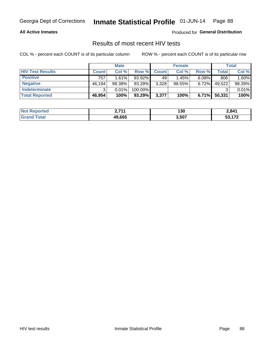#### **All Active Inmates**

Produced for **General Distribution**

#### Results of most recent HIV tests

|                         |              | <b>Male</b> |           |              | <b>Female</b> |          |        | Total  |
|-------------------------|--------------|-------------|-----------|--------------|---------------|----------|--------|--------|
| <b>HIV Test Results</b> | <b>Count</b> | Col%        | Row %I    | <b>Count</b> | Col %         | Row %    | Total  | Col %  |
| <b>Positive</b>         | 757          | 1.61%       | 93.92%    | 49           | 1.45%         | $6.08\%$ | 806    | 1.60%  |
| <b>Negative</b>         | 46,194       | 98.38%      | 93.28%    | 3,328        | $98.55\%$     | 6.72%    | 49,522 | 98.39% |
| <b>Indeterminate</b>    | າ            | 0.01%       | 100.00%   |              |               |          |        | 0.01%  |
| <b>Total Reported</b>   | 46,954       | 100%        | $93.29\%$ | 3,377        | 100%          | $6.71\%$ | 50,331 | 100%   |

| <b>Not Reported</b>  | つ フィィ  | 130   | 2,841            |
|----------------------|--------|-------|------------------|
| <b>Total</b><br>Gran | 49,665 | 3,507 | E9 470<br>33.ILZ |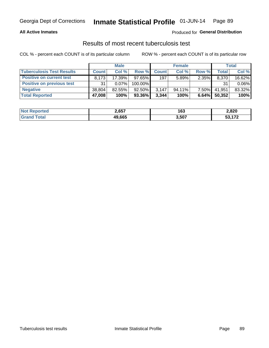#### **All Active Inmates**

#### Produced for **General Distribution**

#### Results of most recent tuberculosis test

|                                  | <b>Male</b>  |           |           | <b>Female</b> |        |          | Total        |          |
|----------------------------------|--------------|-----------|-----------|---------------|--------|----------|--------------|----------|
| <b>Tuberculosis Test Results</b> | <b>Count</b> | Col%      | Row %     | <b>Count</b>  | Col %  | Row %    | <b>Total</b> | Col %    |
| <b>Positive on current test</b>  | 8.173        | $17.39\%$ | $97.65\%$ | 197           | 5.89%  | 2.35%    | 8,370        | 16.62%   |
| <b>Positive on previous test</b> | 31           | 0.07%     | 100.00%   |               |        |          | 31           | $0.06\%$ |
| <b>Negative</b>                  | 38,804       | $82.55\%$ | $92.50\%$ | 3,147         | 94.11% | $7.50\%$ | 41,951       | 83.32%   |
| <b>Total Reported</b>            | 47,008       | 100%      | $93.36\%$ | 3,344         | 100%   | 6.64%    | 50,352       | 100%     |

| <b>Not Reported</b> | 2,657  | 163   | 2,820                      |
|---------------------|--------|-------|----------------------------|
| Total<br>Gran       | 49,665 | 3,507 | こへ オワヘ<br>ວວ. ၊ <i>၊ ೭</i> |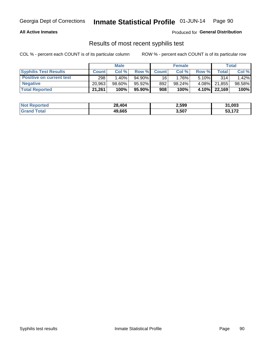#### **All Active Inmates**

Produced for **General Distribution**

#### Results of most recent syphilis test

|                                 | <b>Male</b>  |           |                 | <b>Female</b> |           |          | Total   |        |
|---------------------------------|--------------|-----------|-----------------|---------------|-----------|----------|---------|--------|
| <b>Syphilis Test Results</b>    | <b>Count</b> | Col%      | Row %I          | <b>Count</b>  | Col %     | Row %    | Total I | Col %  |
| <b>Positive on current test</b> | 298          | $1.40\%$  | $94.90\%$       | 16            | 1.76%     | $5.10\%$ | 314     | 1.42%  |
| <b>Negative</b>                 | 20.963       | $98.60\%$ | 95.92%          | 892           | $98.24\%$ | 4.08%    | 21,855  | 98.58% |
| <b>Total Reported</b>           | 21,261       | 100%      | 95.90% <b> </b> | 908           | 100%      | 4.10%    | 22,169  | 100%   |

| <b>Not Reported</b> | 28,404 | 2,599 | 31,003       |
|---------------------|--------|-------|--------------|
| <b>Grand Total</b>  | 49,665 | 3,507 | .172<br>-1.1 |